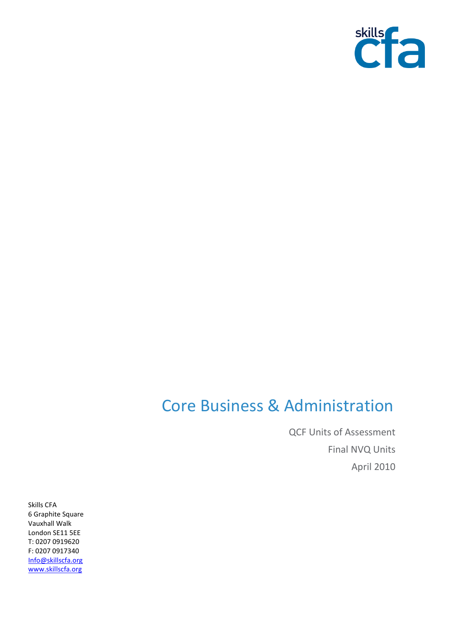

## Core Business & Administration

QCF Units of Assessment Final NVQ Units April 2010

Skills CFA 6 Graphite Square Vauxhall Walk London SE11 5EE T: 0207 0919620 F: 0207 0917340 [Info@skillscfa.org](mailto:Info@skillscfa.org) [www.skillscfa.org](http://www.skillscfa.org/)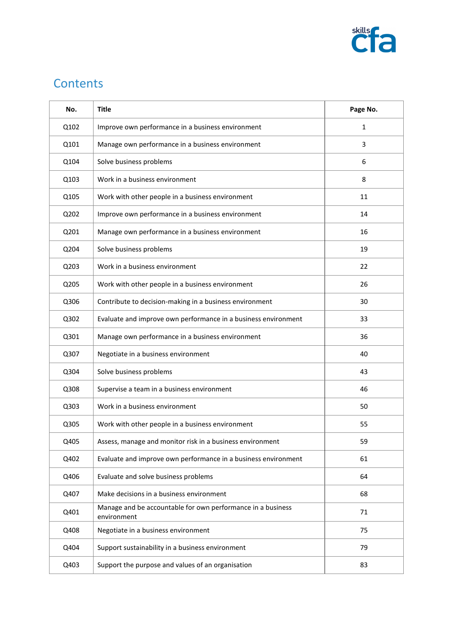

## **Contents**

| No.  | <b>Title</b>                                                               | Page No.       |  |
|------|----------------------------------------------------------------------------|----------------|--|
| Q102 | Improve own performance in a business environment                          | $\mathbf{1}$   |  |
| Q101 | Manage own performance in a business environment                           | $\overline{3}$ |  |
| Q104 | Solve business problems                                                    | 6              |  |
| Q103 | Work in a business environment                                             | 8              |  |
| Q105 | Work with other people in a business environment                           | 11             |  |
| Q202 | Improve own performance in a business environment                          | 14             |  |
| Q201 | Manage own performance in a business environment                           | 16             |  |
| Q204 | Solve business problems                                                    | 19             |  |
| Q203 | Work in a business environment                                             | 22             |  |
| Q205 | Work with other people in a business environment                           | 26             |  |
| Q306 | Contribute to decision-making in a business environment                    | 30             |  |
| Q302 | Evaluate and improve own performance in a business environment             | 33             |  |
| Q301 | Manage own performance in a business environment                           | 36             |  |
| Q307 | Negotiate in a business environment                                        | 40             |  |
| Q304 | Solve business problems                                                    | 43             |  |
| Q308 | Supervise a team in a business environment                                 | 46             |  |
| Q303 | Work in a business environment                                             | 50             |  |
| Q305 | Work with other people in a business environment                           | 55             |  |
| Q405 | Assess, manage and monitor risk in a business environment                  | 59             |  |
| Q402 | Evaluate and improve own performance in a business environment             | 61             |  |
| Q406 | Evaluate and solve business problems                                       | 64             |  |
| Q407 | Make decisions in a business environment                                   | 68             |  |
| Q401 | Manage and be accountable for own performance in a business<br>environment |                |  |
| Q408 | Negotiate in a business environment                                        | 75             |  |
| Q404 | Support sustainability in a business environment                           |                |  |
| Q403 | Support the purpose and values of an organisation                          | 83             |  |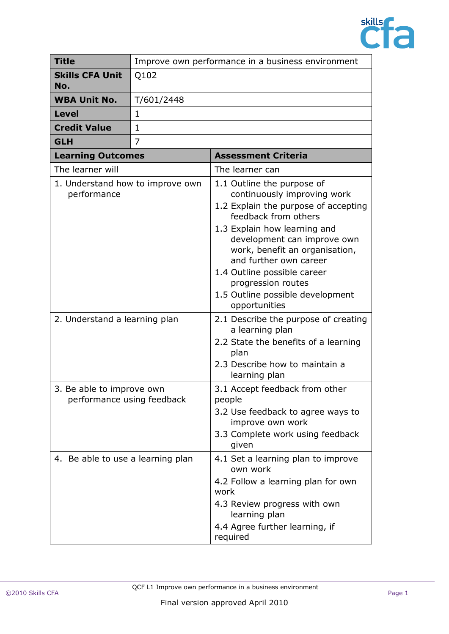

| <b>Title</b>                                            | Improve own performance in a business environment |                                                                                                                                                                                                                                                                                                                                                                |
|---------------------------------------------------------|---------------------------------------------------|----------------------------------------------------------------------------------------------------------------------------------------------------------------------------------------------------------------------------------------------------------------------------------------------------------------------------------------------------------------|
| <b>Skills CFA Unit</b><br>No.                           | Q102                                              |                                                                                                                                                                                                                                                                                                                                                                |
| <b>WBA Unit No.</b>                                     | T/601/2448                                        |                                                                                                                                                                                                                                                                                                                                                                |
| <b>Level</b>                                            | 1                                                 |                                                                                                                                                                                                                                                                                                                                                                |
| <b>Credit Value</b>                                     | 1                                                 |                                                                                                                                                                                                                                                                                                                                                                |
| <b>GLH</b>                                              | 7                                                 |                                                                                                                                                                                                                                                                                                                                                                |
| <b>Learning Outcomes</b>                                |                                                   | <b>Assessment Criteria</b>                                                                                                                                                                                                                                                                                                                                     |
| The learner will                                        |                                                   | The learner can                                                                                                                                                                                                                                                                                                                                                |
| 1. Understand how to improve own<br>performance         |                                                   | 1.1 Outline the purpose of<br>continuously improving work<br>1.2 Explain the purpose of accepting<br>feedback from others<br>1.3 Explain how learning and<br>development can improve own<br>work, benefit an organisation,<br>and further own career<br>1.4 Outline possible career<br>progression routes<br>1.5 Outline possible development<br>opportunities |
| 2. Understand a learning plan                           |                                                   | 2.1 Describe the purpose of creating<br>a learning plan<br>2.2 State the benefits of a learning<br>plan<br>2.3 Describe how to maintain a<br>learning plan<br>3.1 Accept feedback from other                                                                                                                                                                   |
| 3. Be able to improve own<br>performance using feedback |                                                   | people<br>3.2 Use feedback to agree ways to<br>improve own work<br>3.3 Complete work using feedback<br>given                                                                                                                                                                                                                                                   |
| 4. Be able to use a learning plan                       |                                                   | 4.1 Set a learning plan to improve<br>own work<br>4.2 Follow a learning plan for own<br>work<br>4.3 Review progress with own<br>learning plan<br>4.4 Agree further learning, if<br>required                                                                                                                                                                    |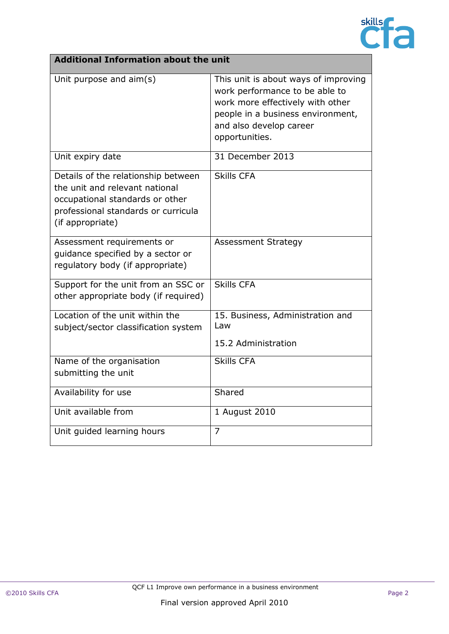

| <b>Additional Information about the unit</b>                                                                                                                        |                                                                                                                                                                                              |  |
|---------------------------------------------------------------------------------------------------------------------------------------------------------------------|----------------------------------------------------------------------------------------------------------------------------------------------------------------------------------------------|--|
| Unit purpose and aim(s)                                                                                                                                             | This unit is about ways of improving<br>work performance to be able to<br>work more effectively with other<br>people in a business environment,<br>and also develop career<br>opportunities. |  |
| Unit expiry date                                                                                                                                                    | 31 December 2013                                                                                                                                                                             |  |
| Details of the relationship between<br>the unit and relevant national<br>occupational standards or other<br>professional standards or curricula<br>(if appropriate) | <b>Skills CFA</b>                                                                                                                                                                            |  |
| Assessment requirements or<br>guidance specified by a sector or<br>regulatory body (if appropriate)                                                                 | <b>Assessment Strategy</b>                                                                                                                                                                   |  |
| Support for the unit from an SSC or<br>other appropriate body (if required)                                                                                         | <b>Skills CFA</b>                                                                                                                                                                            |  |
| Location of the unit within the<br>subject/sector classification system                                                                                             | 15. Business, Administration and<br>Law<br>15.2 Administration                                                                                                                               |  |
| Name of the organisation<br>submitting the unit                                                                                                                     | <b>Skills CFA</b>                                                                                                                                                                            |  |
| Availability for use                                                                                                                                                | Shared                                                                                                                                                                                       |  |
| Unit available from                                                                                                                                                 | 1 August 2010                                                                                                                                                                                |  |
| Unit guided learning hours                                                                                                                                          | $\overline{7}$                                                                                                                                                                               |  |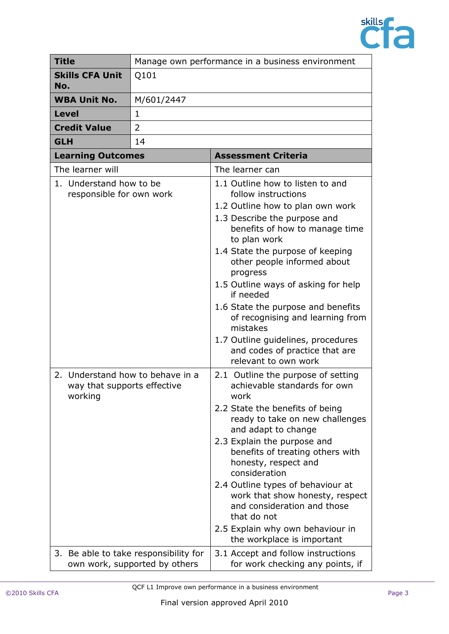

| <b>Title</b>                                                                                                                         | Manage own performance in a business environment                       |                                                                                                                                                                                                                                                                                                                                                                                                                                                                                                                                                                                                                                                            |  |
|--------------------------------------------------------------------------------------------------------------------------------------|------------------------------------------------------------------------|------------------------------------------------------------------------------------------------------------------------------------------------------------------------------------------------------------------------------------------------------------------------------------------------------------------------------------------------------------------------------------------------------------------------------------------------------------------------------------------------------------------------------------------------------------------------------------------------------------------------------------------------------------|--|
| <b>Skills CFA Unit</b><br>No.                                                                                                        | Q101                                                                   |                                                                                                                                                                                                                                                                                                                                                                                                                                                                                                                                                                                                                                                            |  |
| <b>WBA Unit No.</b>                                                                                                                  | M/601/2447                                                             |                                                                                                                                                                                                                                                                                                                                                                                                                                                                                                                                                                                                                                                            |  |
| <b>Level</b>                                                                                                                         | $\mathbf{1}$                                                           |                                                                                                                                                                                                                                                                                                                                                                                                                                                                                                                                                                                                                                                            |  |
| <b>Credit Value</b>                                                                                                                  | $\overline{2}$                                                         |                                                                                                                                                                                                                                                                                                                                                                                                                                                                                                                                                                                                                                                            |  |
| <b>GLH</b>                                                                                                                           | 14                                                                     |                                                                                                                                                                                                                                                                                                                                                                                                                                                                                                                                                                                                                                                            |  |
| <b>Learning Outcomes</b>                                                                                                             |                                                                        | <b>Assessment Criteria</b>                                                                                                                                                                                                                                                                                                                                                                                                                                                                                                                                                                                                                                 |  |
| The learner will                                                                                                                     |                                                                        | The learner can                                                                                                                                                                                                                                                                                                                                                                                                                                                                                                                                                                                                                                            |  |
| 1. Understand how to be<br>responsible for own work<br>Understand how to behave in a<br>2.<br>way that supports effective<br>working |                                                                        | 1.1 Outline how to listen to and<br>follow instructions<br>1.2 Outline how to plan own work<br>1.3 Describe the purpose and<br>benefits of how to manage time<br>to plan work<br>1.4 State the purpose of keeping<br>other people informed about<br>progress<br>1.5 Outline ways of asking for help<br>if needed<br>1.6 State the purpose and benefits<br>of recognising and learning from<br>mistakes<br>1.7 Outline guidelines, procedures<br>and codes of practice that are<br>relevant to own work<br>2.1 Outline the purpose of setting<br>achievable standards for own<br>work<br>2.2 State the benefits of being<br>ready to take on new challenges |  |
|                                                                                                                                      |                                                                        | and adapt to change<br>2.3 Explain the purpose and<br>benefits of treating others with<br>honesty, respect and<br>consideration                                                                                                                                                                                                                                                                                                                                                                                                                                                                                                                            |  |
|                                                                                                                                      |                                                                        | 2.4 Outline types of behaviour at<br>work that show honesty, respect<br>and consideration and those<br>that do not<br>2.5 Explain why own behaviour in                                                                                                                                                                                                                                                                                                                                                                                                                                                                                                     |  |
|                                                                                                                                      | 3. Be able to take responsibility for<br>own work, supported by others | the workplace is important<br>3.1 Accept and follow instructions<br>for work checking any points, if                                                                                                                                                                                                                                                                                                                                                                                                                                                                                                                                                       |  |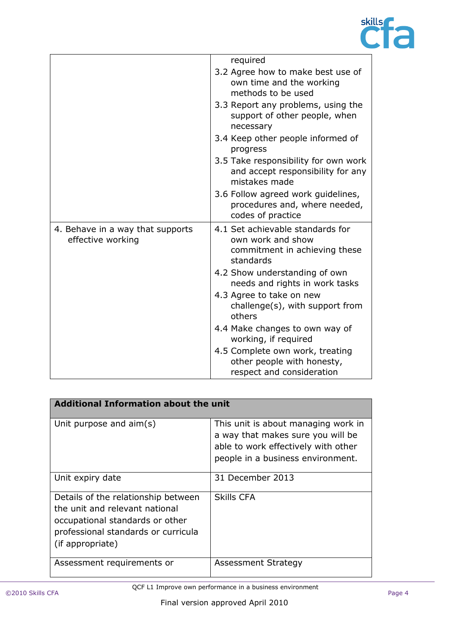

|                                                       | required                                                                                            |
|-------------------------------------------------------|-----------------------------------------------------------------------------------------------------|
|                                                       | 3.2 Agree how to make best use of<br>own time and the working<br>methods to be used                 |
|                                                       | 3.3 Report any problems, using the<br>support of other people, when<br>necessary                    |
|                                                       | 3.4 Keep other people informed of<br>progress                                                       |
|                                                       | 3.5 Take responsibility for own work<br>and accept responsibility for any<br>mistakes made          |
|                                                       | 3.6 Follow agreed work guidelines,<br>procedures and, where needed,<br>codes of practice            |
| 4. Behave in a way that supports<br>effective working | 4.1 Set achievable standards for<br>own work and show<br>commitment in achieving these<br>standards |
|                                                       | 4.2 Show understanding of own<br>needs and rights in work tasks                                     |
|                                                       | 4.3 Agree to take on new<br>challenge(s), with support from<br>others                               |
|                                                       | 4.4 Make changes to own way of<br>working, if required                                              |
|                                                       | 4.5 Complete own work, treating<br>other people with honesty,<br>respect and consideration          |

| Additional Information about the unit                                                                                                                               |                                                                                                                                                      |  |
|---------------------------------------------------------------------------------------------------------------------------------------------------------------------|------------------------------------------------------------------------------------------------------------------------------------------------------|--|
| Unit purpose and aim(s)                                                                                                                                             | This unit is about managing work in<br>a way that makes sure you will be<br>able to work effectively with other<br>people in a business environment. |  |
| Unit expiry date                                                                                                                                                    | 31 December 2013                                                                                                                                     |  |
| Details of the relationship between<br>the unit and relevant national<br>occupational standards or other<br>professional standards or curricula<br>(if appropriate) | <b>Skills CFA</b>                                                                                                                                    |  |
| Assessment requirements or                                                                                                                                          | <b>Assessment Strategy</b>                                                                                                                           |  |

QCF L1 Improve own performance in a business environment COLLET improve own performance in a business environment express of Page 4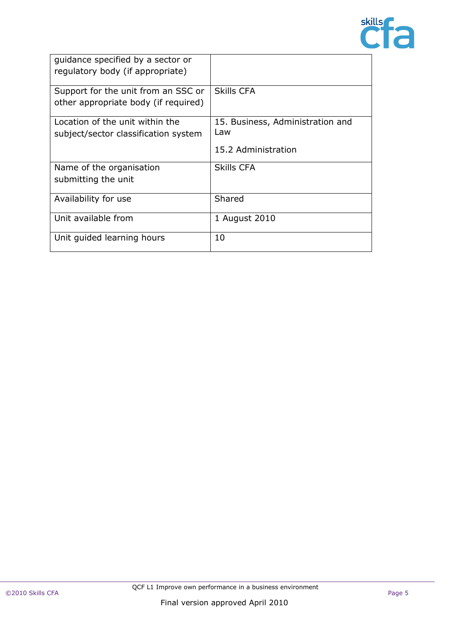

| quidance specified by a sector or<br>regulatory body (if appropriate)       |                                                                |
|-----------------------------------------------------------------------------|----------------------------------------------------------------|
| Support for the unit from an SSC or<br>other appropriate body (if required) | Skills CFA                                                     |
| Location of the unit within the<br>subject/sector classification system     | 15. Business, Administration and<br>Law<br>15.2 Administration |
| Name of the organisation<br>submitting the unit                             | <b>Skills CFA</b>                                              |
| Availability for use                                                        | Shared                                                         |
| Unit available from                                                         | 1 August 2010                                                  |
| Unit guided learning hours                                                  | 10                                                             |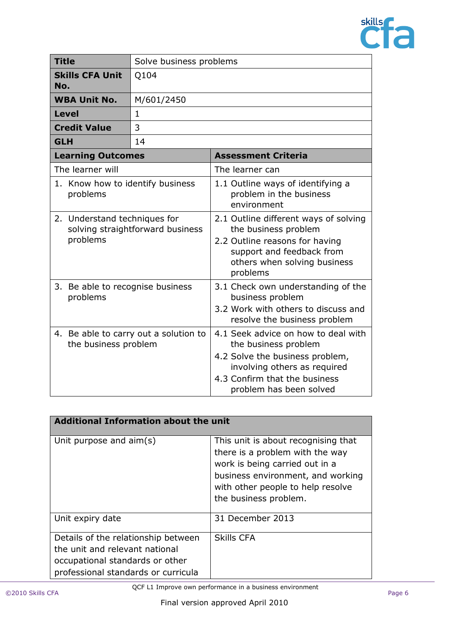

| <b>Title</b>                                                                 |                          | Solve business problems |                                                                                                                                                                                            |  |
|------------------------------------------------------------------------------|--------------------------|-------------------------|--------------------------------------------------------------------------------------------------------------------------------------------------------------------------------------------|--|
| <b>Skills CFA Unit</b><br>No.                                                |                          | Q104                    |                                                                                                                                                                                            |  |
|                                                                              | <b>WBA Unit No.</b>      | M/601/2450              |                                                                                                                                                                                            |  |
|                                                                              | <b>Level</b>             | $\mathbf{1}$            |                                                                                                                                                                                            |  |
|                                                                              | <b>Credit Value</b>      | 3                       |                                                                                                                                                                                            |  |
| <b>GLH</b>                                                                   |                          | 14                      |                                                                                                                                                                                            |  |
|                                                                              | <b>Learning Outcomes</b> |                         | <b>Assessment Criteria</b>                                                                                                                                                                 |  |
|                                                                              | The learner will         |                         | The learner can                                                                                                                                                                            |  |
| 1. Know how to identify business<br>problems                                 |                          |                         | 1.1 Outline ways of identifying a<br>problem in the business<br>environment                                                                                                                |  |
| 2. Understand techniques for<br>solving straightforward business<br>problems |                          |                         | 2.1 Outline different ways of solving<br>the business problem<br>2.2 Outline reasons for having<br>support and feedback from<br>others when solving business<br>problems                   |  |
| Be able to recognise business<br>3.<br>problems                              |                          |                         | 3.1 Check own understanding of the<br>business problem<br>3.2 Work with others to discuss and<br>resolve the business problem                                                              |  |
| 4.<br>Be able to carry out a solution to<br>the business problem             |                          |                         | 4.1 Seek advice on how to deal with<br>the business problem<br>4.2 Solve the business problem,<br>involving others as required<br>4.3 Confirm that the business<br>problem has been solved |  |

| <b>Additional Information about the unit</b>                                                                                                    |                                                                                                                                                                                                             |  |
|-------------------------------------------------------------------------------------------------------------------------------------------------|-------------------------------------------------------------------------------------------------------------------------------------------------------------------------------------------------------------|--|
| Unit purpose and aim(s)                                                                                                                         | This unit is about recognising that<br>there is a problem with the way<br>work is being carried out in a<br>business environment, and working<br>with other people to help resolve<br>the business problem. |  |
| Unit expiry date                                                                                                                                | 31 December 2013                                                                                                                                                                                            |  |
| Details of the relationship between<br>the unit and relevant national<br>occupational standards or other<br>professional standards or curricula | <b>Skills CFA</b>                                                                                                                                                                                           |  |

QCF L1 Improve own performance in a business environment QUE LI Improve own performance in a business environment C2010 Skills CFA Page 6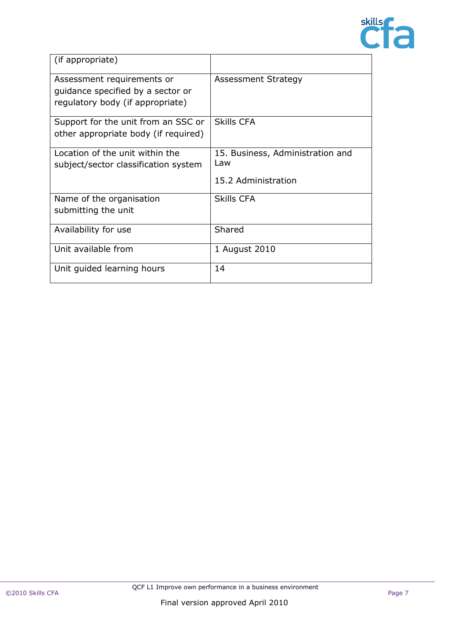

| (if appropriate)                                                                                    |                                                                |
|-----------------------------------------------------------------------------------------------------|----------------------------------------------------------------|
| Assessment requirements or<br>quidance specified by a sector or<br>regulatory body (if appropriate) | <b>Assessment Strategy</b>                                     |
| Support for the unit from an SSC or<br>other appropriate body (if required)                         | <b>Skills CFA</b>                                              |
| Location of the unit within the<br>subject/sector classification system                             | 15. Business, Administration and<br>Law<br>15.2 Administration |
| Name of the organisation<br>submitting the unit                                                     | <b>Skills CFA</b>                                              |
| Availability for use                                                                                | Shared                                                         |
| Unit available from                                                                                 | 1 August 2010                                                  |
| Unit guided learning hours                                                                          | 14                                                             |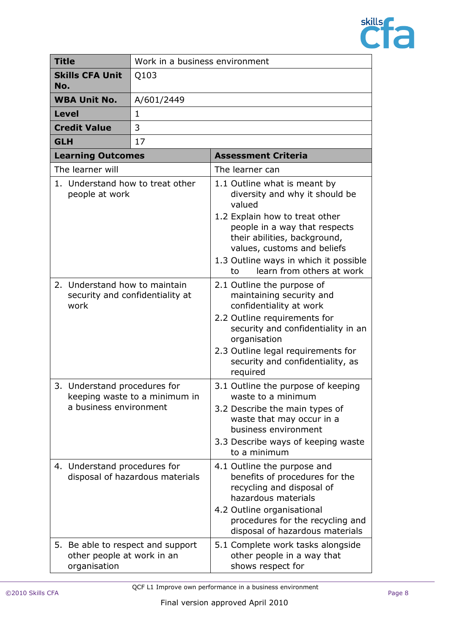

| <b>Title</b>                                                                    |                                                                                         | Work in a business environment |                                                                                                                                                                                                                                                                                        |
|---------------------------------------------------------------------------------|-----------------------------------------------------------------------------------------|--------------------------------|----------------------------------------------------------------------------------------------------------------------------------------------------------------------------------------------------------------------------------------------------------------------------------------|
| <b>Skills CFA Unit</b><br>No.                                                   |                                                                                         | Q103                           |                                                                                                                                                                                                                                                                                        |
| <b>WBA Unit No.</b>                                                             |                                                                                         | A/601/2449                     |                                                                                                                                                                                                                                                                                        |
| <b>Level</b>                                                                    |                                                                                         | $\mathbf{1}$                   |                                                                                                                                                                                                                                                                                        |
|                                                                                 | <b>Credit Value</b>                                                                     | 3                              |                                                                                                                                                                                                                                                                                        |
|                                                                                 | <b>GLH</b>                                                                              | 17                             |                                                                                                                                                                                                                                                                                        |
|                                                                                 | <b>Learning Outcomes</b>                                                                |                                | <b>Assessment Criteria</b>                                                                                                                                                                                                                                                             |
|                                                                                 | The learner will                                                                        |                                | The learner can                                                                                                                                                                                                                                                                        |
| 1. Understand how to treat other<br>people at work                              |                                                                                         |                                | 1.1 Outline what is meant by<br>diversity and why it should be<br>valued<br>1.2 Explain how to treat other<br>people in a way that respects<br>their abilities, background,<br>values, customs and beliefs<br>1.3 Outline ways in which it possible<br>learn from others at work<br>to |
| 2. Understand how to maintain<br>security and confidentiality at<br>work        |                                                                                         |                                | 2.1 Outline the purpose of<br>maintaining security and<br>confidentiality at work<br>2.2 Outline requirements for<br>security and confidentiality in an<br>organisation<br>2.3 Outline legal requirements for<br>security and confidentiality, as<br>required                          |
|                                                                                 | 3. Understand procedures for<br>keeping waste to a minimum in<br>a business environment |                                | 3.1 Outline the purpose of keeping<br>waste to a minimum<br>3.2 Describe the main types of<br>waste that may occur in a<br>business environment<br>3.3 Describe ways of keeping waste<br>to a minimum                                                                                  |
| 4. Understand procedures for<br>disposal of hazardous materials                 |                                                                                         |                                | 4.1 Outline the purpose and<br>benefits of procedures for the<br>recycling and disposal of<br>hazardous materials<br>4.2 Outline organisational<br>procedures for the recycling and<br>disposal of hazardous materials                                                                 |
| 5. Be able to respect and support<br>other people at work in an<br>organisation |                                                                                         |                                | 5.1 Complete work tasks alongside<br>other people in a way that<br>shows respect for                                                                                                                                                                                                   |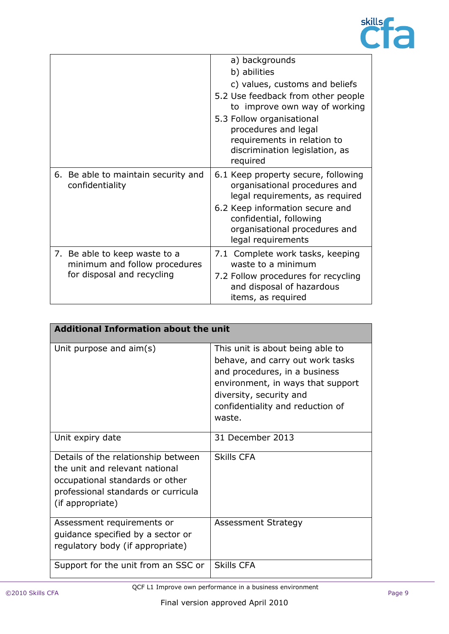

|                                                                                              | a) backgrounds<br>b) abilities<br>c) values, customs and beliefs<br>5.2 Use feedback from other people<br>to improve own way of working<br>5.3 Follow organisational<br>procedures and legal<br>requirements in relation to<br>discrimination legislation, as<br>required |
|----------------------------------------------------------------------------------------------|---------------------------------------------------------------------------------------------------------------------------------------------------------------------------------------------------------------------------------------------------------------------------|
| 6. Be able to maintain security and<br>confidentiality                                       | 6.1 Keep property secure, following<br>organisational procedures and<br>legal requirements, as required<br>6.2 Keep information secure and<br>confidential, following<br>organisational procedures and<br>legal requirements                                              |
| 7. Be able to keep waste to a<br>minimum and follow procedures<br>for disposal and recycling | 7.1 Complete work tasks, keeping<br>waste to a minimum<br>7.2 Follow procedures for recycling<br>and disposal of hazardous<br>items, as required                                                                                                                          |

| Additional Information about the unit                                                                                                                               |                                                                                                                                                                                                                     |
|---------------------------------------------------------------------------------------------------------------------------------------------------------------------|---------------------------------------------------------------------------------------------------------------------------------------------------------------------------------------------------------------------|
| Unit purpose and $\text{aim}(s)$                                                                                                                                    | This unit is about being able to<br>behave, and carry out work tasks<br>and procedures, in a business<br>environment, in ways that support<br>diversity, security and<br>confidentiality and reduction of<br>waste. |
| Unit expiry date                                                                                                                                                    | 31 December 2013                                                                                                                                                                                                    |
| Details of the relationship between<br>the unit and relevant national<br>occupational standards or other<br>professional standards or curricula<br>(if appropriate) | <b>Skills CFA</b>                                                                                                                                                                                                   |
| Assessment requirements or<br>guidance specified by a sector or<br>regulatory body (if appropriate)                                                                 | <b>Assessment Strategy</b>                                                                                                                                                                                          |
| Support for the unit from an SSC or                                                                                                                                 | <b>Skills CFA</b>                                                                                                                                                                                                   |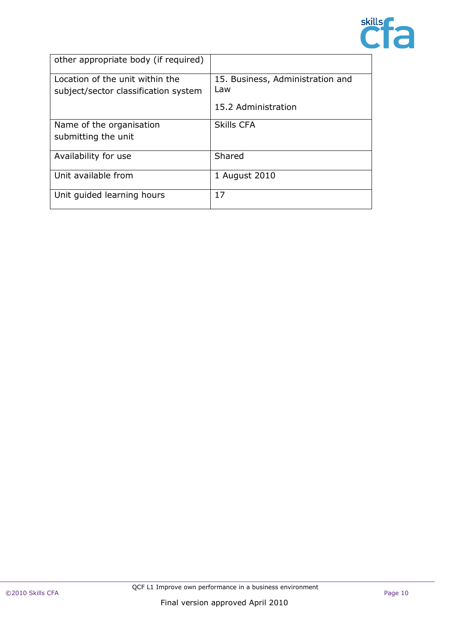

| other appropriate body (if required)                                    |                                         |
|-------------------------------------------------------------------------|-----------------------------------------|
| Location of the unit within the<br>subject/sector classification system | 15. Business, Administration and<br>Law |
|                                                                         | 15.2 Administration                     |
| Name of the organisation                                                | <b>Skills CFA</b>                       |
| submitting the unit                                                     |                                         |
| Availability for use                                                    | Shared                                  |
| Unit available from                                                     | 1 August 2010                           |
| Unit guided learning hours                                              | 17                                      |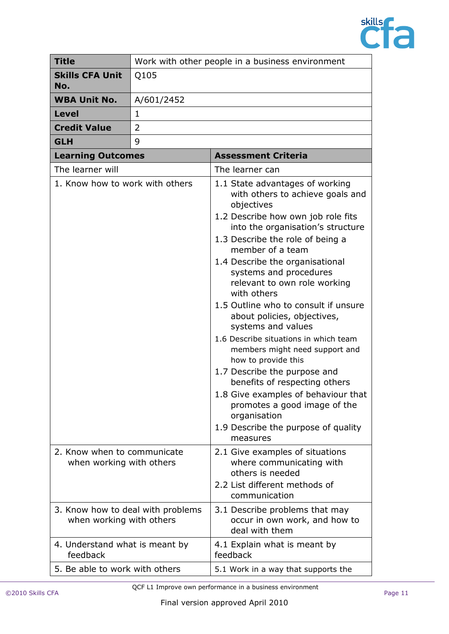

| <b>Title</b>                                                                               | Work with other people in a business environment |                                                                                                                                                                                                                                                                                                                                                                                                                                                                                                                                                                                                                                                                                                                                                                                                                                                                |
|--------------------------------------------------------------------------------------------|--------------------------------------------------|----------------------------------------------------------------------------------------------------------------------------------------------------------------------------------------------------------------------------------------------------------------------------------------------------------------------------------------------------------------------------------------------------------------------------------------------------------------------------------------------------------------------------------------------------------------------------------------------------------------------------------------------------------------------------------------------------------------------------------------------------------------------------------------------------------------------------------------------------------------|
| <b>Skills CFA Unit</b><br>No.                                                              | Q105                                             |                                                                                                                                                                                                                                                                                                                                                                                                                                                                                                                                                                                                                                                                                                                                                                                                                                                                |
| <b>WBA Unit No.</b>                                                                        | A/601/2452                                       |                                                                                                                                                                                                                                                                                                                                                                                                                                                                                                                                                                                                                                                                                                                                                                                                                                                                |
| <b>Level</b>                                                                               | 1                                                |                                                                                                                                                                                                                                                                                                                                                                                                                                                                                                                                                                                                                                                                                                                                                                                                                                                                |
| <b>Credit Value</b>                                                                        | 2                                                |                                                                                                                                                                                                                                                                                                                                                                                                                                                                                                                                                                                                                                                                                                                                                                                                                                                                |
| <b>GLH</b>                                                                                 | 9                                                |                                                                                                                                                                                                                                                                                                                                                                                                                                                                                                                                                                                                                                                                                                                                                                                                                                                                |
| <b>Learning Outcomes</b>                                                                   |                                                  | <b>Assessment Criteria</b>                                                                                                                                                                                                                                                                                                                                                                                                                                                                                                                                                                                                                                                                                                                                                                                                                                     |
| The learner will                                                                           |                                                  | The learner can                                                                                                                                                                                                                                                                                                                                                                                                                                                                                                                                                                                                                                                                                                                                                                                                                                                |
| 1. Know how to work with others<br>2. Know when to communicate<br>when working with others |                                                  | 1.1 State advantages of working<br>with others to achieve goals and<br>objectives<br>1.2 Describe how own job role fits<br>into the organisation's structure<br>1.3 Describe the role of being a<br>member of a team<br>1.4 Describe the organisational<br>systems and procedures<br>relevant to own role working<br>with others<br>1.5 Outline who to consult if unsure<br>about policies, objectives,<br>systems and values<br>1.6 Describe situations in which team<br>members might need support and<br>how to provide this<br>1.7 Describe the purpose and<br>benefits of respecting others<br>1.8 Give examples of behaviour that<br>promotes a good image of the<br>organisation<br>1.9 Describe the purpose of quality<br>measures<br>2.1 Give examples of situations<br>where communicating with<br>others is needed<br>2.2 List different methods of |
| 3. Know how to deal with problems<br>when working with others                              |                                                  | communication<br>3.1 Describe problems that may<br>occur in own work, and how to<br>deal with them                                                                                                                                                                                                                                                                                                                                                                                                                                                                                                                                                                                                                                                                                                                                                             |
| 4. Understand what is meant by<br>feedback                                                 |                                                  | 4.1 Explain what is meant by<br>feedback                                                                                                                                                                                                                                                                                                                                                                                                                                                                                                                                                                                                                                                                                                                                                                                                                       |
| 5. Be able to work with others                                                             |                                                  | 5.1 Work in a way that supports the                                                                                                                                                                                                                                                                                                                                                                                                                                                                                                                                                                                                                                                                                                                                                                                                                            |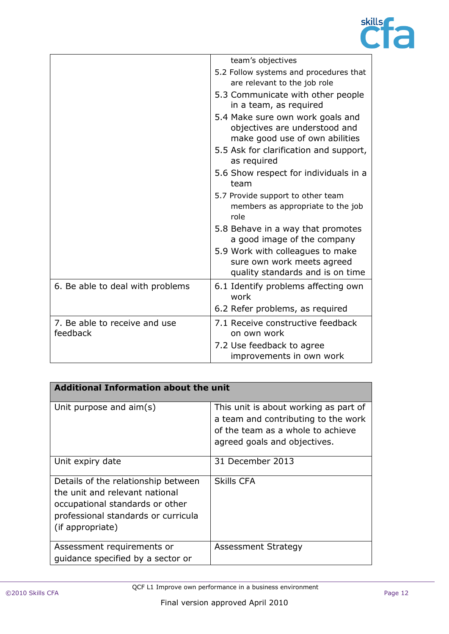

|                                           | team's objectives                                                                                   |
|-------------------------------------------|-----------------------------------------------------------------------------------------------------|
|                                           | 5.2 Follow systems and procedures that<br>are relevant to the job role                              |
|                                           | 5.3 Communicate with other people<br>in a team, as required                                         |
|                                           | 5.4 Make sure own work goals and<br>objectives are understood and<br>make good use of own abilities |
|                                           | 5.5 Ask for clarification and support,<br>as required                                               |
|                                           | 5.6 Show respect for individuals in a<br>team                                                       |
|                                           | 5.7 Provide support to other team<br>members as appropriate to the job<br>role                      |
|                                           | 5.8 Behave in a way that promotes<br>a good image of the company                                    |
|                                           | 5.9 Work with colleagues to make<br>sure own work meets agreed<br>quality standards and is on time  |
| 6. Be able to deal with problems          | 6.1 Identify problems affecting own<br>work                                                         |
|                                           | 6.2 Refer problems, as required                                                                     |
| 7. Be able to receive and use<br>feedback | 7.1 Receive constructive feedback<br>on own work                                                    |
|                                           | 7.2 Use feedback to agree<br>improvements in own work                                               |

| <b>Additional Information about the unit</b>                                                                                                                        |                                                                                                                                                   |  |
|---------------------------------------------------------------------------------------------------------------------------------------------------------------------|---------------------------------------------------------------------------------------------------------------------------------------------------|--|
| Unit purpose and $aim(s)$                                                                                                                                           | This unit is about working as part of<br>a team and contributing to the work<br>of the team as a whole to achieve<br>agreed goals and objectives. |  |
| Unit expiry date                                                                                                                                                    | 31 December 2013                                                                                                                                  |  |
| Details of the relationship between<br>the unit and relevant national<br>occupational standards or other<br>professional standards or curricula<br>(if appropriate) | Skills CFA                                                                                                                                        |  |
| Assessment requirements or<br>quidance specified by a sector or                                                                                                     | Assessment Strategy                                                                                                                               |  |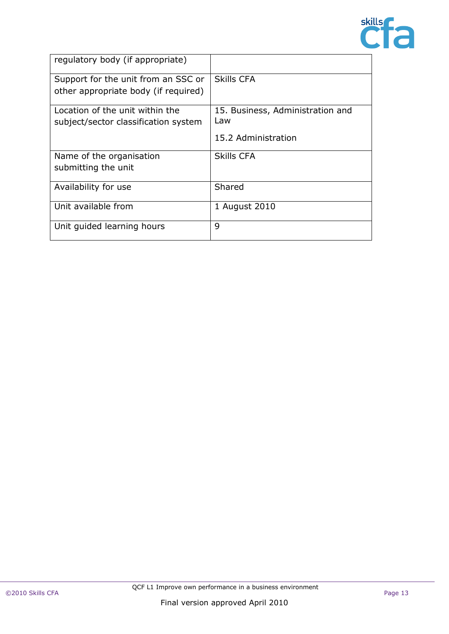

| regulatory body (if appropriate)     |                                  |
|--------------------------------------|----------------------------------|
| Support for the unit from an SSC or  | <b>Skills CFA</b>                |
| other appropriate body (if required) |                                  |
| Location of the unit within the      | 15. Business, Administration and |
| subject/sector classification system | Law                              |
|                                      | 15.2 Administration              |
| Name of the organisation             | <b>Skills CFA</b>                |
| submitting the unit                  |                                  |
|                                      |                                  |
| Availability for use                 | Shared                           |
| Unit available from                  | 1 August 2010                    |
| Unit guided learning hours           | 9                                |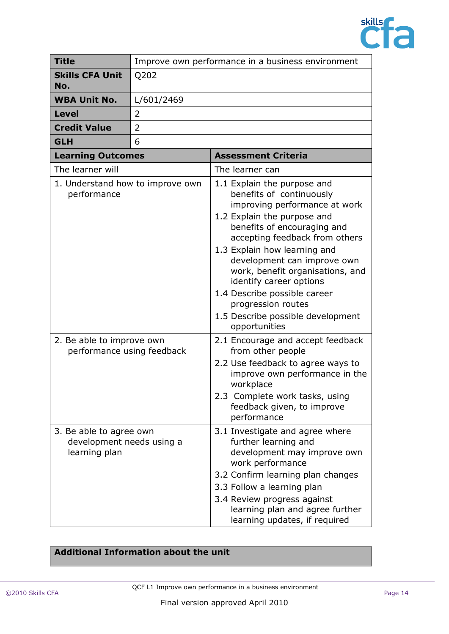

| <b>Title</b>                                                          | Improve own performance in a business environment |                                                                                                                                                                                                                                                                                                                                                                                                                                    |
|-----------------------------------------------------------------------|---------------------------------------------------|------------------------------------------------------------------------------------------------------------------------------------------------------------------------------------------------------------------------------------------------------------------------------------------------------------------------------------------------------------------------------------------------------------------------------------|
| <b>Skills CFA Unit</b><br>No.                                         | Q202                                              |                                                                                                                                                                                                                                                                                                                                                                                                                                    |
| <b>WBA Unit No.</b>                                                   | L/601/2469                                        |                                                                                                                                                                                                                                                                                                                                                                                                                                    |
| <b>Level</b>                                                          | 2                                                 |                                                                                                                                                                                                                                                                                                                                                                                                                                    |
| <b>Credit Value</b>                                                   | 2                                                 |                                                                                                                                                                                                                                                                                                                                                                                                                                    |
| <b>GLH</b>                                                            | 6                                                 |                                                                                                                                                                                                                                                                                                                                                                                                                                    |
| <b>Learning Outcomes</b>                                              | <b>Assessment Criteria</b>                        |                                                                                                                                                                                                                                                                                                                                                                                                                                    |
| The learner will                                                      |                                                   | The learner can                                                                                                                                                                                                                                                                                                                                                                                                                    |
| 1. Understand how to improve own<br>performance                       |                                                   | 1.1 Explain the purpose and<br>benefits of continuously<br>improving performance at work<br>1.2 Explain the purpose and<br>benefits of encouraging and<br>accepting feedback from others<br>1.3 Explain how learning and<br>development can improve own<br>work, benefit organisations, and<br>identify career options<br>1.4 Describe possible career<br>progression routes<br>1.5 Describe possible development<br>opportunities |
| 2. Be able to improve own<br>performance using feedback               |                                                   | 2.1 Encourage and accept feedback<br>from other people<br>2.2 Use feedback to agree ways to<br>improve own performance in the<br>workplace<br>2.3 Complete work tasks, using<br>feedback given, to improve<br>performance                                                                                                                                                                                                          |
| 3. Be able to agree own<br>development needs using a<br>learning plan |                                                   | 3.1 Investigate and agree where<br>further learning and<br>development may improve own<br>work performance<br>3.2 Confirm learning plan changes<br>3.3 Follow a learning plan<br>3.4 Review progress against<br>learning plan and agree further<br>learning updates, if required                                                                                                                                                   |

## **Additional Information about the unit**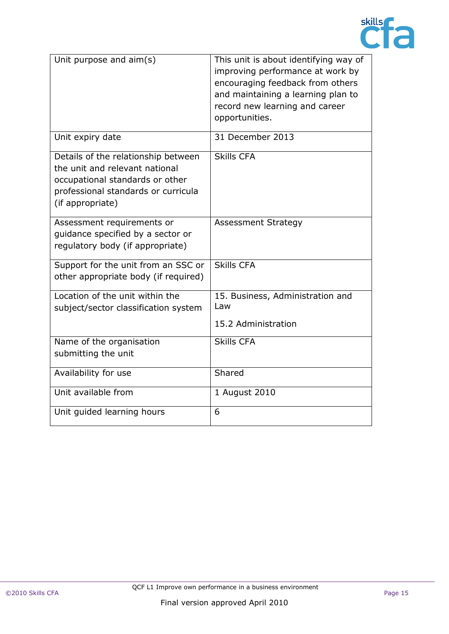

| Unit purpose and aim(s)                                                                                                                                             | This unit is about identifying way of<br>improving performance at work by<br>encouraging feedback from others<br>and maintaining a learning plan to<br>record new learning and career<br>opportunities. |
|---------------------------------------------------------------------------------------------------------------------------------------------------------------------|---------------------------------------------------------------------------------------------------------------------------------------------------------------------------------------------------------|
| Unit expiry date                                                                                                                                                    | 31 December 2013                                                                                                                                                                                        |
| Details of the relationship between<br>the unit and relevant national<br>occupational standards or other<br>professional standards or curricula<br>(if appropriate) | <b>Skills CFA</b>                                                                                                                                                                                       |
| Assessment requirements or<br>guidance specified by a sector or<br>regulatory body (if appropriate)                                                                 | <b>Assessment Strategy</b>                                                                                                                                                                              |
| Support for the unit from an SSC or<br>other appropriate body (if required)                                                                                         | <b>Skills CFA</b>                                                                                                                                                                                       |
| Location of the unit within the<br>subject/sector classification system                                                                                             | 15. Business, Administration and<br>Law<br>15.2 Administration                                                                                                                                          |
| Name of the organisation<br>submitting the unit                                                                                                                     | <b>Skills CFA</b>                                                                                                                                                                                       |
| Availability for use                                                                                                                                                | Shared                                                                                                                                                                                                  |
| Unit available from                                                                                                                                                 | 1 August 2010                                                                                                                                                                                           |
| Unit guided learning hours                                                                                                                                          | 6                                                                                                                                                                                                       |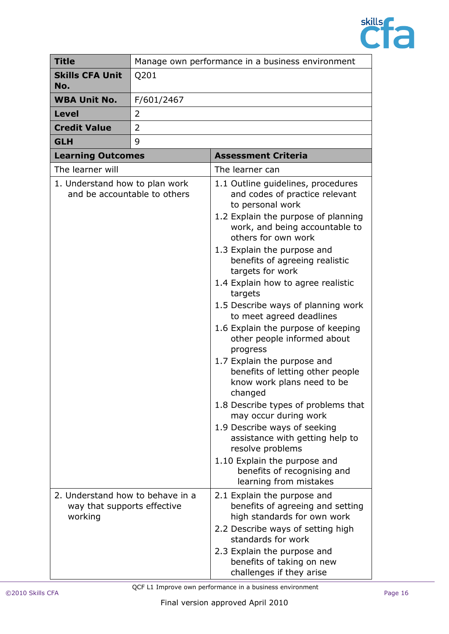

| <b>Title</b>                                                               | Manage own performance in a business environment |                                                                                                                                                                                                                                                                                                                                                                                                                                                                                                                                                                                                                                                                                                                                                                                                                                               |
|----------------------------------------------------------------------------|--------------------------------------------------|-----------------------------------------------------------------------------------------------------------------------------------------------------------------------------------------------------------------------------------------------------------------------------------------------------------------------------------------------------------------------------------------------------------------------------------------------------------------------------------------------------------------------------------------------------------------------------------------------------------------------------------------------------------------------------------------------------------------------------------------------------------------------------------------------------------------------------------------------|
| <b>Skills CFA Unit</b><br>No.                                              | Q201                                             |                                                                                                                                                                                                                                                                                                                                                                                                                                                                                                                                                                                                                                                                                                                                                                                                                                               |
| <b>WBA Unit No.</b>                                                        | F/601/2467                                       |                                                                                                                                                                                                                                                                                                                                                                                                                                                                                                                                                                                                                                                                                                                                                                                                                                               |
| <b>Level</b>                                                               | 2                                                |                                                                                                                                                                                                                                                                                                                                                                                                                                                                                                                                                                                                                                                                                                                                                                                                                                               |
| <b>Credit Value</b>                                                        | 2                                                |                                                                                                                                                                                                                                                                                                                                                                                                                                                                                                                                                                                                                                                                                                                                                                                                                                               |
| <b>GLH</b>                                                                 | 9                                                |                                                                                                                                                                                                                                                                                                                                                                                                                                                                                                                                                                                                                                                                                                                                                                                                                                               |
| <b>Learning Outcomes</b>                                                   | <b>Assessment Criteria</b>                       |                                                                                                                                                                                                                                                                                                                                                                                                                                                                                                                                                                                                                                                                                                                                                                                                                                               |
| The learner will                                                           |                                                  | The learner can                                                                                                                                                                                                                                                                                                                                                                                                                                                                                                                                                                                                                                                                                                                                                                                                                               |
| 1. Understand how to plan work<br>and be accountable to others             |                                                  | 1.1 Outline guidelines, procedures<br>and codes of practice relevant<br>to personal work<br>1.2 Explain the purpose of planning<br>work, and being accountable to<br>others for own work<br>1.3 Explain the purpose and<br>benefits of agreeing realistic<br>targets for work<br>1.4 Explain how to agree realistic<br>targets<br>1.5 Describe ways of planning work<br>to meet agreed deadlines<br>1.6 Explain the purpose of keeping<br>other people informed about<br>progress<br>1.7 Explain the purpose and<br>benefits of letting other people<br>know work plans need to be<br>changed<br>1.8 Describe types of problems that<br>may occur during work<br>1.9 Describe ways of seeking<br>assistance with getting help to<br>resolve problems<br>1.10 Explain the purpose and<br>benefits of recognising and<br>learning from mistakes |
| 2. Understand how to behave in a<br>way that supports effective<br>working |                                                  | 2.1 Explain the purpose and<br>benefits of agreeing and setting<br>high standards for own work<br>2.2 Describe ways of setting high<br>standards for work<br>2.3 Explain the purpose and<br>benefits of taking on new<br>challenges if they arise                                                                                                                                                                                                                                                                                                                                                                                                                                                                                                                                                                                             |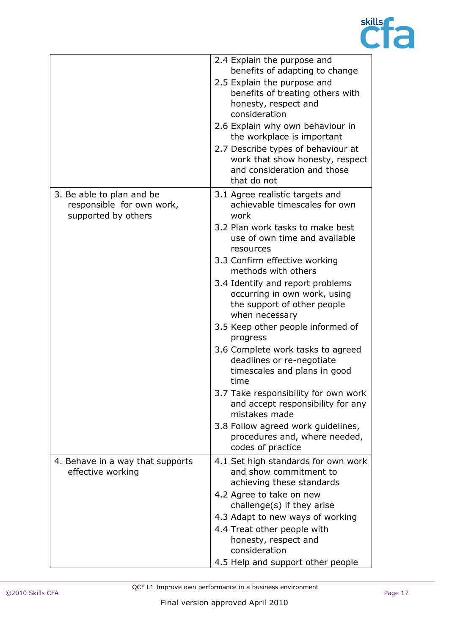

|                                                                               | 2.4 Explain the purpose and<br>benefits of adapting to change<br>2.5 Explain the purpose and<br>benefits of treating others with<br>honesty, respect and<br>consideration<br>2.6 Explain why own behaviour in<br>the workplace is important<br>2.7 Describe types of behaviour at |
|-------------------------------------------------------------------------------|-----------------------------------------------------------------------------------------------------------------------------------------------------------------------------------------------------------------------------------------------------------------------------------|
|                                                                               | work that show honesty, respect<br>and consideration and those<br>that do not                                                                                                                                                                                                     |
| 3. Be able to plan and be<br>responsible for own work,<br>supported by others | 3.1 Agree realistic targets and<br>achievable timescales for own<br>work                                                                                                                                                                                                          |
|                                                                               | 3.2 Plan work tasks to make best<br>use of own time and available<br>resources                                                                                                                                                                                                    |
|                                                                               | 3.3 Confirm effective working<br>methods with others                                                                                                                                                                                                                              |
|                                                                               | 3.4 Identify and report problems<br>occurring in own work, using<br>the support of other people<br>when necessary                                                                                                                                                                 |
|                                                                               | 3.5 Keep other people informed of<br>progress                                                                                                                                                                                                                                     |
|                                                                               | 3.6 Complete work tasks to agreed<br>deadlines or re-negotiate<br>timescales and plans in good<br>time                                                                                                                                                                            |
|                                                                               | 3.7 Take responsibility for own work<br>and accept responsibility for any<br>mistakes made                                                                                                                                                                                        |
|                                                                               | 3.8 Follow agreed work guidelines,<br>procedures and, where needed,<br>codes of practice                                                                                                                                                                                          |
| 4. Behave in a way that supports<br>effective working                         | 4.1 Set high standards for own work<br>and show commitment to<br>achieving these standards                                                                                                                                                                                        |
|                                                                               | 4.2 Agree to take on new<br>challenge(s) if they arise                                                                                                                                                                                                                            |
|                                                                               | 4.3 Adapt to new ways of working<br>4.4 Treat other people with<br>honesty, respect and<br>consideration                                                                                                                                                                          |
|                                                                               | 4.5 Help and support other people                                                                                                                                                                                                                                                 |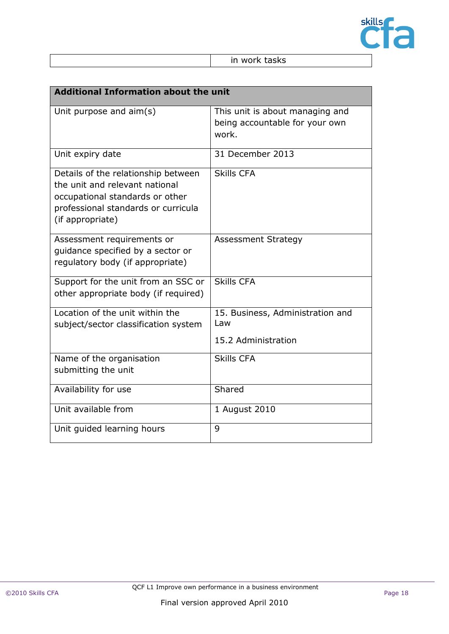

|  |  | in work tasks |
|--|--|---------------|
|--|--|---------------|

| <b>Additional Information about the unit</b>                                                                                                                        |                                                                            |  |
|---------------------------------------------------------------------------------------------------------------------------------------------------------------------|----------------------------------------------------------------------------|--|
| Unit purpose and $\text{aim}(s)$                                                                                                                                    | This unit is about managing and<br>being accountable for your own<br>work. |  |
| Unit expiry date                                                                                                                                                    | 31 December 2013                                                           |  |
| Details of the relationship between<br>the unit and relevant national<br>occupational standards or other<br>professional standards or curricula<br>(if appropriate) | <b>Skills CFA</b>                                                          |  |
| Assessment requirements or<br>quidance specified by a sector or<br>regulatory body (if appropriate)                                                                 | <b>Assessment Strategy</b>                                                 |  |
| Support for the unit from an SSC or<br>other appropriate body (if required)                                                                                         | <b>Skills CFA</b>                                                          |  |
| Location of the unit within the<br>subject/sector classification system                                                                                             | 15. Business, Administration and<br>Law<br>15.2 Administration             |  |
| Name of the organisation<br>submitting the unit                                                                                                                     | <b>Skills CFA</b>                                                          |  |
| Availability for use                                                                                                                                                | Shared                                                                     |  |
| Unit available from                                                                                                                                                 | 1 August 2010                                                              |  |
| Unit guided learning hours                                                                                                                                          | 9                                                                          |  |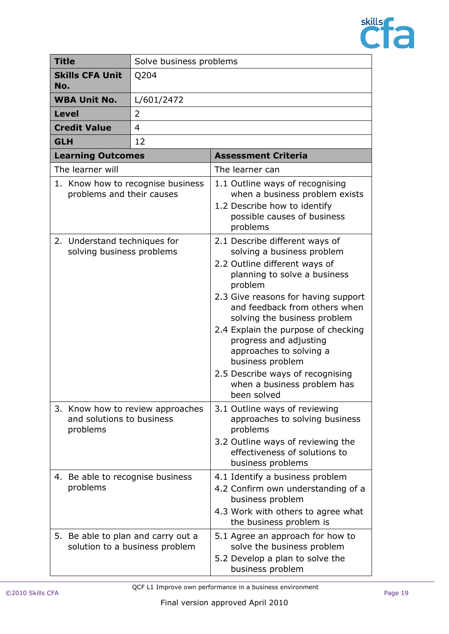

| <b>Title</b>                                              |                                              | Solve business problems                                              |                                                                                                                                                                                                                                                                                                                                                                                                                                                    |  |
|-----------------------------------------------------------|----------------------------------------------|----------------------------------------------------------------------|----------------------------------------------------------------------------------------------------------------------------------------------------------------------------------------------------------------------------------------------------------------------------------------------------------------------------------------------------------------------------------------------------------------------------------------------------|--|
| <b>Skills CFA Unit</b><br>No.                             |                                              | Q204                                                                 |                                                                                                                                                                                                                                                                                                                                                                                                                                                    |  |
| <b>WBA Unit No.</b>                                       |                                              | L/601/2472                                                           |                                                                                                                                                                                                                                                                                                                                                                                                                                                    |  |
| <b>Level</b>                                              |                                              | $\overline{2}$                                                       |                                                                                                                                                                                                                                                                                                                                                                                                                                                    |  |
|                                                           | <b>Credit Value</b>                          | 4                                                                    |                                                                                                                                                                                                                                                                                                                                                                                                                                                    |  |
| <b>GLH</b>                                                |                                              | 12                                                                   |                                                                                                                                                                                                                                                                                                                                                                                                                                                    |  |
|                                                           | <b>Learning Outcomes</b>                     |                                                                      | <b>Assessment Criteria</b>                                                                                                                                                                                                                                                                                                                                                                                                                         |  |
|                                                           | The learner will                             |                                                                      | The learner can                                                                                                                                                                                                                                                                                                                                                                                                                                    |  |
|                                                           | problems and their causes                    | 1. Know how to recognise business                                    | 1.1 Outline ways of recognising<br>when a business problem exists<br>1.2 Describe how to identify<br>possible causes of business<br>problems                                                                                                                                                                                                                                                                                                       |  |
| 2. Understand techniques for<br>solving business problems |                                              |                                                                      | 2.1 Describe different ways of<br>solving a business problem<br>2.2 Outline different ways of<br>planning to solve a business<br>problem<br>2.3 Give reasons for having support<br>and feedback from others when<br>solving the business problem<br>2.4 Explain the purpose of checking<br>progress and adjusting<br>approaches to solving a<br>business problem<br>2.5 Describe ways of recognising<br>when a business problem has<br>been solved |  |
|                                                           | and solutions to business<br>problems        | 3. Know how to review approaches                                     | 3.1 Outline ways of reviewing<br>approaches to solving business<br>problems<br>3.2 Outline ways of reviewing the<br>effectiveness of solutions to<br>business problems                                                                                                                                                                                                                                                                             |  |
|                                                           | 4. Be able to recognise business<br>problems |                                                                      | 4.1 Identify a business problem<br>4.2 Confirm own understanding of a<br>business problem<br>4.3 Work with others to agree what<br>the business problem is                                                                                                                                                                                                                                                                                         |  |
|                                                           |                                              | 5. Be able to plan and carry out a<br>solution to a business problem | 5.1 Agree an approach for how to<br>solve the business problem<br>5.2 Develop a plan to solve the<br>business problem                                                                                                                                                                                                                                                                                                                              |  |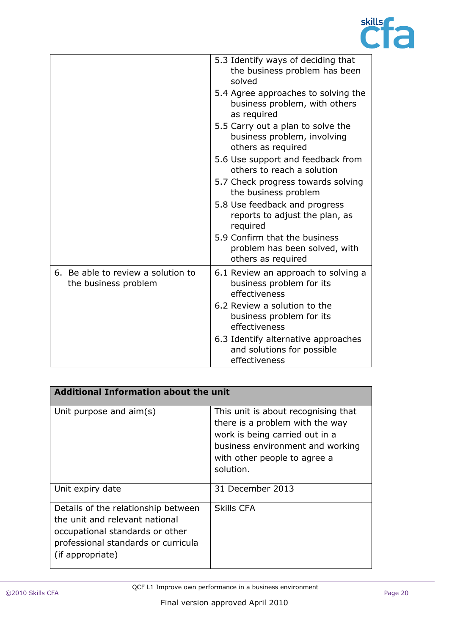

|                                                            | 5.3 Identify ways of deciding that<br>the business problem has been<br>solved          |
|------------------------------------------------------------|----------------------------------------------------------------------------------------|
|                                                            | 5.4 Agree approaches to solving the<br>business problem, with others<br>as required    |
|                                                            | 5.5 Carry out a plan to solve the<br>business problem, involving<br>others as required |
|                                                            | 5.6 Use support and feedback from<br>others to reach a solution                        |
|                                                            | 5.7 Check progress towards solving<br>the business problem                             |
|                                                            | 5.8 Use feedback and progress<br>reports to adjust the plan, as<br>required            |
|                                                            | 5.9 Confirm that the business<br>problem has been solved, with<br>others as required   |
| 6. Be able to review a solution to<br>the business problem | 6.1 Review an approach to solving a<br>business problem for its<br>effectiveness       |
|                                                            | 6.2 Review a solution to the<br>business problem for its<br>effectiveness              |
|                                                            | 6.3 Identify alternative approaches<br>and solutions for possible<br>effectiveness     |

| <b>Additional Information about the unit</b>                                                                                                                        |                                                                                                                                                                                           |  |
|---------------------------------------------------------------------------------------------------------------------------------------------------------------------|-------------------------------------------------------------------------------------------------------------------------------------------------------------------------------------------|--|
| Unit purpose and aim(s)                                                                                                                                             | This unit is about recognising that<br>there is a problem with the way<br>work is being carried out in a<br>business environment and working<br>with other people to agree a<br>solution. |  |
| Unit expiry date                                                                                                                                                    | 31 December 2013                                                                                                                                                                          |  |
| Details of the relationship between<br>the unit and relevant national<br>occupational standards or other<br>professional standards or curricula<br>(if appropriate) | Skills CFA                                                                                                                                                                                |  |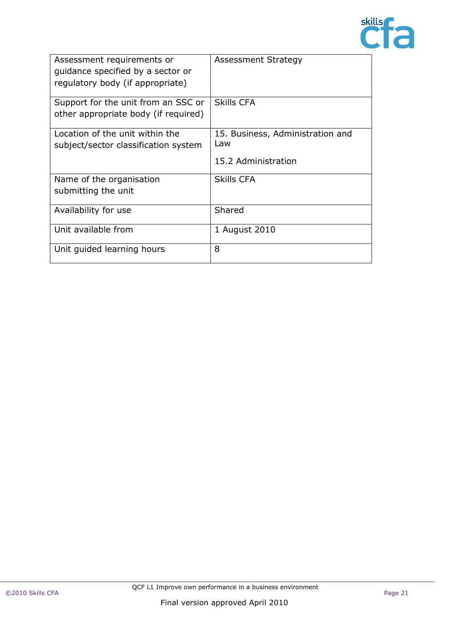

| Assessment requirements or<br>quidance specified by a sector or<br>regulatory body (if appropriate) | Assessment Strategy                                            |
|-----------------------------------------------------------------------------------------------------|----------------------------------------------------------------|
| Support for the unit from an SSC or<br>other appropriate body (if required)                         | <b>Skills CFA</b>                                              |
| Location of the unit within the<br>subject/sector classification system                             | 15. Business, Administration and<br>Law<br>15.2 Administration |
| Name of the organisation<br>submitting the unit                                                     | <b>Skills CFA</b>                                              |
| Availability for use                                                                                | Shared                                                         |
| Unit available from                                                                                 | 1 August 2010                                                  |
| Unit guided learning hours                                                                          | 8                                                              |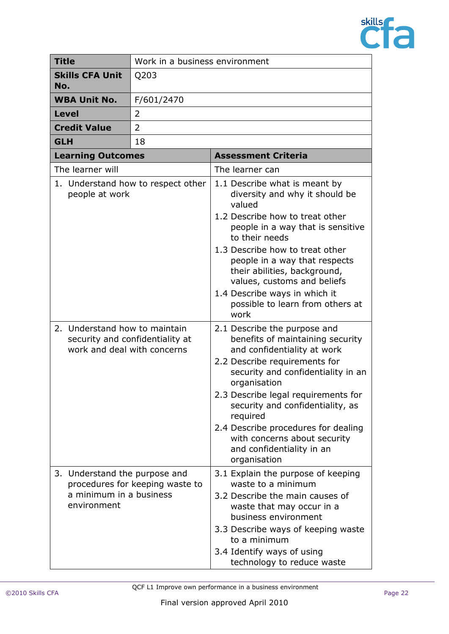

| <b>Title</b>                                                                                    |                                                                         | Work in a business environment     |                                                                                                                                                                                                                                                                                                                                                                                                   |  |
|-------------------------------------------------------------------------------------------------|-------------------------------------------------------------------------|------------------------------------|---------------------------------------------------------------------------------------------------------------------------------------------------------------------------------------------------------------------------------------------------------------------------------------------------------------------------------------------------------------------------------------------------|--|
| <b>Skills CFA Unit</b><br>No.                                                                   |                                                                         | Q203                               |                                                                                                                                                                                                                                                                                                                                                                                                   |  |
|                                                                                                 | <b>WBA Unit No.</b>                                                     | F/601/2470                         |                                                                                                                                                                                                                                                                                                                                                                                                   |  |
| <b>Level</b>                                                                                    |                                                                         | 2                                  |                                                                                                                                                                                                                                                                                                                                                                                                   |  |
|                                                                                                 | <b>Credit Value</b>                                                     | 2                                  |                                                                                                                                                                                                                                                                                                                                                                                                   |  |
|                                                                                                 | <b>GLH</b>                                                              | 18                                 |                                                                                                                                                                                                                                                                                                                                                                                                   |  |
|                                                                                                 | <b>Learning Outcomes</b>                                                |                                    | <b>Assessment Criteria</b>                                                                                                                                                                                                                                                                                                                                                                        |  |
|                                                                                                 | The learner will                                                        |                                    | The learner can                                                                                                                                                                                                                                                                                                                                                                                   |  |
|                                                                                                 | people at work                                                          | 1. Understand how to respect other | 1.1 Describe what is meant by<br>diversity and why it should be<br>valued<br>1.2 Describe how to treat other<br>people in a way that is sensitive<br>to their needs<br>1.3 Describe how to treat other<br>people in a way that respects<br>their abilities, background,<br>values, customs and beliefs<br>1.4 Describe ways in which it<br>possible to learn from others at<br>work               |  |
| 2. Understand how to maintain<br>security and confidentiality at<br>work and deal with concerns |                                                                         |                                    | 2.1 Describe the purpose and<br>benefits of maintaining security<br>and confidentiality at work<br>2.2 Describe requirements for<br>security and confidentiality in an<br>organisation<br>2.3 Describe legal requirements for<br>security and confidentiality, as<br>required<br>2.4 Describe procedures for dealing<br>with concerns about security<br>and confidentiality in an<br>organisation |  |
|                                                                                                 | 3. Understand the purpose and<br>a minimum in a business<br>environment | procedures for keeping waste to    | 3.1 Explain the purpose of keeping<br>waste to a minimum<br>3.2 Describe the main causes of<br>waste that may occur in a<br>business environment<br>3.3 Describe ways of keeping waste<br>to a minimum<br>3.4 Identify ways of using<br>technology to reduce waste                                                                                                                                |  |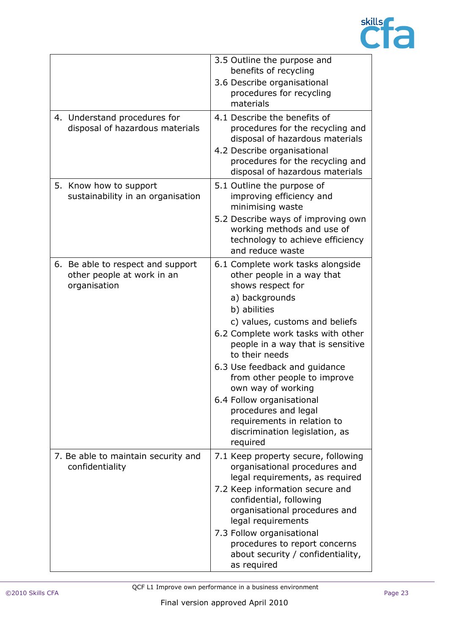

|                                                                                 | 3.5 Outline the purpose and<br>benefits of recycling<br>3.6 Describe organisational<br>procedures for recycling<br>materials                                                                                                                                                                                                                                                                                                                                                   |
|---------------------------------------------------------------------------------|--------------------------------------------------------------------------------------------------------------------------------------------------------------------------------------------------------------------------------------------------------------------------------------------------------------------------------------------------------------------------------------------------------------------------------------------------------------------------------|
| 4. Understand procedures for<br>disposal of hazardous materials                 | 4.1 Describe the benefits of<br>procedures for the recycling and<br>disposal of hazardous materials<br>4.2 Describe organisational<br>procedures for the recycling and<br>disposal of hazardous materials                                                                                                                                                                                                                                                                      |
| 5. Know how to support<br>sustainability in an organisation                     | 5.1 Outline the purpose of<br>improving efficiency and<br>minimising waste<br>5.2 Describe ways of improving own<br>working methods and use of<br>technology to achieve efficiency<br>and reduce waste                                                                                                                                                                                                                                                                         |
| 6. Be able to respect and support<br>other people at work in an<br>organisation | 6.1 Complete work tasks alongside<br>other people in a way that<br>shows respect for<br>a) backgrounds<br>b) abilities<br>c) values, customs and beliefs<br>6.2 Complete work tasks with other<br>people in a way that is sensitive<br>to their needs<br>6.3 Use feedback and guidance<br>from other people to improve<br>own way of working<br>6.4 Follow organisational<br>procedures and legal<br>requirements in relation to<br>discrimination legislation, as<br>required |
| 7. Be able to maintain security and<br>confidentiality                          | 7.1 Keep property secure, following<br>organisational procedures and<br>legal requirements, as required<br>7.2 Keep information secure and<br>confidential, following<br>organisational procedures and<br>legal requirements<br>7.3 Follow organisational<br>procedures to report concerns<br>about security / confidentiality,<br>as required                                                                                                                                 |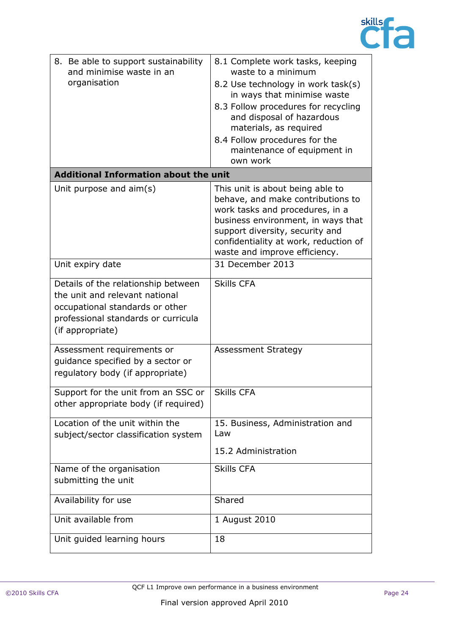

| 8. Be able to support sustainability<br>and minimise waste in an<br>organisation                                                                                    | 8.1 Complete work tasks, keeping<br>waste to a minimum<br>8.2 Use technology in work task(s)<br>in ways that minimise waste<br>8.3 Follow procedures for recycling<br>and disposal of hazardous<br>materials, as required<br>8.4 Follow procedures for the<br>maintenance of equipment in<br>own work |
|---------------------------------------------------------------------------------------------------------------------------------------------------------------------|-------------------------------------------------------------------------------------------------------------------------------------------------------------------------------------------------------------------------------------------------------------------------------------------------------|
| <b>Additional Information about the unit</b>                                                                                                                        |                                                                                                                                                                                                                                                                                                       |
| Unit purpose and $\text{aim}(s)$                                                                                                                                    | This unit is about being able to<br>behave, and make contributions to<br>work tasks and procedures, in a<br>business environment, in ways that<br>support diversity, security and<br>confidentiality at work, reduction of<br>waste and improve efficiency.                                           |
| Unit expiry date                                                                                                                                                    | 31 December 2013                                                                                                                                                                                                                                                                                      |
| Details of the relationship between<br>the unit and relevant national<br>occupational standards or other<br>professional standards or curricula<br>(if appropriate) | <b>Skills CFA</b>                                                                                                                                                                                                                                                                                     |
| Assessment requirements or<br>guidance specified by a sector or<br>regulatory body (if appropriate)                                                                 | <b>Assessment Strategy</b>                                                                                                                                                                                                                                                                            |
| Support for the unit from an SSC or<br>other appropriate body (if required)                                                                                         | <b>Skills CFA</b>                                                                                                                                                                                                                                                                                     |
| Location of the unit within the<br>subject/sector classification system                                                                                             | 15. Business, Administration and<br>Law<br>15.2 Administration                                                                                                                                                                                                                                        |
| Name of the organisation                                                                                                                                            | <b>Skills CFA</b>                                                                                                                                                                                                                                                                                     |
| submitting the unit                                                                                                                                                 |                                                                                                                                                                                                                                                                                                       |
| Availability for use                                                                                                                                                | Shared                                                                                                                                                                                                                                                                                                |
| Unit available from                                                                                                                                                 | 1 August 2010                                                                                                                                                                                                                                                                                         |
| Unit guided learning hours                                                                                                                                          | 18                                                                                                                                                                                                                                                                                                    |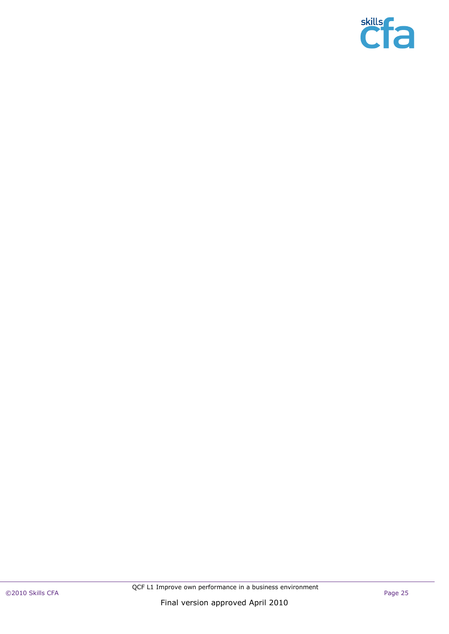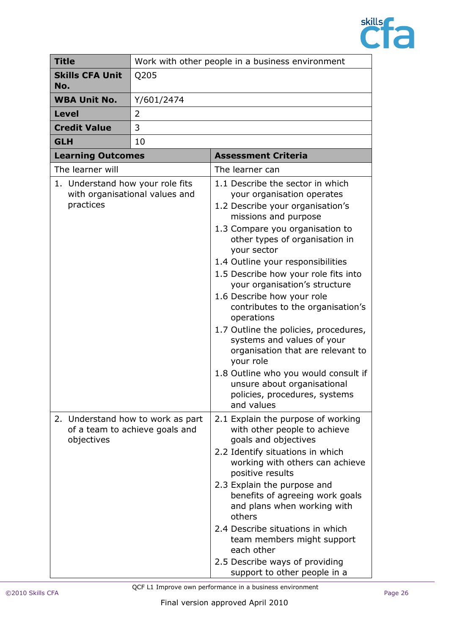

| <b>Title</b>                                                                    |                                | Work with other people in a business environment                                                                                                                                                                                                                                                                                                                                                                                                                                                                                                                                                                                               |
|---------------------------------------------------------------------------------|--------------------------------|------------------------------------------------------------------------------------------------------------------------------------------------------------------------------------------------------------------------------------------------------------------------------------------------------------------------------------------------------------------------------------------------------------------------------------------------------------------------------------------------------------------------------------------------------------------------------------------------------------------------------------------------|
| <b>Skills CFA Unit</b><br>No.                                                   | Q205                           |                                                                                                                                                                                                                                                                                                                                                                                                                                                                                                                                                                                                                                                |
| <b>WBA Unit No.</b>                                                             | Y/601/2474                     |                                                                                                                                                                                                                                                                                                                                                                                                                                                                                                                                                                                                                                                |
| <b>Level</b><br>2                                                               |                                |                                                                                                                                                                                                                                                                                                                                                                                                                                                                                                                                                                                                                                                |
| <b>Credit Value</b>                                                             | 3                              |                                                                                                                                                                                                                                                                                                                                                                                                                                                                                                                                                                                                                                                |
| <b>GLH</b>                                                                      | 10                             |                                                                                                                                                                                                                                                                                                                                                                                                                                                                                                                                                                                                                                                |
| <b>Learning Outcomes</b>                                                        |                                | <b>Assessment Criteria</b>                                                                                                                                                                                                                                                                                                                                                                                                                                                                                                                                                                                                                     |
| The learner will                                                                |                                | The learner can                                                                                                                                                                                                                                                                                                                                                                                                                                                                                                                                                                                                                                |
| 1. Understand how your role fits<br>with organisational values and<br>practices |                                | 1.1 Describe the sector in which<br>your organisation operates<br>1.2 Describe your organisation's<br>missions and purpose<br>1.3 Compare you organisation to<br>other types of organisation in<br>your sector<br>1.4 Outline your responsibilities<br>1.5 Describe how your role fits into<br>your organisation's structure<br>1.6 Describe how your role<br>contributes to the organisation's<br>operations<br>1.7 Outline the policies, procedures,<br>systems and values of your<br>organisation that are relevant to<br>your role<br>1.8 Outline who you would consult if<br>unsure about organisational<br>policies, procedures, systems |
| 2. Understand how to work as part<br>objectives                                 | of a team to achieve goals and | and values<br>2.1 Explain the purpose of working<br>with other people to achieve<br>goals and objectives<br>2.2 Identify situations in which<br>working with others can achieve<br>positive results<br>2.3 Explain the purpose and<br>benefits of agreeing work goals<br>and plans when working with<br>others<br>2.4 Describe situations in which<br>team members might support<br>each other<br>2.5 Describe ways of providing<br>support to other people in a                                                                                                                                                                               |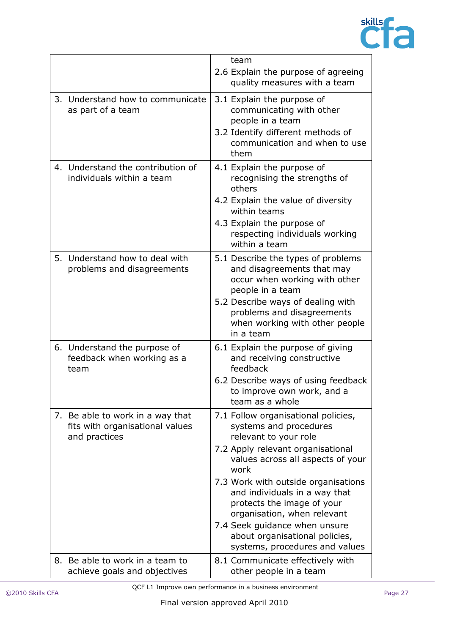

|                                                                                      | team<br>2.6 Explain the purpose of agreeing<br>quality measures with a team                                                                                                                                                                                                                                                                                                                                        |
|--------------------------------------------------------------------------------------|--------------------------------------------------------------------------------------------------------------------------------------------------------------------------------------------------------------------------------------------------------------------------------------------------------------------------------------------------------------------------------------------------------------------|
| 3. Understand how to communicate<br>as part of a team                                | 3.1 Explain the purpose of<br>communicating with other<br>people in a team<br>3.2 Identify different methods of<br>communication and when to use<br>them                                                                                                                                                                                                                                                           |
| 4. Understand the contribution of<br>individuals within a team                       | 4.1 Explain the purpose of<br>recognising the strengths of<br>others<br>4.2 Explain the value of diversity<br>within teams<br>4.3 Explain the purpose of<br>respecting individuals working<br>within a team                                                                                                                                                                                                        |
| 5. Understand how to deal with<br>problems and disagreements                         | 5.1 Describe the types of problems<br>and disagreements that may<br>occur when working with other<br>people in a team<br>5.2 Describe ways of dealing with<br>problems and disagreements<br>when working with other people<br>in a team                                                                                                                                                                            |
| 6. Understand the purpose of<br>feedback when working as a<br>team                   | 6.1 Explain the purpose of giving<br>and receiving constructive<br>feedback<br>6.2 Describe ways of using feedback<br>to improve own work, and a<br>team as a whole                                                                                                                                                                                                                                                |
| 7. Be able to work in a way that<br>fits with organisational values<br>and practices | 7.1 Follow organisational policies,<br>systems and procedures<br>relevant to your role<br>7.2 Apply relevant organisational<br>values across all aspects of your<br>work<br>7.3 Work with outside organisations<br>and individuals in a way that<br>protects the image of your<br>organisation, when relevant<br>7.4 Seek guidance when unsure<br>about organisational policies,<br>systems, procedures and values |
| 8. Be able to work in a team to<br>achieve goals and objectives                      | 8.1 Communicate effectively with<br>other people in a team                                                                                                                                                                                                                                                                                                                                                         |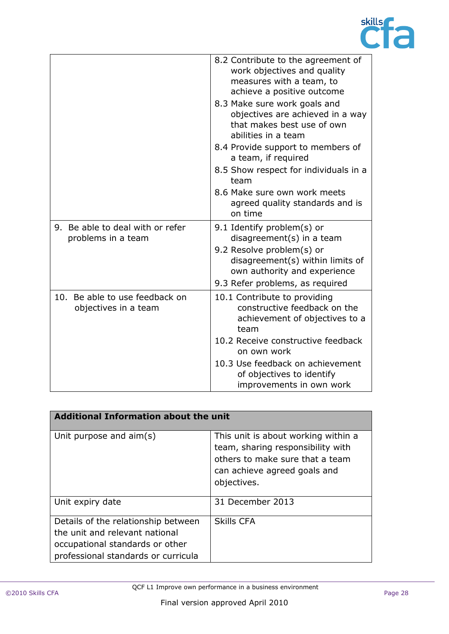

|                                                           | 8.2 Contribute to the agreement of<br>work objectives and quality<br>measures with a team, to<br>achieve a positive outcome<br>8.3 Make sure work goals and |
|-----------------------------------------------------------|-------------------------------------------------------------------------------------------------------------------------------------------------------------|
|                                                           | objectives are achieved in a way<br>that makes best use of own<br>abilities in a team                                                                       |
|                                                           | 8.4 Provide support to members of<br>a team, if required                                                                                                    |
|                                                           | 8.5 Show respect for individuals in a<br>team                                                                                                               |
|                                                           | 8.6 Make sure own work meets<br>agreed quality standards and is<br>on time                                                                                  |
| Be able to deal with or refer<br>9.<br>problems in a team | 9.1 Identify problem(s) or<br>disagreement(s) in a team                                                                                                     |
|                                                           | 9.2 Resolve problem(s) or<br>disagreement(s) within limits of<br>own authority and experience<br>9.3 Refer problems, as required                            |
| 10. Be able to use feedback on<br>objectives in a team    | 10.1 Contribute to providing<br>constructive feedback on the<br>achievement of objectives to a<br>team                                                      |
|                                                           | 10.2 Receive constructive feedback<br>on own work                                                                                                           |
|                                                           | 10.3 Use feedback on achievement<br>of objectives to identify<br>improvements in own work                                                                   |

| <b>Additional Information about the unit</b>                                                                                                    |                                                                                                                                                            |  |
|-------------------------------------------------------------------------------------------------------------------------------------------------|------------------------------------------------------------------------------------------------------------------------------------------------------------|--|
| Unit purpose and $\text{aim}(s)$                                                                                                                | This unit is about working within a<br>team, sharing responsibility with<br>others to make sure that a team<br>can achieve agreed goals and<br>objectives. |  |
| Unit expiry date                                                                                                                                | 31 December 2013                                                                                                                                           |  |
| Details of the relationship between<br>the unit and relevant national<br>occupational standards or other<br>professional standards or curricula | <b>Skills CFA</b>                                                                                                                                          |  |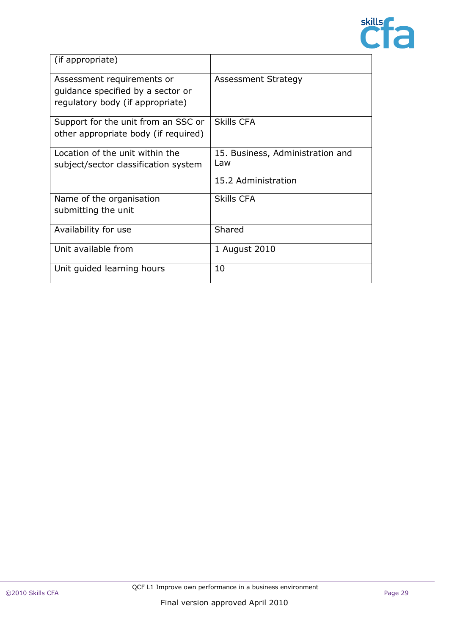

| (if appropriate)                                                                                    |                                                                |
|-----------------------------------------------------------------------------------------------------|----------------------------------------------------------------|
| Assessment requirements or<br>quidance specified by a sector or<br>regulatory body (if appropriate) | <b>Assessment Strategy</b>                                     |
| Support for the unit from an SSC or<br>other appropriate body (if required)                         | <b>Skills CFA</b>                                              |
| Location of the unit within the<br>subject/sector classification system                             | 15. Business, Administration and<br>Law<br>15.2 Administration |
| Name of the organisation<br>submitting the unit                                                     | <b>Skills CFA</b>                                              |
| Availability for use                                                                                | Shared                                                         |
| Unit available from                                                                                 | 1 August 2010                                                  |
| Unit guided learning hours                                                                          | 10                                                             |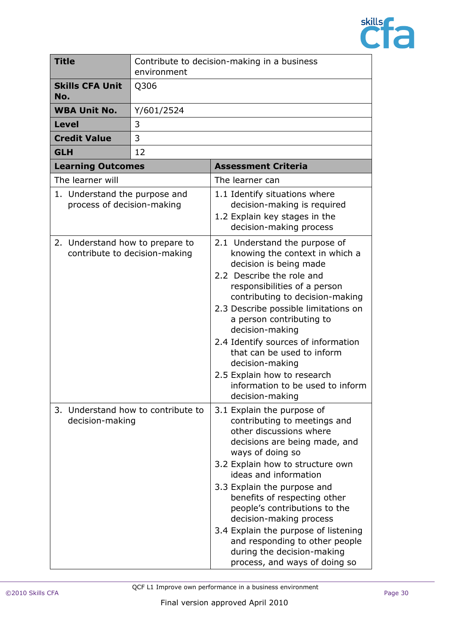

| <b>Title</b>                                                | Contribute to decision-making in a business<br>environment |                                                                                                                                                                                                                                                                                                                                                                                                                                                                             |
|-------------------------------------------------------------|------------------------------------------------------------|-----------------------------------------------------------------------------------------------------------------------------------------------------------------------------------------------------------------------------------------------------------------------------------------------------------------------------------------------------------------------------------------------------------------------------------------------------------------------------|
| <b>Skills CFA Unit</b><br>No.                               | Q306                                                       |                                                                                                                                                                                                                                                                                                                                                                                                                                                                             |
| <b>WBA Unit No.</b>                                         | Y/601/2524                                                 |                                                                                                                                                                                                                                                                                                                                                                                                                                                                             |
| <b>Level</b>                                                | 3                                                          |                                                                                                                                                                                                                                                                                                                                                                                                                                                                             |
| <b>Credit Value</b>                                         | 3                                                          |                                                                                                                                                                                                                                                                                                                                                                                                                                                                             |
| <b>GLH</b>                                                  | 12                                                         |                                                                                                                                                                                                                                                                                                                                                                                                                                                                             |
| <b>Learning Outcomes</b>                                    |                                                            | <b>Assessment Criteria</b>                                                                                                                                                                                                                                                                                                                                                                                                                                                  |
| The learner will                                            |                                                            | The learner can                                                                                                                                                                                                                                                                                                                                                                                                                                                             |
| 1. Understand the purpose and<br>process of decision-making |                                                            | 1.1 Identify situations where<br>decision-making is required<br>1.2 Explain key stages in the<br>decision-making process                                                                                                                                                                                                                                                                                                                                                    |
| 2. Understand how to prepare to                             | contribute to decision-making                              | 2.1 Understand the purpose of<br>knowing the context in which a<br>decision is being made<br>2.2 Describe the role and<br>responsibilities of a person<br>contributing to decision-making<br>2.3 Describe possible limitations on<br>a person contributing to<br>decision-making<br>2.4 Identify sources of information<br>that can be used to inform<br>decision-making<br>2.5 Explain how to research<br>information to be used to inform<br>decision-making              |
| decision-making                                             | 3. Understand how to contribute to                         | 3.1 Explain the purpose of<br>contributing to meetings and<br>other discussions where<br>decisions are being made, and<br>ways of doing so<br>3.2 Explain how to structure own<br>ideas and information<br>3.3 Explain the purpose and<br>benefits of respecting other<br>people's contributions to the<br>decision-making process<br>3.4 Explain the purpose of listening<br>and responding to other people<br>during the decision-making<br>process, and ways of doing so |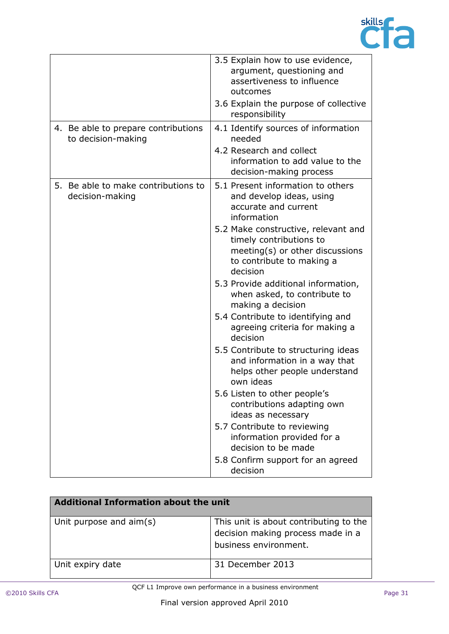

|                                                           | 3.5 Explain how to use evidence,<br>argument, questioning and<br>assertiveness to influence<br>outcomes                                    |
|-----------------------------------------------------------|--------------------------------------------------------------------------------------------------------------------------------------------|
|                                                           | 3.6 Explain the purpose of collective<br>responsibility                                                                                    |
| 4. Be able to prepare contributions<br>to decision-making | 4.1 Identify sources of information<br>needed                                                                                              |
|                                                           | 4.2 Research and collect<br>information to add value to the<br>decision-making process                                                     |
| 5. Be able to make contributions to<br>decision-making    | 5.1 Present information to others<br>and develop ideas, using<br>accurate and current<br>information                                       |
|                                                           | 5.2 Make constructive, relevant and<br>timely contributions to<br>meeting(s) or other discussions<br>to contribute to making a<br>decision |
|                                                           | 5.3 Provide additional information,<br>when asked, to contribute to<br>making a decision                                                   |
|                                                           | 5.4 Contribute to identifying and<br>agreeing criteria for making a<br>decision                                                            |
|                                                           | 5.5 Contribute to structuring ideas<br>and information in a way that<br>helps other people understand<br>own ideas                         |
|                                                           | 5.6 Listen to other people's<br>contributions adapting own<br>ideas as necessary                                                           |
|                                                           | 5.7 Contribute to reviewing<br>information provided for a<br>decision to be made                                                           |
|                                                           | 5.8 Confirm support for an agreed<br>decision                                                                                              |

| <b>Additional Information about the unit</b> |                                                                                                      |  |
|----------------------------------------------|------------------------------------------------------------------------------------------------------|--|
| Unit purpose and aim(s)                      | This unit is about contributing to the<br>decision making process made in a<br>business environment. |  |
| Unit expiry date                             | 31 December 2013                                                                                     |  |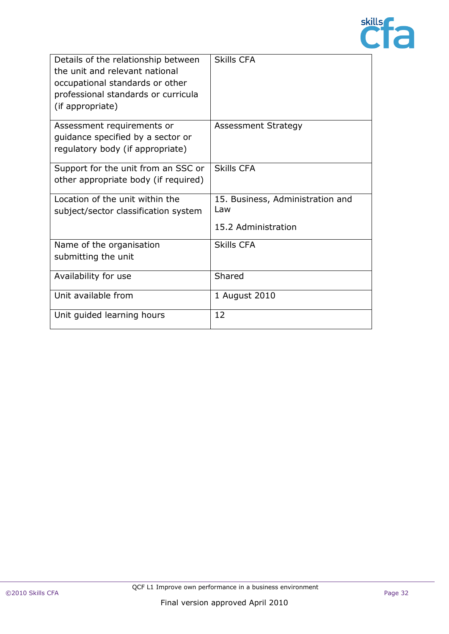

| Details of the relationship between<br>the unit and relevant national<br>occupational standards or other<br>professional standards or curricula<br>(if appropriate) | <b>Skills CFA</b>                                              |
|---------------------------------------------------------------------------------------------------------------------------------------------------------------------|----------------------------------------------------------------|
| Assessment requirements or<br>guidance specified by a sector or<br>regulatory body (if appropriate)                                                                 | <b>Assessment Strategy</b>                                     |
| Support for the unit from an SSC or<br>other appropriate body (if required)                                                                                         | <b>Skills CFA</b>                                              |
| Location of the unit within the<br>subject/sector classification system                                                                                             | 15. Business, Administration and<br>Law<br>15.2 Administration |
| Name of the organisation<br>submitting the unit                                                                                                                     | <b>Skills CFA</b>                                              |
| Availability for use                                                                                                                                                | Shared                                                         |
| Unit available from                                                                                                                                                 | 1 August 2010                                                  |
| Unit guided learning hours                                                                                                                                          | 12                                                             |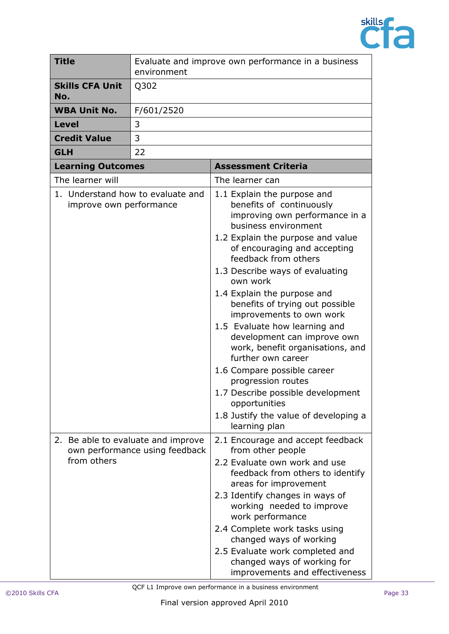

| <b>Title</b>                  | Evaluate and improve own performance in a business<br>environment    |                                                                                                                                                                                                                                                                                                                                                                                                                                                                                                                                                                                                                                                            |
|-------------------------------|----------------------------------------------------------------------|------------------------------------------------------------------------------------------------------------------------------------------------------------------------------------------------------------------------------------------------------------------------------------------------------------------------------------------------------------------------------------------------------------------------------------------------------------------------------------------------------------------------------------------------------------------------------------------------------------------------------------------------------------|
| <b>Skills CFA Unit</b><br>No. | Q302                                                                 |                                                                                                                                                                                                                                                                                                                                                                                                                                                                                                                                                                                                                                                            |
| <b>WBA Unit No.</b>           | F/601/2520                                                           |                                                                                                                                                                                                                                                                                                                                                                                                                                                                                                                                                                                                                                                            |
| <b>Level</b>                  | 3                                                                    |                                                                                                                                                                                                                                                                                                                                                                                                                                                                                                                                                                                                                                                            |
| <b>Credit Value</b>           | 3                                                                    |                                                                                                                                                                                                                                                                                                                                                                                                                                                                                                                                                                                                                                                            |
| <b>GLH</b>                    | 22                                                                   |                                                                                                                                                                                                                                                                                                                                                                                                                                                                                                                                                                                                                                                            |
| <b>Learning Outcomes</b>      |                                                                      | <b>Assessment Criteria</b>                                                                                                                                                                                                                                                                                                                                                                                                                                                                                                                                                                                                                                 |
| The learner will              |                                                                      | The learner can                                                                                                                                                                                                                                                                                                                                                                                                                                                                                                                                                                                                                                            |
| improve own performance       | 1. Understand how to evaluate and                                    | 1.1 Explain the purpose and<br>benefits of continuously<br>improving own performance in a<br>business environment<br>1.2 Explain the purpose and value<br>of encouraging and accepting<br>feedback from others<br>1.3 Describe ways of evaluating<br>own work<br>1.4 Explain the purpose and<br>benefits of trying out possible<br>improvements to own work<br>1.5 Evaluate how learning and<br>development can improve own<br>work, benefit organisations, and<br>further own career<br>1.6 Compare possible career<br>progression routes<br>1.7 Describe possible development<br>opportunities<br>1.8 Justify the value of developing a<br>learning plan |
| from others                   | 2. Be able to evaluate and improve<br>own performance using feedback | 2.1 Encourage and accept feedback<br>from other people<br>2.2 Evaluate own work and use<br>feedback from others to identify<br>areas for improvement<br>2.3 Identify changes in ways of<br>working needed to improve<br>work performance                                                                                                                                                                                                                                                                                                                                                                                                                   |
|                               |                                                                      | 2.4 Complete work tasks using<br>changed ways of working<br>2.5 Evaluate work completed and<br>changed ways of working for<br>improvements and effectiveness                                                                                                                                                                                                                                                                                                                                                                                                                                                                                               |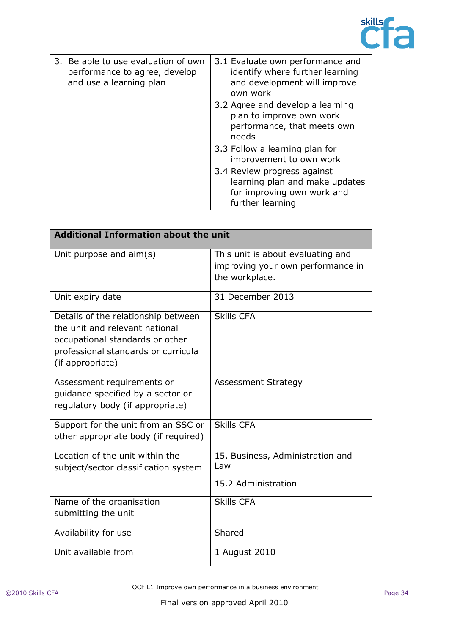

| 3. Be able to use evaluation of own<br>performance to agree, develop<br>and use a learning plan | 3.1 Evaluate own performance and<br>identify where further learning<br>and development will improve<br>own work |
|-------------------------------------------------------------------------------------------------|-----------------------------------------------------------------------------------------------------------------|
|                                                                                                 | 3.2 Agree and develop a learning<br>plan to improve own work<br>performance, that meets own<br>needs            |
|                                                                                                 | 3.3 Follow a learning plan for<br>improvement to own work                                                       |
|                                                                                                 | 3.4 Review progress against<br>learning plan and make updates<br>for improving own work and<br>further learning |

| <b>Additional Information about the unit</b>                                                                                                                        |                                                                                          |  |
|---------------------------------------------------------------------------------------------------------------------------------------------------------------------|------------------------------------------------------------------------------------------|--|
| Unit purpose and aim(s)                                                                                                                                             | This unit is about evaluating and<br>improving your own performance in<br>the workplace. |  |
| Unit expiry date                                                                                                                                                    | 31 December 2013                                                                         |  |
| Details of the relationship between<br>the unit and relevant national<br>occupational standards or other<br>professional standards or curricula<br>(if appropriate) | <b>Skills CFA</b>                                                                        |  |
| Assessment requirements or<br>guidance specified by a sector or<br>regulatory body (if appropriate)                                                                 | <b>Assessment Strategy</b>                                                               |  |
| Support for the unit from an SSC or<br>other appropriate body (if required)                                                                                         | <b>Skills CFA</b>                                                                        |  |
| Location of the unit within the<br>subject/sector classification system                                                                                             | 15. Business, Administration and<br>Law<br>15.2 Administration                           |  |
| Name of the organisation<br>submitting the unit                                                                                                                     | <b>Skills CFA</b>                                                                        |  |
| Availability for use                                                                                                                                                | Shared                                                                                   |  |
| Unit available from                                                                                                                                                 | 1 August 2010                                                                            |  |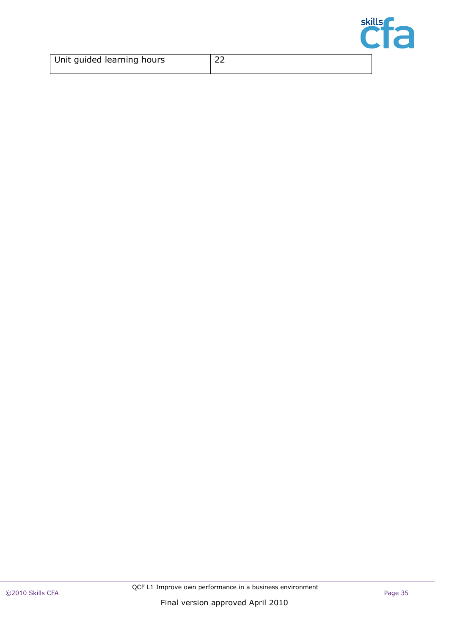

| Unit guided learning hours |  |
|----------------------------|--|
|                            |  |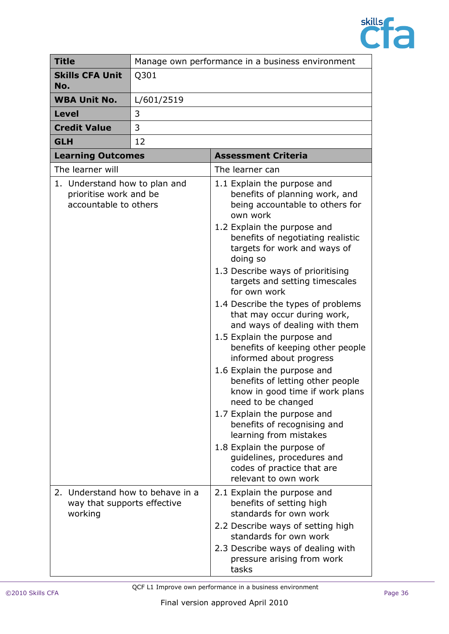

|     | <b>Title</b>                                                                     | Manage own performance in a business environment |                                                                                                                                                                                                                                                                                                                                                                                                                                                                                                                                                                                                                                                                                                                                                                                                                                                               |
|-----|----------------------------------------------------------------------------------|--------------------------------------------------|---------------------------------------------------------------------------------------------------------------------------------------------------------------------------------------------------------------------------------------------------------------------------------------------------------------------------------------------------------------------------------------------------------------------------------------------------------------------------------------------------------------------------------------------------------------------------------------------------------------------------------------------------------------------------------------------------------------------------------------------------------------------------------------------------------------------------------------------------------------|
| No. | <b>Skills CFA Unit</b>                                                           | Q301                                             |                                                                                                                                                                                                                                                                                                                                                                                                                                                                                                                                                                                                                                                                                                                                                                                                                                                               |
|     | <b>WBA Unit No.</b>                                                              | L/601/2519                                       |                                                                                                                                                                                                                                                                                                                                                                                                                                                                                                                                                                                                                                                                                                                                                                                                                                                               |
|     | <b>Level</b>                                                                     | 3                                                |                                                                                                                                                                                                                                                                                                                                                                                                                                                                                                                                                                                                                                                                                                                                                                                                                                                               |
|     | <b>Credit Value</b>                                                              | 3                                                |                                                                                                                                                                                                                                                                                                                                                                                                                                                                                                                                                                                                                                                                                                                                                                                                                                                               |
|     | <b>GLH</b>                                                                       | 12                                               |                                                                                                                                                                                                                                                                                                                                                                                                                                                                                                                                                                                                                                                                                                                                                                                                                                                               |
|     | <b>Learning Outcomes</b>                                                         |                                                  | <b>Assessment Criteria</b>                                                                                                                                                                                                                                                                                                                                                                                                                                                                                                                                                                                                                                                                                                                                                                                                                                    |
|     | The learner will                                                                 |                                                  | The learner can                                                                                                                                                                                                                                                                                                                                                                                                                                                                                                                                                                                                                                                                                                                                                                                                                                               |
|     | 1. Understand how to plan and<br>prioritise work and be<br>accountable to others |                                                  | 1.1 Explain the purpose and<br>benefits of planning work, and<br>being accountable to others for<br>own work<br>1.2 Explain the purpose and<br>benefits of negotiating realistic<br>targets for work and ways of<br>doing so<br>1.3 Describe ways of prioritising<br>targets and setting timescales<br>for own work<br>1.4 Describe the types of problems<br>that may occur during work,<br>and ways of dealing with them<br>1.5 Explain the purpose and<br>benefits of keeping other people<br>informed about progress<br>1.6 Explain the purpose and<br>benefits of letting other people<br>know in good time if work plans<br>need to be changed<br>1.7 Explain the purpose and<br>benefits of recognising and<br>learning from mistakes<br>1.8 Explain the purpose of<br>guidelines, procedures and<br>codes of practice that are<br>relevant to own work |
|     | way that supports effective<br>working                                           | 2. Understand how to behave in a                 | 2.1 Explain the purpose and<br>benefits of setting high<br>standards for own work<br>2.2 Describe ways of setting high<br>standards for own work<br>2.3 Describe ways of dealing with<br>pressure arising from work<br>tasks                                                                                                                                                                                                                                                                                                                                                                                                                                                                                                                                                                                                                                  |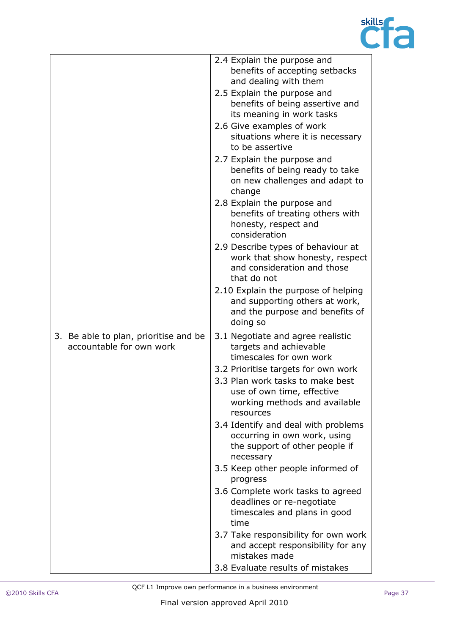

|                                                                   | 2.4 Explain the purpose and<br>benefits of accepting setbacks<br>and dealing with them                               |
|-------------------------------------------------------------------|----------------------------------------------------------------------------------------------------------------------|
|                                                                   | 2.5 Explain the purpose and<br>benefits of being assertive and<br>its meaning in work tasks                          |
|                                                                   | 2.6 Give examples of work<br>situations where it is necessary<br>to be assertive                                     |
|                                                                   | 2.7 Explain the purpose and<br>benefits of being ready to take<br>on new challenges and adapt to<br>change           |
|                                                                   | 2.8 Explain the purpose and<br>benefits of treating others with<br>honesty, respect and<br>consideration             |
|                                                                   | 2.9 Describe types of behaviour at<br>work that show honesty, respect<br>and consideration and those<br>that do not  |
|                                                                   | 2.10 Explain the purpose of helping<br>and supporting others at work,<br>and the purpose and benefits of<br>doing so |
| 3. Be able to plan, prioritise and be<br>accountable for own work | 3.1 Negotiate and agree realistic<br>targets and achievable<br>timescales for own work                               |
|                                                                   | 3.2 Prioritise targets for own work                                                                                  |
|                                                                   | 3.3 Plan work tasks to make best<br>use of own time, effective<br>working methods and available<br>resources         |
|                                                                   | 3.4 Identify and deal with problems<br>occurring in own work, using<br>the support of other people if<br>necessary   |
|                                                                   | 3.5 Keep other people informed of<br>progress                                                                        |
|                                                                   | 3.6 Complete work tasks to agreed<br>deadlines or re-negotiate<br>timescales and plans in good<br>time               |
|                                                                   | 3.7 Take responsibility for own work<br>and accept responsibility for any<br>mistakes made                           |
|                                                                   | 3.8 Evaluate results of mistakes                                                                                     |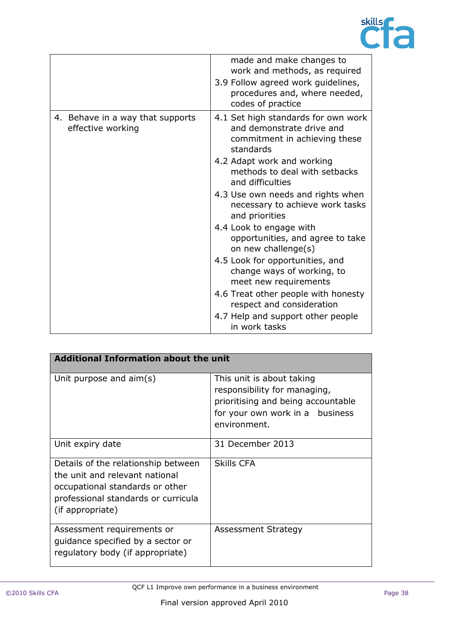

|                                                       | made and make changes to<br>work and methods, as required<br>3.9 Follow agreed work guidelines,<br>procedures and, where needed,<br>codes of practice |
|-------------------------------------------------------|-------------------------------------------------------------------------------------------------------------------------------------------------------|
| 4. Behave in a way that supports<br>effective working | 4.1 Set high standards for own work<br>and demonstrate drive and<br>commitment in achieving these<br>standards                                        |
|                                                       | 4.2 Adapt work and working<br>methods to deal with setbacks<br>and difficulties                                                                       |
|                                                       | 4.3 Use own needs and rights when<br>necessary to achieve work tasks<br>and priorities                                                                |
|                                                       | 4.4 Look to engage with<br>opportunities, and agree to take<br>on new challenge(s)                                                                    |
|                                                       | 4.5 Look for opportunities, and<br>change ways of working, to<br>meet new requirements                                                                |
|                                                       | 4.6 Treat other people with honesty<br>respect and consideration                                                                                      |
|                                                       | 4.7 Help and support other people<br>in work tasks                                                                                                    |

| <b>Additional Information about the unit</b>                                                                                                                        |                                                                                                                                                    |  |
|---------------------------------------------------------------------------------------------------------------------------------------------------------------------|----------------------------------------------------------------------------------------------------------------------------------------------------|--|
| Unit purpose and $\text{aim}(s)$                                                                                                                                    | This unit is about taking<br>responsibility for managing,<br>prioritising and being accountable<br>for your own work in a business<br>environment. |  |
| Unit expiry date                                                                                                                                                    | 31 December 2013                                                                                                                                   |  |
| Details of the relationship between<br>the unit and relevant national<br>occupational standards or other<br>professional standards or curricula<br>(if appropriate) | <b>Skills CFA</b>                                                                                                                                  |  |
| Assessment requirements or<br>guidance specified by a sector or<br>regulatory body (if appropriate)                                                                 | <b>Assessment Strategy</b>                                                                                                                         |  |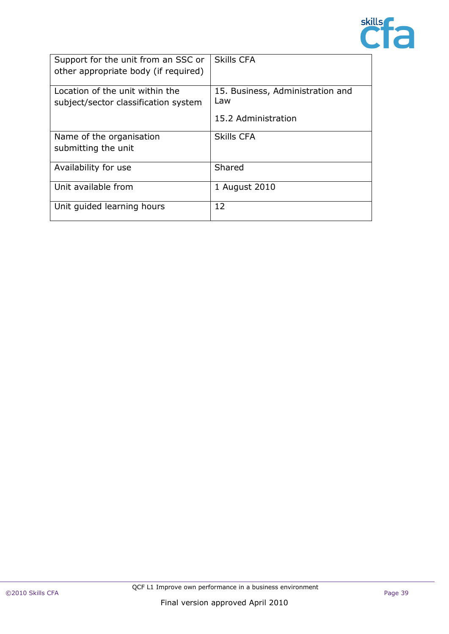

| Support for the unit from an SSC or<br>other appropriate body (if required) | <b>Skills CFA</b>                       |
|-----------------------------------------------------------------------------|-----------------------------------------|
| Location of the unit within the<br>subject/sector classification system     | 15. Business, Administration and<br>Law |
|                                                                             | 15.2 Administration                     |
| Name of the organisation<br>submitting the unit                             | <b>Skills CFA</b>                       |
| Availability for use                                                        | Shared                                  |
| Unit available from                                                         | 1 August 2010                           |
| Unit guided learning hours                                                  | 12                                      |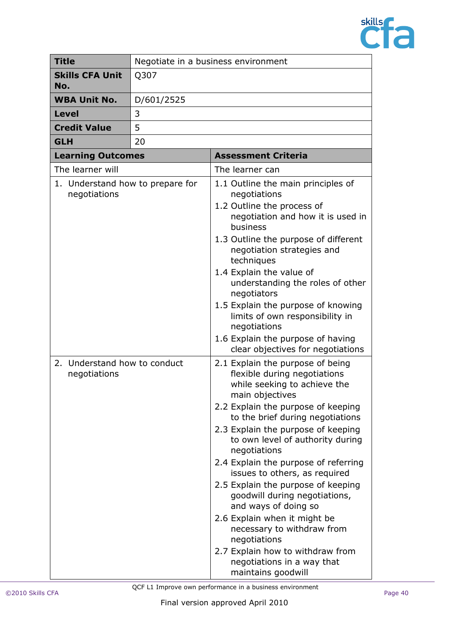

| <b>Title</b>                                     | Negotiate in a business environment |                                                                                                                     |
|--------------------------------------------------|-------------------------------------|---------------------------------------------------------------------------------------------------------------------|
| <b>Skills CFA Unit</b><br>No.                    | Q307                                |                                                                                                                     |
| <b>WBA Unit No.</b>                              | D/601/2525                          |                                                                                                                     |
| <b>Level</b>                                     | 3                                   |                                                                                                                     |
| <b>Credit Value</b>                              | 5                                   |                                                                                                                     |
| <b>GLH</b>                                       | 20                                  |                                                                                                                     |
| <b>Learning Outcomes</b>                         |                                     | <b>Assessment Criteria</b>                                                                                          |
| The learner will                                 |                                     | The learner can                                                                                                     |
| 1. Understand how to prepare for<br>negotiations |                                     | 1.1 Outline the main principles of<br>negotiations                                                                  |
|                                                  |                                     | 1.2 Outline the process of<br>negotiation and how it is used in<br>business                                         |
|                                                  |                                     | 1.3 Outline the purpose of different<br>negotiation strategies and<br>techniques                                    |
|                                                  |                                     | 1.4 Explain the value of<br>understanding the roles of other<br>negotiators                                         |
|                                                  |                                     | 1.5 Explain the purpose of knowing<br>limits of own responsibility in<br>negotiations                               |
|                                                  |                                     | 1.6 Explain the purpose of having<br>clear objectives for negotiations                                              |
| 2. Understand how to conduct<br>negotiations     |                                     | 2.1 Explain the purpose of being<br>flexible during negotiations<br>while seeking to achieve the<br>main objectives |
|                                                  |                                     | 2.2 Explain the purpose of keeping<br>to the brief during negotiations                                              |
|                                                  |                                     | 2.3 Explain the purpose of keeping<br>to own level of authority during<br>negotiations                              |
|                                                  |                                     | 2.4 Explain the purpose of referring<br>issues to others, as required                                               |
|                                                  |                                     | 2.5 Explain the purpose of keeping<br>goodwill during negotiations,<br>and ways of doing so                         |
|                                                  |                                     | 2.6 Explain when it might be<br>necessary to withdraw from<br>negotiations                                          |
|                                                  |                                     | 2.7 Explain how to withdraw from<br>negotiations in a way that<br>maintains goodwill                                |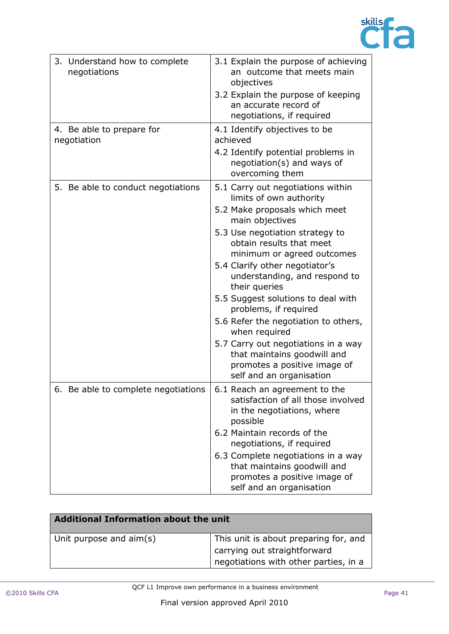

| 3. Understand how to complete<br>negotiations | 3.1 Explain the purpose of achieving<br>an outcome that meets main<br>objectives<br>3.2 Explain the purpose of keeping<br>an accurate record of<br>negotiations, if required |
|-----------------------------------------------|------------------------------------------------------------------------------------------------------------------------------------------------------------------------------|
| 4. Be able to prepare for<br>negotiation      | 4.1 Identify objectives to be<br>achieved<br>4.2 Identify potential problems in                                                                                              |
|                                               | negotiation(s) and ways of<br>overcoming them                                                                                                                                |
| 5. Be able to conduct negotiations            | 5.1 Carry out negotiations within<br>limits of own authority                                                                                                                 |
|                                               | 5.2 Make proposals which meet<br>main objectives                                                                                                                             |
|                                               | 5.3 Use negotiation strategy to<br>obtain results that meet<br>minimum or agreed outcomes                                                                                    |
|                                               | 5.4 Clarify other negotiator's<br>understanding, and respond to<br>their queries                                                                                             |
|                                               | 5.5 Suggest solutions to deal with<br>problems, if required                                                                                                                  |
|                                               | 5.6 Refer the negotiation to others,<br>when required                                                                                                                        |
|                                               | 5.7 Carry out negotiations in a way<br>that maintains goodwill and<br>promotes a positive image of<br>self and an organisation                                               |
| 6. Be able to complete negotiations           | 6.1 Reach an agreement to the<br>satisfaction of all those involved<br>in the negotiations, where<br>possible                                                                |
|                                               | 6.2 Maintain records of the<br>negotiations, if required                                                                                                                     |
|                                               | 6.3 Complete negotiations in a way<br>that maintains goodwill and<br>promotes a positive image of<br>self and an organisation                                                |

| Additional Information about the unit |                                                                                                                |
|---------------------------------------|----------------------------------------------------------------------------------------------------------------|
| Unit purpose and aim(s)               | This unit is about preparing for, and<br>carrying out straightforward<br>negotiations with other parties, in a |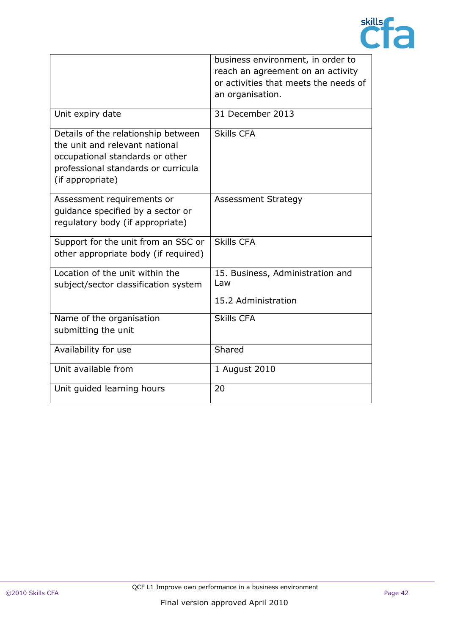

|                                                                                                                                                                     | business environment, in order to<br>reach an agreement on an activity<br>or activities that meets the needs of<br>an organisation. |
|---------------------------------------------------------------------------------------------------------------------------------------------------------------------|-------------------------------------------------------------------------------------------------------------------------------------|
| Unit expiry date                                                                                                                                                    | 31 December 2013                                                                                                                    |
| Details of the relationship between<br>the unit and relevant national<br>occupational standards or other<br>professional standards or curricula<br>(if appropriate) | <b>Skills CFA</b>                                                                                                                   |
| Assessment requirements or<br>quidance specified by a sector or<br>regulatory body (if appropriate)                                                                 | <b>Assessment Strategy</b>                                                                                                          |
| Support for the unit from an SSC or<br>other appropriate body (if required)                                                                                         | <b>Skills CFA</b>                                                                                                                   |
| Location of the unit within the<br>subject/sector classification system                                                                                             | 15. Business, Administration and<br>Law<br>15.2 Administration                                                                      |
| Name of the organisation<br>submitting the unit                                                                                                                     | <b>Skills CFA</b>                                                                                                                   |
| Availability for use                                                                                                                                                | Shared                                                                                                                              |
| Unit available from                                                                                                                                                 | 1 August 2010                                                                                                                       |
| Unit guided learning hours                                                                                                                                          | 20                                                                                                                                  |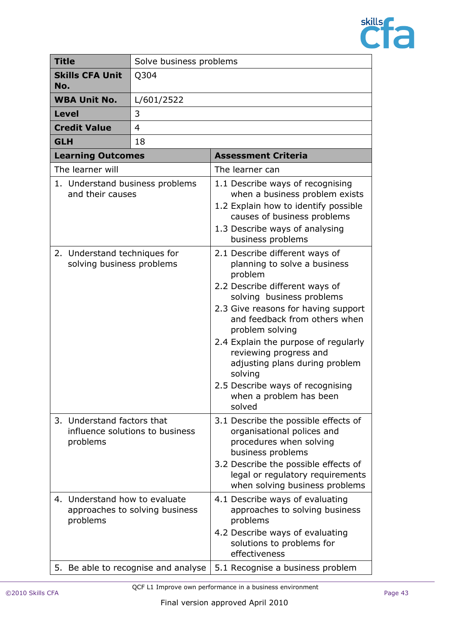

| <b>Title</b>                                        |                                                           | Solve business problems                                         |                                                                                                                                                                                                                                                                                                                                                                                                                             |
|-----------------------------------------------------|-----------------------------------------------------------|-----------------------------------------------------------------|-----------------------------------------------------------------------------------------------------------------------------------------------------------------------------------------------------------------------------------------------------------------------------------------------------------------------------------------------------------------------------------------------------------------------------|
| No.                                                 | <b>Skills CFA Unit</b>                                    | Q304                                                            |                                                                                                                                                                                                                                                                                                                                                                                                                             |
| <b>WBA Unit No.</b><br>L/601/2522                   |                                                           |                                                                 |                                                                                                                                                                                                                                                                                                                                                                                                                             |
| 3<br>Level                                          |                                                           |                                                                 |                                                                                                                                                                                                                                                                                                                                                                                                                             |
|                                                     | <b>Credit Value</b>                                       | 4                                                               |                                                                                                                                                                                                                                                                                                                                                                                                                             |
| <b>GLH</b>                                          |                                                           | 18                                                              |                                                                                                                                                                                                                                                                                                                                                                                                                             |
|                                                     | <b>Learning Outcomes</b>                                  |                                                                 | <b>Assessment Criteria</b>                                                                                                                                                                                                                                                                                                                                                                                                  |
|                                                     | The learner will                                          |                                                                 | The learner can                                                                                                                                                                                                                                                                                                                                                                                                             |
| 1. Understand business problems<br>and their causes |                                                           |                                                                 | 1.1 Describe ways of recognising<br>when a business problem exists<br>1.2 Explain how to identify possible<br>causes of business problems<br>1.3 Describe ways of analysing<br>business problems                                                                                                                                                                                                                            |
|                                                     | 2. Understand techniques for<br>solving business problems |                                                                 | 2.1 Describe different ways of<br>planning to solve a business<br>problem<br>2.2 Describe different ways of<br>solving business problems<br>2.3 Give reasons for having support<br>and feedback from others when<br>problem solving<br>2.4 Explain the purpose of regularly<br>reviewing progress and<br>adjusting plans during problem<br>solving<br>2.5 Describe ways of recognising<br>when a problem has been<br>solved |
|                                                     | 3. Understand factors that<br>problems                    | influence solutions to business                                 | 3.1 Describe the possible effects of<br>organisational polices and<br>procedures when solving<br>business problems<br>3.2 Describe the possible effects of<br>legal or regulatory requirements<br>when solving business problems                                                                                                                                                                                            |
|                                                     | problems                                                  | 4. Understand how to evaluate<br>approaches to solving business | 4.1 Describe ways of evaluating<br>approaches to solving business<br>problems<br>4.2 Describe ways of evaluating<br>solutions to problems for<br>effectiveness                                                                                                                                                                                                                                                              |
|                                                     |                                                           | 5. Be able to recognise and analyse                             | 5.1 Recognise a business problem                                                                                                                                                                                                                                                                                                                                                                                            |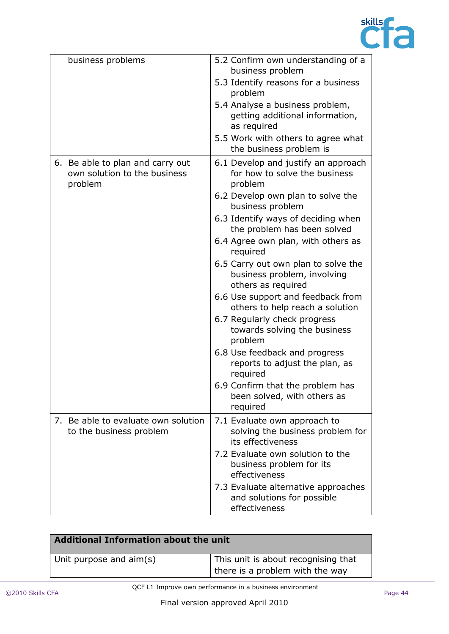

| business problems                                                           | 5.2 Confirm own understanding of a<br>business problem                                   |
|-----------------------------------------------------------------------------|------------------------------------------------------------------------------------------|
|                                                                             | 5.3 Identify reasons for a business<br>problem                                           |
|                                                                             | 5.4 Analyse a business problem,<br>getting additional information,<br>as required        |
|                                                                             | 5.5 Work with others to agree what<br>the business problem is                            |
| 6. Be able to plan and carry out<br>own solution to the business<br>problem | 6.1 Develop and justify an approach<br>for how to solve the business<br>problem          |
|                                                                             | 6.2 Develop own plan to solve the<br>business problem                                    |
|                                                                             | 6.3 Identify ways of deciding when<br>the problem has been solved                        |
|                                                                             | 6.4 Agree own plan, with others as<br>required                                           |
|                                                                             | 6.5 Carry out own plan to solve the<br>business problem, involving<br>others as required |
|                                                                             | 6.6 Use support and feedback from<br>others to help reach a solution                     |
|                                                                             | 6.7 Regularly check progress<br>towards solving the business<br>problem                  |
|                                                                             | 6.8 Use feedback and progress<br>reports to adjust the plan, as<br>required              |
|                                                                             | 6.9 Confirm that the problem has<br>been solved, with others as<br>required              |
| 7. Be able to evaluate own solution<br>to the business problem              | 7.1 Evaluate own approach to<br>solving the business problem for<br>its effectiveness    |
|                                                                             | 7.2 Evaluate own solution to the<br>business problem for its<br>effectiveness            |
|                                                                             | 7.3 Evaluate alternative approaches<br>and solutions for possible<br>effectiveness       |

| <b>Additional Information about the unit</b> |                                                                        |
|----------------------------------------------|------------------------------------------------------------------------|
| Unit purpose and aim(s)                      | This unit is about recognising that<br>there is a problem with the way |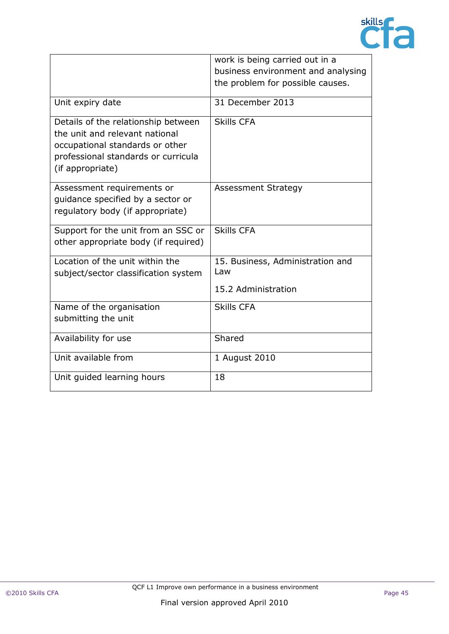

|                                                                                                                                                                     | work is being carried out in a<br>business environment and analysing<br>the problem for possible causes. |
|---------------------------------------------------------------------------------------------------------------------------------------------------------------------|----------------------------------------------------------------------------------------------------------|
| Unit expiry date                                                                                                                                                    | 31 December 2013                                                                                         |
| Details of the relationship between<br>the unit and relevant national<br>occupational standards or other<br>professional standards or curricula<br>(if appropriate) | <b>Skills CFA</b>                                                                                        |
| Assessment requirements or<br>guidance specified by a sector or<br>regulatory body (if appropriate)                                                                 | <b>Assessment Strategy</b>                                                                               |
| Support for the unit from an SSC or<br>other appropriate body (if required)                                                                                         | <b>Skills CFA</b>                                                                                        |
| Location of the unit within the<br>subject/sector classification system                                                                                             | 15. Business, Administration and<br>Law<br>15.2 Administration                                           |
| Name of the organisation<br>submitting the unit                                                                                                                     | <b>Skills CFA</b>                                                                                        |
| Availability for use                                                                                                                                                | Shared                                                                                                   |
| Unit available from                                                                                                                                                 | 1 August 2010                                                                                            |
| Unit guided learning hours                                                                                                                                          | 18                                                                                                       |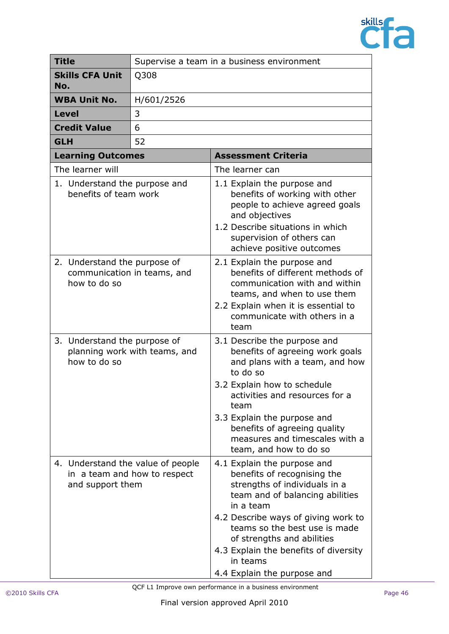

| <b>Title</b> |                                                                             | Supervise a team in a business environment                        |                                                                                                                                                                                                                                                                                                                                       |
|--------------|-----------------------------------------------------------------------------|-------------------------------------------------------------------|---------------------------------------------------------------------------------------------------------------------------------------------------------------------------------------------------------------------------------------------------------------------------------------------------------------------------------------|
| No.          | <b>Skills CFA Unit</b>                                                      | Q308                                                              |                                                                                                                                                                                                                                                                                                                                       |
|              | <b>WBA Unit No.</b>                                                         | H/601/2526                                                        |                                                                                                                                                                                                                                                                                                                                       |
| <b>Level</b> |                                                                             | 3                                                                 |                                                                                                                                                                                                                                                                                                                                       |
|              | <b>Credit Value</b>                                                         | 6                                                                 |                                                                                                                                                                                                                                                                                                                                       |
| <b>GLH</b>   |                                                                             | 52                                                                |                                                                                                                                                                                                                                                                                                                                       |
|              | <b>Learning Outcomes</b>                                                    |                                                                   | <b>Assessment Criteria</b>                                                                                                                                                                                                                                                                                                            |
|              | The learner will                                                            |                                                                   | The learner can                                                                                                                                                                                                                                                                                                                       |
|              | 1. Understand the purpose and<br>benefits of team work                      |                                                                   | 1.1 Explain the purpose and<br>benefits of working with other<br>people to achieve agreed goals<br>and objectives<br>1.2 Describe situations in which<br>supervision of others can<br>achieve positive outcomes                                                                                                                       |
|              | 2. Understand the purpose of<br>communication in teams, and<br>how to do so |                                                                   | 2.1 Explain the purpose and<br>benefits of different methods of<br>communication with and within<br>teams, and when to use them<br>2.2 Explain when it is essential to<br>communicate with others in a<br>team                                                                                                                        |
|              | 3. Understand the purpose of<br>how to do so                                | planning work with teams, and                                     | 3.1 Describe the purpose and<br>benefits of agreeing work goals<br>and plans with a team, and how<br>to do so<br>3.2 Explain how to schedule<br>activities and resources for a<br>team<br>3.3 Explain the purpose and<br>benefits of agreeing quality<br>measures and timescales with a<br>team, and how to do so                     |
|              | and support them                                                            | 4. Understand the value of people<br>in a team and how to respect | 4.1 Explain the purpose and<br>benefits of recognising the<br>strengths of individuals in a<br>team and of balancing abilities<br>in a team<br>4.2 Describe ways of giving work to<br>teams so the best use is made<br>of strengths and abilities<br>4.3 Explain the benefits of diversity<br>in teams<br>4.4 Explain the purpose and |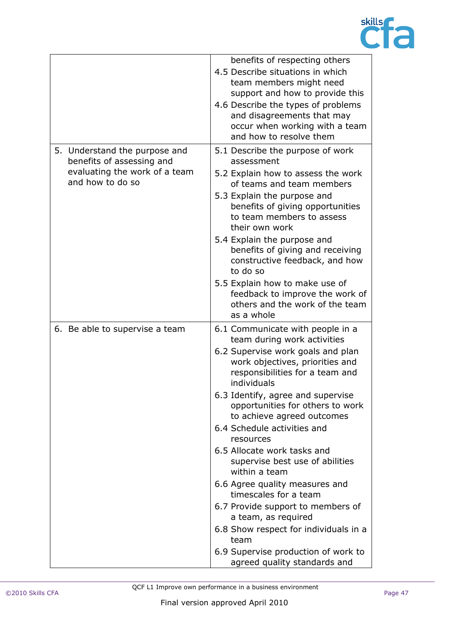

|                                                                                                                 | benefits of respecting others<br>4.5 Describe situations in which<br>team members might need<br>support and how to provide this<br>4.6 Describe the types of problems<br>and disagreements that may<br>occur when working with a team<br>and how to resolve them                                                                                                                                                                                                                                                                                                                                                                                                               |
|-----------------------------------------------------------------------------------------------------------------|--------------------------------------------------------------------------------------------------------------------------------------------------------------------------------------------------------------------------------------------------------------------------------------------------------------------------------------------------------------------------------------------------------------------------------------------------------------------------------------------------------------------------------------------------------------------------------------------------------------------------------------------------------------------------------|
| 5. Understand the purpose and<br>benefits of assessing and<br>evaluating the work of a team<br>and how to do so | 5.1 Describe the purpose of work<br>assessment<br>5.2 Explain how to assess the work<br>of teams and team members<br>5.3 Explain the purpose and<br>benefits of giving opportunities<br>to team members to assess<br>their own work<br>5.4 Explain the purpose and<br>benefits of giving and receiving<br>constructive feedback, and how<br>to do so<br>5.5 Explain how to make use of<br>feedback to improve the work of<br>others and the work of the team<br>as a whole                                                                                                                                                                                                     |
| 6. Be able to supervise a team                                                                                  | 6.1 Communicate with people in a<br>team during work activities<br>6.2 Supervise work goals and plan<br>work objectives, priorities and<br>responsibilities for a team and<br>individuals<br>6.3 Identify, agree and supervise<br>opportunities for others to work<br>to achieve agreed outcomes<br>6.4 Schedule activities and<br>resources<br>6.5 Allocate work tasks and<br>supervise best use of abilities<br>within a team<br>6.6 Agree quality measures and<br>timescales for a team<br>6.7 Provide support to members of<br>a team, as required<br>6.8 Show respect for individuals in a<br>team<br>6.9 Supervise production of work to<br>agreed quality standards and |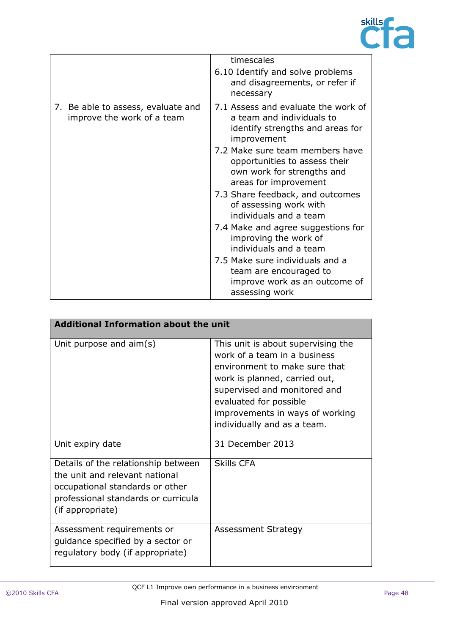

|                                                                  | timescales<br>6.10 Identify and solve problems<br>and disagreements, or refer if<br>necessary                                                                                                                                                                                                                                                                                                                                                                                                                                 |
|------------------------------------------------------------------|-------------------------------------------------------------------------------------------------------------------------------------------------------------------------------------------------------------------------------------------------------------------------------------------------------------------------------------------------------------------------------------------------------------------------------------------------------------------------------------------------------------------------------|
| 7. Be able to assess, evaluate and<br>improve the work of a team | 7.1 Assess and evaluate the work of<br>a team and individuals to<br>identify strengths and areas for<br>improvement<br>7.2 Make sure team members have<br>opportunities to assess their<br>own work for strengths and<br>areas for improvement<br>7.3 Share feedback, and outcomes<br>of assessing work with<br>individuals and a team<br>7.4 Make and agree suggestions for<br>improving the work of<br>individuals and a team<br>7.5 Make sure individuals and a<br>team are encouraged to<br>improve work as an outcome of |
|                                                                  | assessing work                                                                                                                                                                                                                                                                                                                                                                                                                                                                                                                |

| <b>Additional Information about the unit</b>                                                                                                                        |                                                                                                                                                                                                                                                                  |  |
|---------------------------------------------------------------------------------------------------------------------------------------------------------------------|------------------------------------------------------------------------------------------------------------------------------------------------------------------------------------------------------------------------------------------------------------------|--|
| Unit purpose and $\text{aim}(s)$                                                                                                                                    | This unit is about supervising the<br>work of a team in a business<br>environment to make sure that<br>work is planned, carried out,<br>supervised and monitored and<br>evaluated for possible<br>improvements in ways of working<br>individually and as a team. |  |
| Unit expiry date                                                                                                                                                    | 31 December 2013                                                                                                                                                                                                                                                 |  |
| Details of the relationship between<br>the unit and relevant national<br>occupational standards or other<br>professional standards or curricula<br>(if appropriate) | Skills CFA                                                                                                                                                                                                                                                       |  |
| Assessment requirements or<br>guidance specified by a sector or<br>regulatory body (if appropriate)                                                                 | <b>Assessment Strategy</b>                                                                                                                                                                                                                                       |  |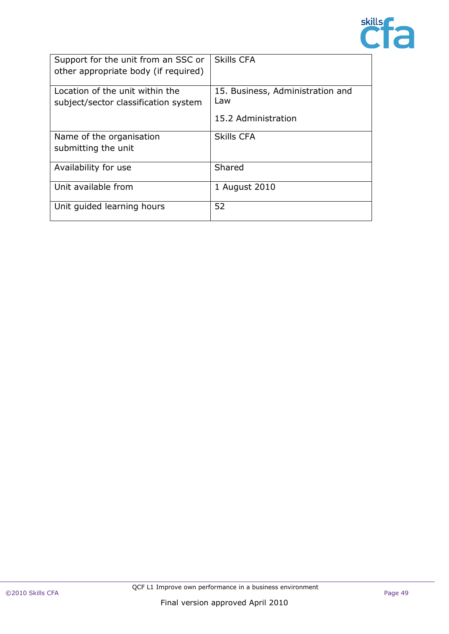

| Support for the unit from an SSC or<br>other appropriate body (if required) | <b>Skills CFA</b>                       |
|-----------------------------------------------------------------------------|-----------------------------------------|
| Location of the unit within the<br>subject/sector classification system     | 15. Business, Administration and<br>Law |
|                                                                             | 15.2 Administration                     |
| Name of the organisation<br>submitting the unit                             | <b>Skills CFA</b>                       |
| Availability for use                                                        | Shared                                  |
| Unit available from                                                         | 1 August 2010                           |
| Unit guided learning hours                                                  | 52                                      |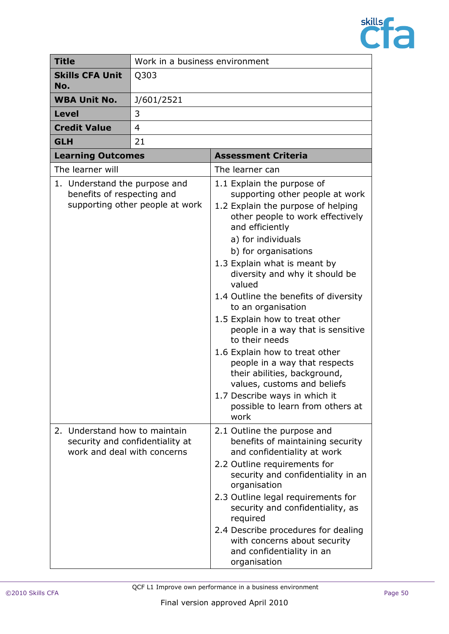

| <b>Title</b>                                                | Work in a business environment                                 |                                                                                                                                                                                                                                                                                                                                                                                                                                                                                                                                                                                                                                                             |
|-------------------------------------------------------------|----------------------------------------------------------------|-------------------------------------------------------------------------------------------------------------------------------------------------------------------------------------------------------------------------------------------------------------------------------------------------------------------------------------------------------------------------------------------------------------------------------------------------------------------------------------------------------------------------------------------------------------------------------------------------------------------------------------------------------------|
| <b>Skills CFA Unit</b><br>No.                               | Q303                                                           |                                                                                                                                                                                                                                                                                                                                                                                                                                                                                                                                                                                                                                                             |
| <b>WBA Unit No.</b>                                         | J/601/2521                                                     |                                                                                                                                                                                                                                                                                                                                                                                                                                                                                                                                                                                                                                                             |
| <b>Level</b>                                                | 3                                                              |                                                                                                                                                                                                                                                                                                                                                                                                                                                                                                                                                                                                                                                             |
| <b>Credit Value</b>                                         | 4                                                              |                                                                                                                                                                                                                                                                                                                                                                                                                                                                                                                                                                                                                                                             |
| <b>GLH</b>                                                  | 21                                                             |                                                                                                                                                                                                                                                                                                                                                                                                                                                                                                                                                                                                                                                             |
| <b>Learning Outcomes</b>                                    |                                                                | <b>Assessment Criteria</b>                                                                                                                                                                                                                                                                                                                                                                                                                                                                                                                                                                                                                                  |
| The learner will                                            |                                                                | The learner can                                                                                                                                                                                                                                                                                                                                                                                                                                                                                                                                                                                                                                             |
| 1. Understand the purpose and<br>benefits of respecting and | supporting other people at work                                | 1.1 Explain the purpose of<br>supporting other people at work<br>1.2 Explain the purpose of helping<br>other people to work effectively<br>and efficiently<br>a) for individuals<br>b) for organisations<br>1.3 Explain what is meant by<br>diversity and why it should be<br>valued<br>1.4 Outline the benefits of diversity<br>to an organisation<br>1.5 Explain how to treat other<br>people in a way that is sensitive<br>to their needs<br>1.6 Explain how to treat other<br>people in a way that respects<br>their abilities, background,<br>values, customs and beliefs<br>1.7 Describe ways in which it<br>possible to learn from others at<br>work |
| 2. Understand how to maintain                               | security and confidentiality at<br>work and deal with concerns | 2.1 Outline the purpose and<br>benefits of maintaining security<br>and confidentiality at work<br>2.2 Outline requirements for<br>security and confidentiality in an<br>organisation<br>2.3 Outline legal requirements for                                                                                                                                                                                                                                                                                                                                                                                                                                  |
|                                                             |                                                                | security and confidentiality, as<br>required<br>2.4 Describe procedures for dealing<br>with concerns about security<br>and confidentiality in an<br>organisation                                                                                                                                                                                                                                                                                                                                                                                                                                                                                            |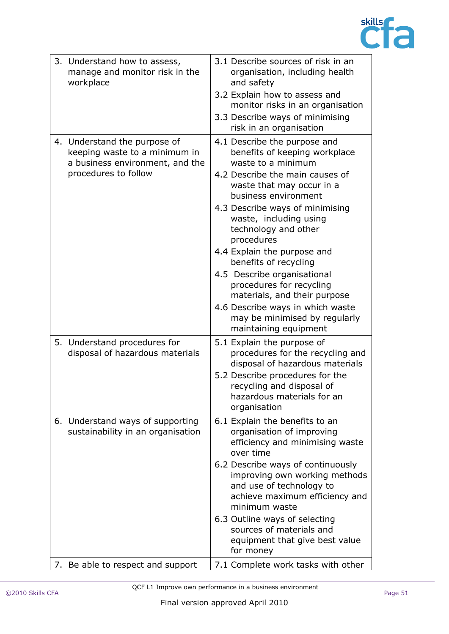

| 3. Understand how to assess,<br>manage and monitor risk in the<br>workplace                                              | 3.1 Describe sources of risk in an<br>organisation, including health<br>and safety<br>3.2 Explain how to assess and<br>monitor risks in an organisation<br>3.3 Describe ways of minimising<br>risk in an organisation                                                                                                                                                                                                                                                                                                           |
|--------------------------------------------------------------------------------------------------------------------------|---------------------------------------------------------------------------------------------------------------------------------------------------------------------------------------------------------------------------------------------------------------------------------------------------------------------------------------------------------------------------------------------------------------------------------------------------------------------------------------------------------------------------------|
| 4. Understand the purpose of<br>keeping waste to a minimum in<br>a business environment, and the<br>procedures to follow | 4.1 Describe the purpose and<br>benefits of keeping workplace<br>waste to a minimum<br>4.2 Describe the main causes of<br>waste that may occur in a<br>business environment<br>4.3 Describe ways of minimising<br>waste, including using<br>technology and other<br>procedures<br>4.4 Explain the purpose and<br>benefits of recycling<br>4.5 Describe organisational<br>procedures for recycling<br>materials, and their purpose<br>4.6 Describe ways in which waste<br>may be minimised by regularly<br>maintaining equipment |
| 5. Understand procedures for<br>disposal of hazardous materials                                                          | 5.1 Explain the purpose of<br>procedures for the recycling and<br>disposal of hazardous materials<br>5.2 Describe procedures for the<br>recycling and disposal of<br>hazardous materials for an<br>organisation                                                                                                                                                                                                                                                                                                                 |
| 6. Understand ways of supporting<br>sustainability in an organisation                                                    | 6.1 Explain the benefits to an<br>organisation of improving<br>efficiency and minimising waste<br>over time<br>6.2 Describe ways of continuously<br>improving own working methods<br>and use of technology to<br>achieve maximum efficiency and<br>minimum waste<br>6.3 Outline ways of selecting<br>sources of materials and<br>equipment that give best value<br>for money                                                                                                                                                    |
| 7. Be able to respect and support                                                                                        | 7.1 Complete work tasks with other                                                                                                                                                                                                                                                                                                                                                                                                                                                                                              |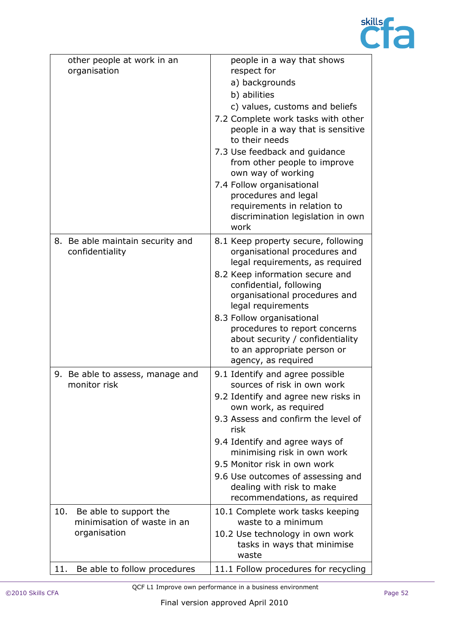

| other people at work in an<br>organisation                                   | people in a way that shows<br>respect for<br>a) backgrounds<br>b) abilities<br>c) values, customs and beliefs<br>7.2 Complete work tasks with other<br>people in a way that is sensitive<br>to their needs<br>7.3 Use feedback and guidance<br>from other people to improve<br>own way of working<br>7.4 Follow organisational<br>procedures and legal<br>requirements in relation to<br>discrimination legislation in own<br>work |
|------------------------------------------------------------------------------|------------------------------------------------------------------------------------------------------------------------------------------------------------------------------------------------------------------------------------------------------------------------------------------------------------------------------------------------------------------------------------------------------------------------------------|
| 8. Be able maintain security and<br>confidentiality                          | 8.1 Keep property secure, following<br>organisational procedures and<br>legal requirements, as required<br>8.2 Keep information secure and<br>confidential, following<br>organisational procedures and<br>legal requirements<br>8.3 Follow organisational<br>procedures to report concerns<br>about security / confidentiality<br>to an appropriate person or<br>agency, as required                                               |
| 9. Be able to assess, manage and<br>monitor risk                             | 9.1 Identify and agree possible<br>sources of risk in own work<br>9.2 Identify and agree new risks in<br>own work, as required<br>9.3 Assess and confirm the level of<br>risk<br>9.4 Identify and agree ways of<br>minimising risk in own work<br>9.5 Monitor risk in own work<br>9.6 Use outcomes of assessing and<br>dealing with risk to make<br>recommendations, as required                                                   |
| 10.<br>Be able to support the<br>minimisation of waste in an<br>organisation | 10.1 Complete work tasks keeping<br>waste to a minimum<br>10.2 Use technology in own work<br>tasks in ways that minimise<br>waste                                                                                                                                                                                                                                                                                                  |
| Be able to follow procedures<br>11.                                          | 11.1 Follow procedures for recycling                                                                                                                                                                                                                                                                                                                                                                                               |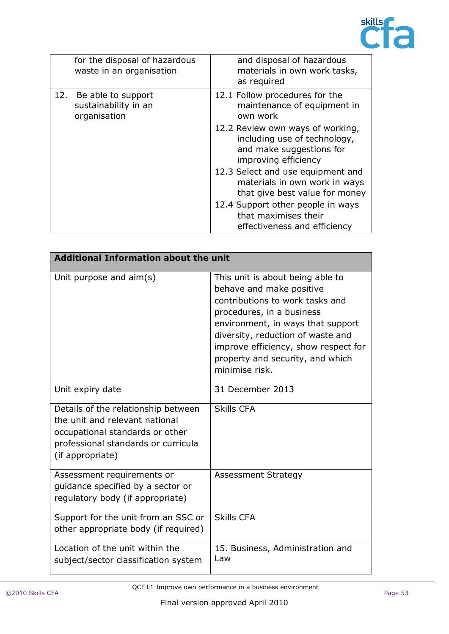

| for the disposal of hazardous<br>waste in an organisation      | and disposal of hazardous<br>materials in own work tasks,<br>as required                                             |
|----------------------------------------------------------------|----------------------------------------------------------------------------------------------------------------------|
| 12. Be able to support<br>sustainability in an<br>organisation | 12.1 Follow procedures for the<br>maintenance of equipment in<br>own work                                            |
|                                                                | 12.2 Review own ways of working,<br>including use of technology,<br>and make suggestions for<br>improving efficiency |
|                                                                | 12.3 Select and use equipment and<br>materials in own work in ways<br>that give best value for money                 |
|                                                                | 12.4 Support other people in ways<br>that maximises their<br>effectiveness and efficiency                            |

| <b>Additional Information about the unit</b>                                                                                                                        |                                                                                                                                                                                                                                                                                                      |
|---------------------------------------------------------------------------------------------------------------------------------------------------------------------|------------------------------------------------------------------------------------------------------------------------------------------------------------------------------------------------------------------------------------------------------------------------------------------------------|
| Unit purpose and $\text{aim}(s)$                                                                                                                                    | This unit is about being able to<br>behave and make positive<br>contributions to work tasks and<br>procedures, in a business<br>environment, in ways that support<br>diversity, reduction of waste and<br>improve efficiency, show respect for<br>property and security, and which<br>minimise risk. |
| Unit expiry date                                                                                                                                                    | 31 December 2013                                                                                                                                                                                                                                                                                     |
| Details of the relationship between<br>the unit and relevant national<br>occupational standards or other<br>professional standards or curricula<br>(if appropriate) | <b>Skills CFA</b>                                                                                                                                                                                                                                                                                    |
| Assessment requirements or<br>quidance specified by a sector or<br>regulatory body (if appropriate)                                                                 | <b>Assessment Strategy</b>                                                                                                                                                                                                                                                                           |
| Support for the unit from an SSC or<br>other appropriate body (if required)                                                                                         | <b>Skills CFA</b>                                                                                                                                                                                                                                                                                    |
| Location of the unit within the<br>subject/sector classification system                                                                                             | 15. Business, Administration and<br>Law                                                                                                                                                                                                                                                              |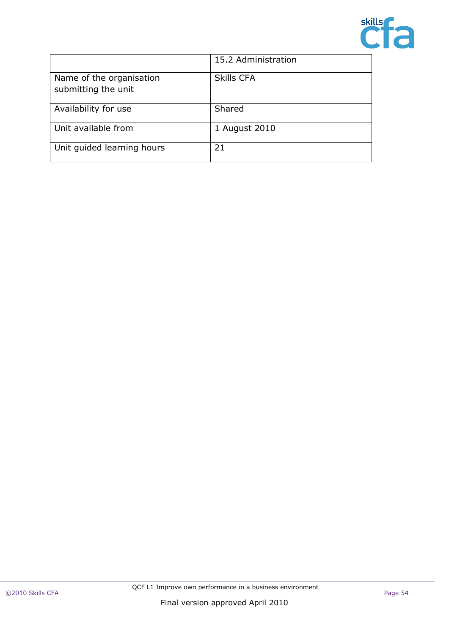

|                                                 | 15.2 Administration |
|-------------------------------------------------|---------------------|
| Name of the organisation<br>submitting the unit | <b>Skills CFA</b>   |
| Availability for use                            | Shared              |
| Unit available from                             | 1 August 2010       |
| Unit guided learning hours                      | 21                  |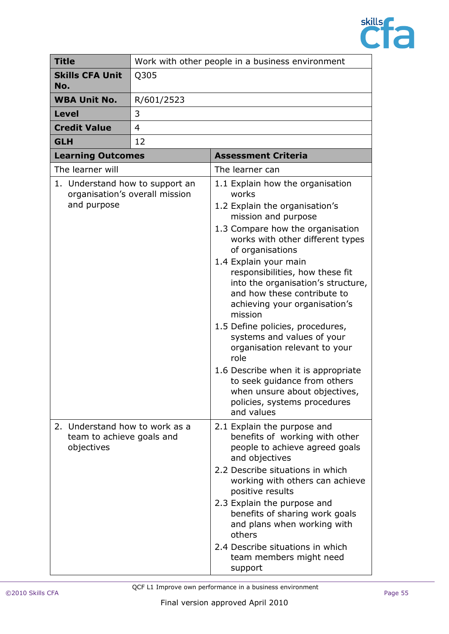

| <b>Title</b>                                                                     | Work with other people in a business environment |                                                                                                                                                                                                                                                                                                                                                                                                                                                                                                                                        |
|----------------------------------------------------------------------------------|--------------------------------------------------|----------------------------------------------------------------------------------------------------------------------------------------------------------------------------------------------------------------------------------------------------------------------------------------------------------------------------------------------------------------------------------------------------------------------------------------------------------------------------------------------------------------------------------------|
| <b>Skills CFA Unit</b><br>No.                                                    | Q305                                             |                                                                                                                                                                                                                                                                                                                                                                                                                                                                                                                                        |
| <b>WBA Unit No.</b>                                                              | R/601/2523                                       |                                                                                                                                                                                                                                                                                                                                                                                                                                                                                                                                        |
| <b>Level</b>                                                                     | 3                                                |                                                                                                                                                                                                                                                                                                                                                                                                                                                                                                                                        |
| <b>Credit Value</b>                                                              | 4                                                |                                                                                                                                                                                                                                                                                                                                                                                                                                                                                                                                        |
| <b>GLH</b>                                                                       | 12                                               |                                                                                                                                                                                                                                                                                                                                                                                                                                                                                                                                        |
| <b>Learning Outcomes</b>                                                         |                                                  | <b>Assessment Criteria</b>                                                                                                                                                                                                                                                                                                                                                                                                                                                                                                             |
| The learner will                                                                 |                                                  | The learner can                                                                                                                                                                                                                                                                                                                                                                                                                                                                                                                        |
| 1. Understand how to support an<br>organisation's overall mission<br>and purpose |                                                  | 1.1 Explain how the organisation<br>works<br>1.2 Explain the organisation's<br>mission and purpose                                                                                                                                                                                                                                                                                                                                                                                                                                     |
|                                                                                  |                                                  | 1.3 Compare how the organisation<br>works with other different types<br>of organisations<br>1.4 Explain your main<br>responsibilities, how these fit<br>into the organisation's structure,<br>and how these contribute to<br>achieving your organisation's<br>mission<br>1.5 Define policies, procedures,<br>systems and values of your<br>organisation relevant to your<br>role<br>1.6 Describe when it is appropriate<br>to seek guidance from others<br>when unsure about objectives.<br>policies, systems procedures<br>and values |
| 2. Understand how to work as a<br>team to achieve goals and<br>objectives        |                                                  | 2.1 Explain the purpose and<br>benefits of working with other<br>people to achieve agreed goals<br>and objectives<br>2.2 Describe situations in which<br>working with others can achieve<br>positive results<br>2.3 Explain the purpose and<br>benefits of sharing work goals<br>and plans when working with<br>others<br>2.4 Describe situations in which<br>team members might need<br>support                                                                                                                                       |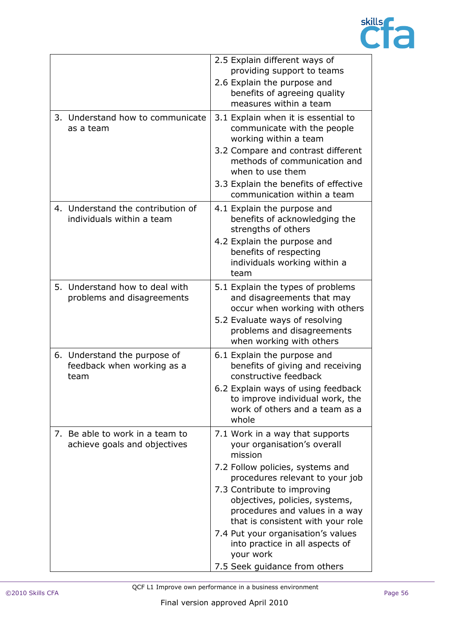

|                                                                    | 2.5 Explain different ways of<br>providing support to teams<br>2.6 Explain the purpose and<br>benefits of agreeing quality<br>measures within a team |
|--------------------------------------------------------------------|------------------------------------------------------------------------------------------------------------------------------------------------------|
| 3. Understand how to communicate<br>as a team                      | 3.1 Explain when it is essential to<br>communicate with the people<br>working within a team                                                          |
|                                                                    | 3.2 Compare and contrast different<br>methods of communication and<br>when to use them                                                               |
|                                                                    | 3.3 Explain the benefits of effective<br>communication within a team                                                                                 |
| 4. Understand the contribution of<br>individuals within a team     | 4.1 Explain the purpose and<br>benefits of acknowledging the<br>strengths of others                                                                  |
|                                                                    | 4.2 Explain the purpose and<br>benefits of respecting<br>individuals working within a<br>team                                                        |
| Understand how to deal with<br>5.<br>problems and disagreements    | 5.1 Explain the types of problems<br>and disagreements that may<br>occur when working with others                                                    |
|                                                                    | 5.2 Evaluate ways of resolving<br>problems and disagreements<br>when working with others                                                             |
| 6. Understand the purpose of<br>feedback when working as a<br>team | 6.1 Explain the purpose and<br>benefits of giving and receiving<br>constructive feedback                                                             |
|                                                                    | 6.2 Explain ways of using feedback<br>to improve individual work, the<br>work of others and a team as a<br>whole                                     |
| 7. Be able to work in a team to<br>achieve goals and objectives    | 7.1 Work in a way that supports<br>your organisation's overall<br>mission                                                                            |
|                                                                    | 7.2 Follow policies, systems and<br>procedures relevant to your job                                                                                  |
|                                                                    | 7.3 Contribute to improving<br>objectives, policies, systems,<br>procedures and values in a way<br>that is consistent with your role                 |
|                                                                    | 7.4 Put your organisation's values<br>into practice in all aspects of<br>your work                                                                   |
|                                                                    | 7.5 Seek guidance from others                                                                                                                        |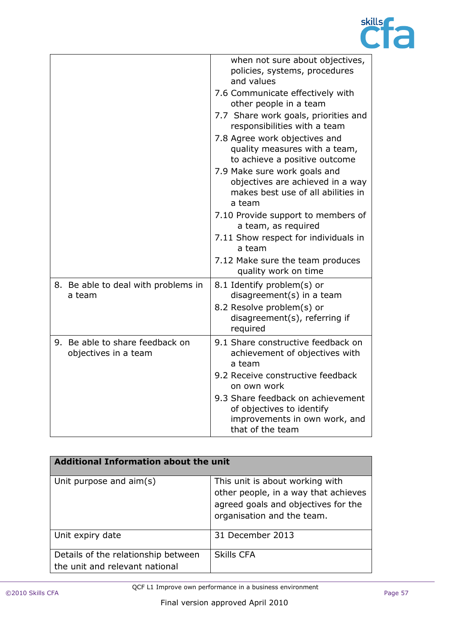

|                                                         | when not sure about objectives,<br>policies, systems, procedures<br>and values                                      |
|---------------------------------------------------------|---------------------------------------------------------------------------------------------------------------------|
|                                                         | 7.6 Communicate effectively with<br>other people in a team                                                          |
|                                                         | 7.7 Share work goals, priorities and<br>responsibilities with a team                                                |
|                                                         | 7.8 Agree work objectives and<br>quality measures with a team,<br>to achieve a positive outcome                     |
|                                                         | 7.9 Make sure work goals and<br>objectives are achieved in a way<br>makes best use of all abilities in<br>a team    |
|                                                         | 7.10 Provide support to members of<br>a team, as required                                                           |
|                                                         | 7.11 Show respect for individuals in<br>a team                                                                      |
|                                                         | 7.12 Make sure the team produces<br>quality work on time                                                            |
| 8. Be able to deal with problems in<br>a team           | 8.1 Identify problem(s) or<br>disagreement(s) in a team                                                             |
|                                                         | 8.2 Resolve problem(s) or<br>disagreement(s), referring if<br>required                                              |
| 9. Be able to share feedback on<br>objectives in a team | 9.1 Share constructive feedback on<br>achievement of objectives with<br>a team                                      |
|                                                         | 9.2 Receive constructive feedback<br>on own work                                                                    |
|                                                         | 9.3 Share feedback on achievement<br>of objectives to identify<br>improvements in own work, and<br>that of the team |

| Additional Information about the unit                                 |                                                                                                                                              |
|-----------------------------------------------------------------------|----------------------------------------------------------------------------------------------------------------------------------------------|
| Unit purpose and aim(s)                                               | This unit is about working with<br>other people, in a way that achieves<br>agreed goals and objectives for the<br>organisation and the team. |
| Unit expiry date                                                      | 31 December 2013                                                                                                                             |
| Details of the relationship between<br>the unit and relevant national | <b>Skills CFA</b>                                                                                                                            |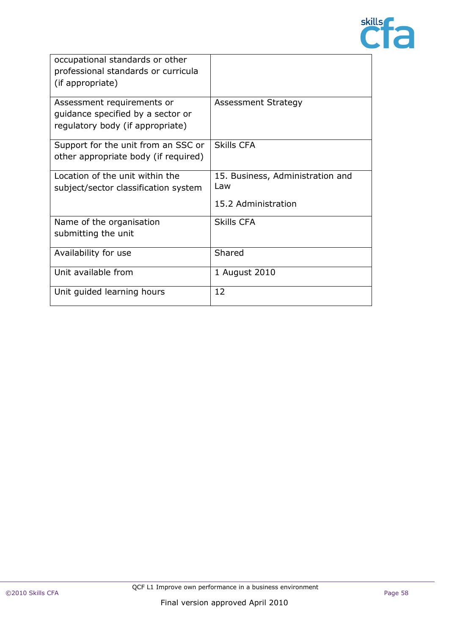

| occupational standards or other<br>professional standards or curricula<br>(if appropriate)          |                                                                |
|-----------------------------------------------------------------------------------------------------|----------------------------------------------------------------|
| Assessment requirements or<br>guidance specified by a sector or<br>regulatory body (if appropriate) | <b>Assessment Strategy</b>                                     |
| Support for the unit from an SSC or<br>other appropriate body (if required)                         | <b>Skills CFA</b>                                              |
| Location of the unit within the<br>subject/sector classification system                             | 15. Business, Administration and<br>Law<br>15.2 Administration |
| Name of the organisation<br>submitting the unit                                                     | Skills CFA                                                     |
| Availability for use                                                                                | Shared                                                         |
| Unit available from                                                                                 | 1 August 2010                                                  |
| Unit guided learning hours                                                                          | 12                                                             |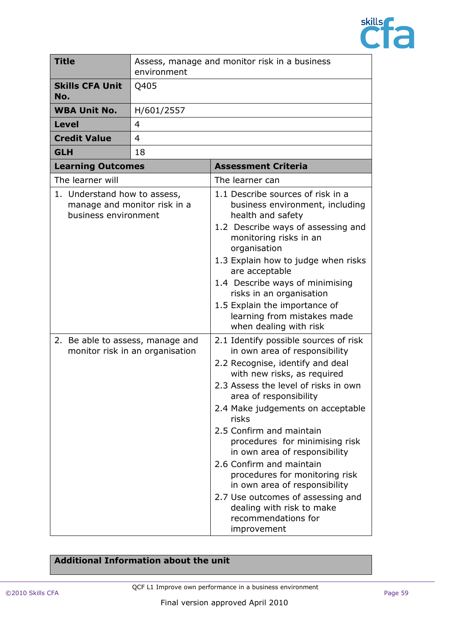

| <b>Title</b>                                                                         | environment                     | Assess, manage and monitor risk in a business                                                                                                                                                                                                                                                                                                                                                                                                                                                                                                                   |
|--------------------------------------------------------------------------------------|---------------------------------|-----------------------------------------------------------------------------------------------------------------------------------------------------------------------------------------------------------------------------------------------------------------------------------------------------------------------------------------------------------------------------------------------------------------------------------------------------------------------------------------------------------------------------------------------------------------|
| <b>Skills CFA Unit</b><br>No.                                                        | Q405                            |                                                                                                                                                                                                                                                                                                                                                                                                                                                                                                                                                                 |
| <b>WBA Unit No.</b>                                                                  | H/601/2557                      |                                                                                                                                                                                                                                                                                                                                                                                                                                                                                                                                                                 |
| <b>Level</b>                                                                         | 4                               |                                                                                                                                                                                                                                                                                                                                                                                                                                                                                                                                                                 |
| <b>Credit Value</b>                                                                  | 4                               |                                                                                                                                                                                                                                                                                                                                                                                                                                                                                                                                                                 |
| <b>GLH</b>                                                                           | 18                              |                                                                                                                                                                                                                                                                                                                                                                                                                                                                                                                                                                 |
| <b>Learning Outcomes</b>                                                             |                                 | <b>Assessment Criteria</b>                                                                                                                                                                                                                                                                                                                                                                                                                                                                                                                                      |
| The learner will                                                                     |                                 | The learner can                                                                                                                                                                                                                                                                                                                                                                                                                                                                                                                                                 |
| 1. Understand how to assess,<br>manage and monitor risk in a<br>business environment |                                 | 1.1 Describe sources of risk in a<br>business environment, including<br>health and safety<br>1.2 Describe ways of assessing and<br>monitoring risks in an<br>organisation<br>1.3 Explain how to judge when risks<br>are acceptable<br>1.4 Describe ways of minimising<br>risks in an organisation<br>1.5 Explain the importance of<br>learning from mistakes made<br>when dealing with risk                                                                                                                                                                     |
| 2. Be able to assess, manage and                                                     | monitor risk in an organisation | 2.1 Identify possible sources of risk<br>in own area of responsibility<br>2.2 Recognise, identify and deal<br>with new risks, as required<br>2.3 Assess the level of risks in own<br>area of responsibility<br>2.4 Make judgements on acceptable<br>risks<br>2.5 Confirm and maintain<br>procedures for minimising risk<br>in own area of responsibility<br>2.6 Confirm and maintain<br>procedures for monitoring risk<br>in own area of responsibility<br>2.7 Use outcomes of assessing and<br>dealing with risk to make<br>recommendations for<br>improvement |

## **Additional Information about the unit**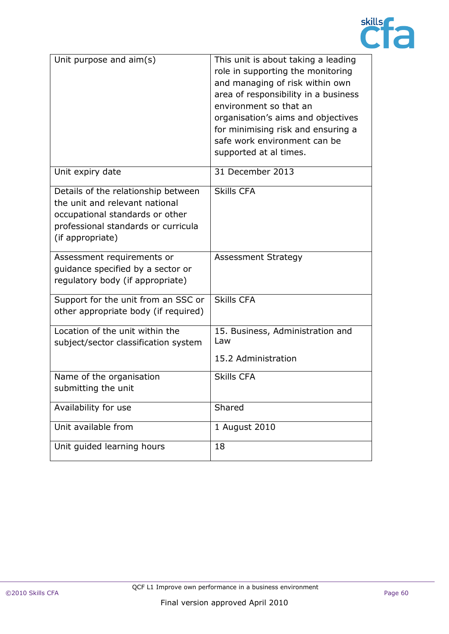

| Unit purpose and aim(s)                                                                                                                                             | This unit is about taking a leading<br>role in supporting the monitoring<br>and managing of risk within own<br>area of responsibility in a business<br>environment so that an<br>organisation's aims and objectives<br>for minimising risk and ensuring a<br>safe work environment can be<br>supported at al times. |
|---------------------------------------------------------------------------------------------------------------------------------------------------------------------|---------------------------------------------------------------------------------------------------------------------------------------------------------------------------------------------------------------------------------------------------------------------------------------------------------------------|
| Unit expiry date                                                                                                                                                    | 31 December 2013                                                                                                                                                                                                                                                                                                    |
| Details of the relationship between<br>the unit and relevant national<br>occupational standards or other<br>professional standards or curricula<br>(if appropriate) | <b>Skills CFA</b>                                                                                                                                                                                                                                                                                                   |
| Assessment requirements or<br>guidance specified by a sector or<br>regulatory body (if appropriate)                                                                 | <b>Assessment Strategy</b>                                                                                                                                                                                                                                                                                          |
| Support for the unit from an SSC or<br>other appropriate body (if required)                                                                                         | Skills CFA                                                                                                                                                                                                                                                                                                          |
| Location of the unit within the<br>subject/sector classification system                                                                                             | 15. Business, Administration and<br>Law<br>15.2 Administration                                                                                                                                                                                                                                                      |
| Name of the organisation<br>submitting the unit                                                                                                                     | <b>Skills CFA</b>                                                                                                                                                                                                                                                                                                   |
| Availability for use                                                                                                                                                | Shared                                                                                                                                                                                                                                                                                                              |
| Unit available from                                                                                                                                                 | 1 August 2010                                                                                                                                                                                                                                                                                                       |
| Unit guided learning hours                                                                                                                                          | 18                                                                                                                                                                                                                                                                                                                  |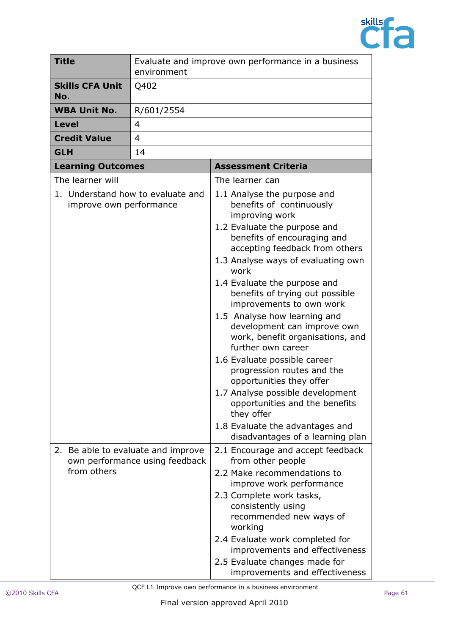

| <b>Title</b>                                      | environment                       | Evaluate and improve own performance in a business                                                                                                                                                                                                                                                                                                                                                                                                                                                                                                                                                                                                                                                    |
|---------------------------------------------------|-----------------------------------|-------------------------------------------------------------------------------------------------------------------------------------------------------------------------------------------------------------------------------------------------------------------------------------------------------------------------------------------------------------------------------------------------------------------------------------------------------------------------------------------------------------------------------------------------------------------------------------------------------------------------------------------------------------------------------------------------------|
| <b>Skills CFA Unit</b><br>No.                     | Q402                              |                                                                                                                                                                                                                                                                                                                                                                                                                                                                                                                                                                                                                                                                                                       |
| <b>WBA Unit No.</b>                               | R/601/2554                        |                                                                                                                                                                                                                                                                                                                                                                                                                                                                                                                                                                                                                                                                                                       |
| <b>Level</b>                                      | 4                                 |                                                                                                                                                                                                                                                                                                                                                                                                                                                                                                                                                                                                                                                                                                       |
| <b>Credit Value</b>                               | 4                                 |                                                                                                                                                                                                                                                                                                                                                                                                                                                                                                                                                                                                                                                                                                       |
| <b>GLH</b>                                        | 14                                |                                                                                                                                                                                                                                                                                                                                                                                                                                                                                                                                                                                                                                                                                                       |
| <b>Learning Outcomes</b>                          |                                   | <b>Assessment Criteria</b>                                                                                                                                                                                                                                                                                                                                                                                                                                                                                                                                                                                                                                                                            |
| The learner will                                  |                                   | The learner can                                                                                                                                                                                                                                                                                                                                                                                                                                                                                                                                                                                                                                                                                       |
| improve own performance                           | 1. Understand how to evaluate and | 1.1 Analyse the purpose and<br>benefits of continuously<br>improving work<br>1.2 Evaluate the purpose and<br>benefits of encouraging and<br>accepting feedback from others<br>1.3 Analyse ways of evaluating own<br>work<br>1.4 Evaluate the purpose and<br>benefits of trying out possible<br>improvements to own work<br>1.5 Analyse how learning and<br>development can improve own<br>work, benefit organisations, and<br>further own career<br>1.6 Evaluate possible career<br>progression routes and the<br>opportunities they offer<br>1.7 Analyse possible development<br>opportunities and the benefits<br>they offer<br>1.8 Evaluate the advantages and<br>disadvantages of a learning plan |
| 2. Be able to evaluate and improve<br>from others | own performance using feedback    | 2.1 Encourage and accept feedback<br>from other people                                                                                                                                                                                                                                                                                                                                                                                                                                                                                                                                                                                                                                                |
|                                                   |                                   | 2.2 Make recommendations to<br>improve work performance                                                                                                                                                                                                                                                                                                                                                                                                                                                                                                                                                                                                                                               |
|                                                   |                                   | 2.3 Complete work tasks,<br>consistently using<br>recommended new ways of<br>working<br>2.4 Evaluate work completed for<br>improvements and effectiveness                                                                                                                                                                                                                                                                                                                                                                                                                                                                                                                                             |
|                                                   |                                   | 2.5 Evaluate changes made for<br>improvements and effectiveness                                                                                                                                                                                                                                                                                                                                                                                                                                                                                                                                                                                                                                       |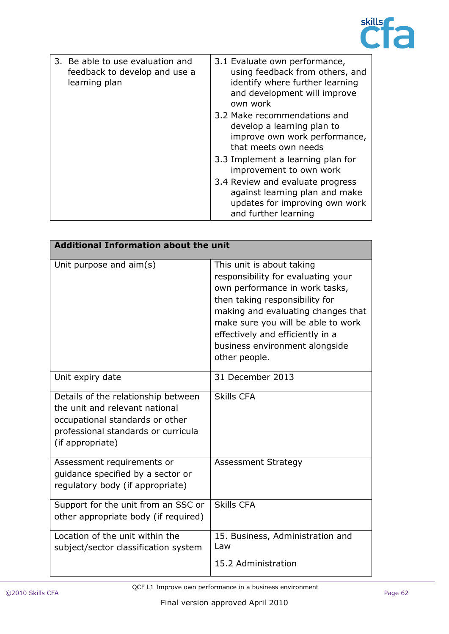

| 3. Be able to use evaluation and<br>feedback to develop and use a<br>learning plan | 3.1 Evaluate own performance,<br>using feedback from others, and<br>identify where further learning<br>and development will improve<br>own work |
|------------------------------------------------------------------------------------|-------------------------------------------------------------------------------------------------------------------------------------------------|
|                                                                                    | 3.2 Make recommendations and<br>develop a learning plan to<br>improve own work performance,<br>that meets own needs                             |
|                                                                                    | 3.3 Implement a learning plan for<br>improvement to own work                                                                                    |
|                                                                                    | 3.4 Review and evaluate progress<br>against learning plan and make<br>updates for improving own work<br>and further learning                    |

| <b>Additional Information about the unit</b>                                                                                                                        |                                                                                                                                                                                                                                                                                                        |
|---------------------------------------------------------------------------------------------------------------------------------------------------------------------|--------------------------------------------------------------------------------------------------------------------------------------------------------------------------------------------------------------------------------------------------------------------------------------------------------|
| Unit purpose and aim(s)                                                                                                                                             | This unit is about taking<br>responsibility for evaluating your<br>own performance in work tasks,<br>then taking responsibility for<br>making and evaluating changes that<br>make sure you will be able to work<br>effectively and efficiently in a<br>business environment alongside<br>other people. |
| Unit expiry date                                                                                                                                                    | 31 December 2013                                                                                                                                                                                                                                                                                       |
| Details of the relationship between<br>the unit and relevant national<br>occupational standards or other<br>professional standards or curricula<br>(if appropriate) | <b>Skills CFA</b>                                                                                                                                                                                                                                                                                      |
| Assessment requirements or<br>guidance specified by a sector or<br>regulatory body (if appropriate)                                                                 | <b>Assessment Strategy</b>                                                                                                                                                                                                                                                                             |
| Support for the unit from an SSC or<br>other appropriate body (if required)                                                                                         | <b>Skills CFA</b>                                                                                                                                                                                                                                                                                      |
| Location of the unit within the<br>subject/sector classification system                                                                                             | 15. Business, Administration and<br>Law<br>15.2 Administration                                                                                                                                                                                                                                         |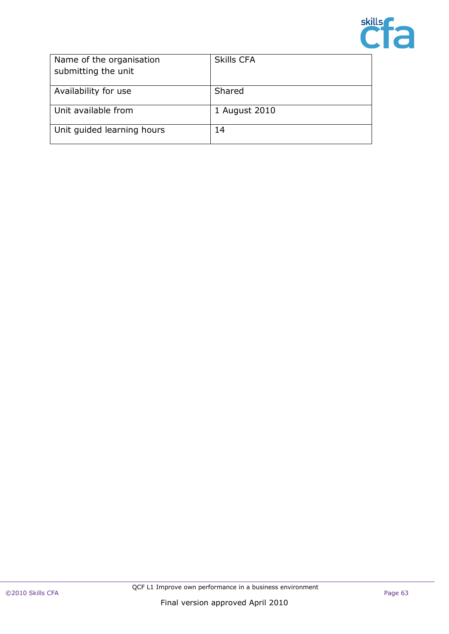

| Name of the organisation<br>submitting the unit | <b>Skills CFA</b> |
|-------------------------------------------------|-------------------|
| Availability for use                            | Shared            |
| Unit available from                             | 1 August 2010     |
| Unit guided learning hours                      | 14                |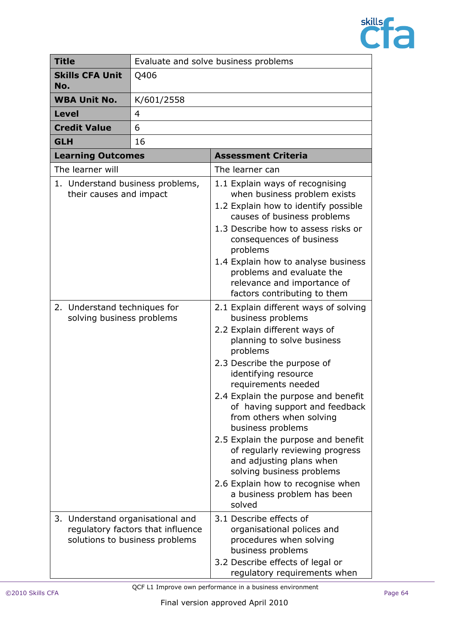

| <b>Title</b>                                                |                          | Evaluate and solve business problems                                                                    |                                                                                                                                                                                                                                                                                                                                                                                                                                                                                                                                                                |
|-------------------------------------------------------------|--------------------------|---------------------------------------------------------------------------------------------------------|----------------------------------------------------------------------------------------------------------------------------------------------------------------------------------------------------------------------------------------------------------------------------------------------------------------------------------------------------------------------------------------------------------------------------------------------------------------------------------------------------------------------------------------------------------------|
| <b>Skills CFA Unit</b><br>No.                               |                          | Q406                                                                                                    |                                                                                                                                                                                                                                                                                                                                                                                                                                                                                                                                                                |
| <b>WBA Unit No.</b>                                         |                          | K/601/2558                                                                                              |                                                                                                                                                                                                                                                                                                                                                                                                                                                                                                                                                                |
| <b>Level</b>                                                |                          | 4                                                                                                       |                                                                                                                                                                                                                                                                                                                                                                                                                                                                                                                                                                |
|                                                             | <b>Credit Value</b>      | 6                                                                                                       |                                                                                                                                                                                                                                                                                                                                                                                                                                                                                                                                                                |
|                                                             | <b>GLH</b>               | 16                                                                                                      |                                                                                                                                                                                                                                                                                                                                                                                                                                                                                                                                                                |
|                                                             | <b>Learning Outcomes</b> |                                                                                                         | <b>Assessment Criteria</b>                                                                                                                                                                                                                                                                                                                                                                                                                                                                                                                                     |
|                                                             | The learner will         |                                                                                                         | The learner can                                                                                                                                                                                                                                                                                                                                                                                                                                                                                                                                                |
| 1. Understand business problems,<br>their causes and impact |                          |                                                                                                         | 1.1 Explain ways of recognising<br>when business problem exists<br>1.2 Explain how to identify possible<br>causes of business problems<br>1.3 Describe how to assess risks or<br>consequences of business<br>problems<br>1.4 Explain how to analyse business<br>problems and evaluate the<br>relevance and importance of<br>factors contributing to them                                                                                                                                                                                                       |
| 2. Understand techniques for<br>solving business problems   |                          |                                                                                                         | 2.1 Explain different ways of solving<br>business problems<br>2.2 Explain different ways of<br>planning to solve business<br>problems<br>2.3 Describe the purpose of<br>identifying resource<br>requirements needed<br>2.4 Explain the purpose and benefit<br>of having support and feedback<br>from others when solving<br>business problems<br>2.5 Explain the purpose and benefit<br>of regularly reviewing progress<br>and adjusting plans when<br>solving business problems<br>2.6 Explain how to recognise when<br>a business problem has been<br>solved |
|                                                             |                          | 3. Understand organisational and<br>regulatory factors that influence<br>solutions to business problems | 3.1 Describe effects of<br>organisational polices and<br>procedures when solving<br>business problems<br>3.2 Describe effects of legal or<br>regulatory requirements when                                                                                                                                                                                                                                                                                                                                                                                      |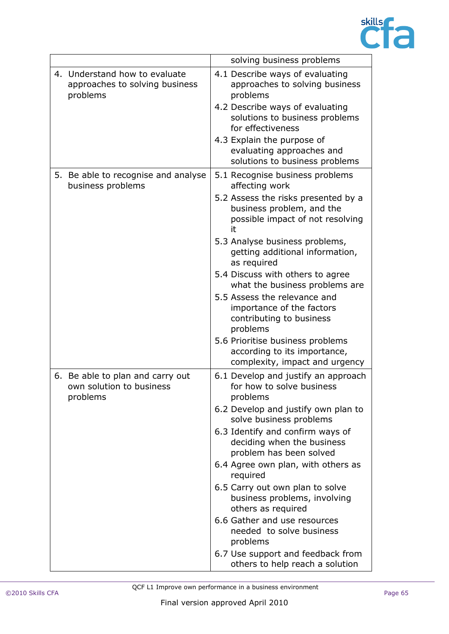

|                                                                             | solving business problems                                                                                                                                                                                                                                                                                                                                                                                                                                                                                                              |
|-----------------------------------------------------------------------------|----------------------------------------------------------------------------------------------------------------------------------------------------------------------------------------------------------------------------------------------------------------------------------------------------------------------------------------------------------------------------------------------------------------------------------------------------------------------------------------------------------------------------------------|
| 4. Understand how to evaluate<br>approaches to solving business<br>problems | 4.1 Describe ways of evaluating<br>approaches to solving business<br>problems<br>4.2 Describe ways of evaluating<br>solutions to business problems<br>for effectiveness<br>4.3 Explain the purpose of<br>evaluating approaches and<br>solutions to business problems                                                                                                                                                                                                                                                                   |
| 5. Be able to recognise and analyse<br>business problems                    | 5.1 Recognise business problems<br>affecting work<br>5.2 Assess the risks presented by a<br>business problem, and the<br>possible impact of not resolving<br>it<br>5.3 Analyse business problems,<br>getting additional information,<br>as required<br>5.4 Discuss with others to agree<br>what the business problems are<br>5.5 Assess the relevance and<br>importance of the factors<br>contributing to business<br>problems<br>5.6 Prioritise business problems<br>according to its importance,<br>complexity, impact and urgency   |
| 6. Be able to plan and carry out<br>own solution to business<br>problems    | 6.1 Develop and justify an approach<br>for how to solve business<br>problems<br>6.2 Develop and justify own plan to<br>solve business problems<br>6.3 Identify and confirm ways of<br>deciding when the business<br>problem has been solved<br>6.4 Agree own plan, with others as<br>required<br>6.5 Carry out own plan to solve<br>business problems, involving<br>others as required<br>6.6 Gather and use resources<br>needed to solve business<br>problems<br>6.7 Use support and feedback from<br>others to help reach a solution |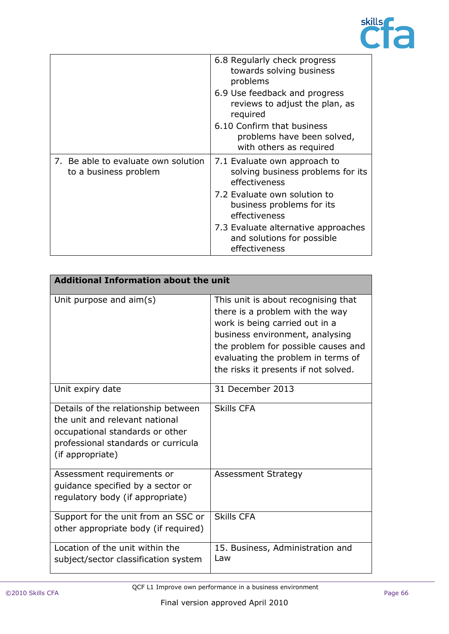

|                                                              | 6.8 Regularly check progress<br>towards solving business<br>problems                |
|--------------------------------------------------------------|-------------------------------------------------------------------------------------|
|                                                              | 6.9 Use feedback and progress<br>reviews to adjust the plan, as<br>required         |
|                                                              | 6.10 Confirm that business<br>problems have been solved,<br>with others as required |
| 7. Be able to evaluate own solution<br>to a business problem | 7.1 Evaluate own approach to<br>solving business problems for its<br>effectiveness  |
|                                                              | 7.2 Evaluate own solution to<br>business problems for its<br>effectiveness          |
|                                                              | 7.3 Evaluate alternative approaches<br>and solutions for possible<br>effectiveness  |

| <b>Additional Information about the unit</b>                                                                                                                        |                                                                                                                                                                                                                                                                  |  |
|---------------------------------------------------------------------------------------------------------------------------------------------------------------------|------------------------------------------------------------------------------------------------------------------------------------------------------------------------------------------------------------------------------------------------------------------|--|
|                                                                                                                                                                     |                                                                                                                                                                                                                                                                  |  |
| Unit purpose and aim(s)                                                                                                                                             | This unit is about recognising that<br>there is a problem with the way<br>work is being carried out in a<br>business environment, analysing<br>the problem for possible causes and<br>evaluating the problem in terms of<br>the risks it presents if not solved. |  |
| Unit expiry date                                                                                                                                                    | 31 December 2013                                                                                                                                                                                                                                                 |  |
| Details of the relationship between<br>the unit and relevant national<br>occupational standards or other<br>professional standards or curricula<br>(if appropriate) | Skills CFA                                                                                                                                                                                                                                                       |  |
| Assessment requirements or<br>quidance specified by a sector or<br>regulatory body (if appropriate)                                                                 | <b>Assessment Strategy</b>                                                                                                                                                                                                                                       |  |
| Support for the unit from an SSC or<br>other appropriate body (if required)                                                                                         | <b>Skills CFA</b>                                                                                                                                                                                                                                                |  |
| Location of the unit within the<br>subject/sector classification system                                                                                             | 15. Business, Administration and<br>Law                                                                                                                                                                                                                          |  |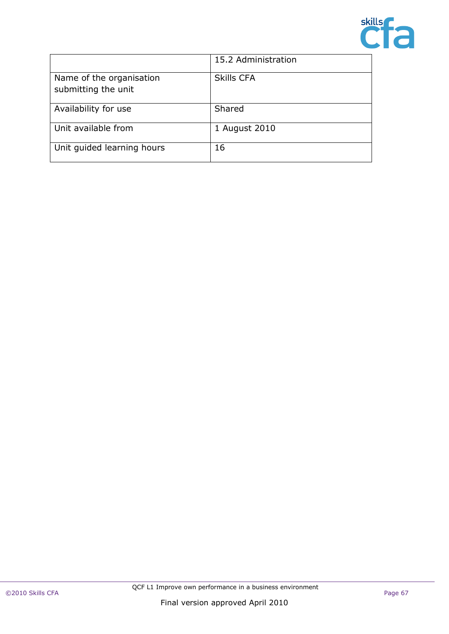

|                                                 | 15.2 Administration |
|-------------------------------------------------|---------------------|
| Name of the organisation<br>submitting the unit | <b>Skills CFA</b>   |
| Availability for use                            | Shared              |
| Unit available from                             | 1 August 2010       |
| Unit guided learning hours                      | 16                  |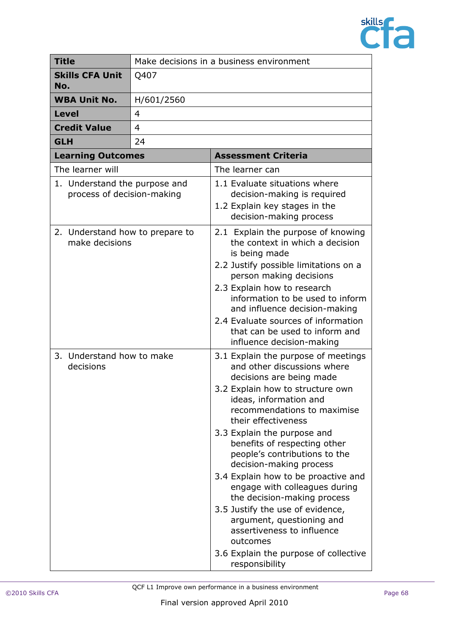

| <b>Title</b>                  |                                                             | Make decisions in a business environment |                                                                                                                                                                                                                                                                                                                                                                                                                                                                                                                                                                                                                            |  |
|-------------------------------|-------------------------------------------------------------|------------------------------------------|----------------------------------------------------------------------------------------------------------------------------------------------------------------------------------------------------------------------------------------------------------------------------------------------------------------------------------------------------------------------------------------------------------------------------------------------------------------------------------------------------------------------------------------------------------------------------------------------------------------------------|--|
| <b>Skills CFA Unit</b><br>No. |                                                             | Q407                                     |                                                                                                                                                                                                                                                                                                                                                                                                                                                                                                                                                                                                                            |  |
|                               | <b>WBA Unit No.</b>                                         | H/601/2560                               |                                                                                                                                                                                                                                                                                                                                                                                                                                                                                                                                                                                                                            |  |
| <b>Level</b>                  |                                                             | 4                                        |                                                                                                                                                                                                                                                                                                                                                                                                                                                                                                                                                                                                                            |  |
|                               | <b>Credit Value</b>                                         | 4                                        |                                                                                                                                                                                                                                                                                                                                                                                                                                                                                                                                                                                                                            |  |
| <b>GLH</b>                    |                                                             | 24                                       |                                                                                                                                                                                                                                                                                                                                                                                                                                                                                                                                                                                                                            |  |
|                               | <b>Learning Outcomes</b>                                    |                                          | <b>Assessment Criteria</b>                                                                                                                                                                                                                                                                                                                                                                                                                                                                                                                                                                                                 |  |
|                               | The learner will                                            |                                          | The learner can                                                                                                                                                                                                                                                                                                                                                                                                                                                                                                                                                                                                            |  |
|                               | 1. Understand the purpose and<br>process of decision-making |                                          | 1.1 Evaluate situations where<br>decision-making is required<br>1.2 Explain key stages in the<br>decision-making process                                                                                                                                                                                                                                                                                                                                                                                                                                                                                                   |  |
|                               | 2. Understand how to prepare to<br>make decisions           |                                          | 2.1 Explain the purpose of knowing<br>the context in which a decision<br>is being made<br>2.2 Justify possible limitations on a<br>person making decisions<br>2.3 Explain how to research<br>information to be used to inform<br>and influence decision-making<br>2.4 Evaluate sources of information<br>that can be used to inform and<br>influence decision-making                                                                                                                                                                                                                                                       |  |
|                               | 3. Understand how to make<br>decisions                      |                                          | 3.1 Explain the purpose of meetings<br>and other discussions where<br>decisions are being made<br>3.2 Explain how to structure own<br>ideas, information and<br>recommendations to maximise<br>their effectiveness<br>3.3 Explain the purpose and<br>benefits of respecting other<br>people's contributions to the<br>decision-making process<br>3.4 Explain how to be proactive and<br>engage with colleagues during<br>the decision-making process<br>3.5 Justify the use of evidence,<br>argument, questioning and<br>assertiveness to influence<br>outcomes<br>3.6 Explain the purpose of collective<br>responsibility |  |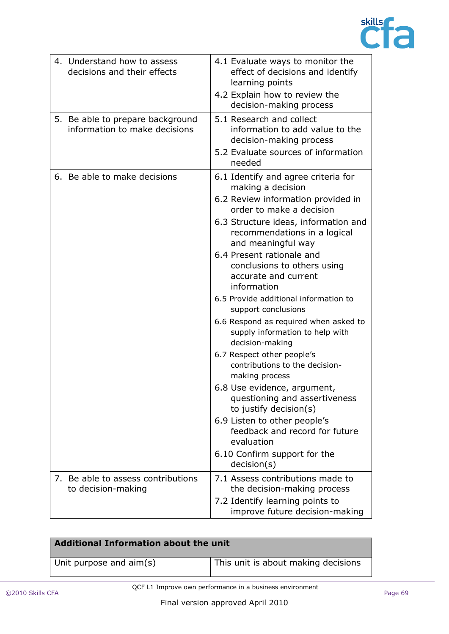

| 4. Understand how to assess<br>decisions and their effects        | 4.1 Evaluate ways to monitor the<br>effect of decisions and identify<br>learning points<br>4.2 Explain how to review the<br>decision-making process                                                                                                                                                                                                                                                                                                                                                                                                                                                                                                                                                                                                                                                   |
|-------------------------------------------------------------------|-------------------------------------------------------------------------------------------------------------------------------------------------------------------------------------------------------------------------------------------------------------------------------------------------------------------------------------------------------------------------------------------------------------------------------------------------------------------------------------------------------------------------------------------------------------------------------------------------------------------------------------------------------------------------------------------------------------------------------------------------------------------------------------------------------|
| 5. Be able to prepare background<br>information to make decisions | 5.1 Research and collect<br>information to add value to the<br>decision-making process<br>5.2 Evaluate sources of information<br>needed                                                                                                                                                                                                                                                                                                                                                                                                                                                                                                                                                                                                                                                               |
| 6. Be able to make decisions                                      | 6.1 Identify and agree criteria for<br>making a decision<br>6.2 Review information provided in<br>order to make a decision<br>6.3 Structure ideas, information and<br>recommendations in a logical<br>and meaningful way<br>6.4 Present rationale and<br>conclusions to others using<br>accurate and current<br>information<br>6.5 Provide additional information to<br>support conclusions<br>6.6 Respond as required when asked to<br>supply information to help with<br>decision-making<br>6.7 Respect other people's<br>contributions to the decision-<br>making process<br>6.8 Use evidence, argument,<br>questioning and assertiveness<br>to justify decision(s)<br>6.9 Listen to other people's<br>feedback and record for future<br>evaluation<br>6.10 Confirm support for the<br>decision(s) |
| 7. Be able to assess contributions<br>to decision-making          | 7.1 Assess contributions made to<br>the decision-making process<br>7.2 Identify learning points to<br>improve future decision-making                                                                                                                                                                                                                                                                                                                                                                                                                                                                                                                                                                                                                                                                  |

| <b>Additional Information about the unit</b> |                                     |  |
|----------------------------------------------|-------------------------------------|--|
| Unit purpose and aim(s)                      | This unit is about making decisions |  |
|                                              |                                     |  |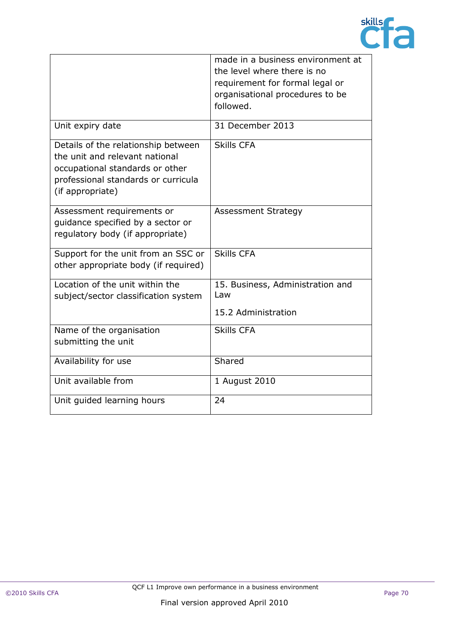

|                                                                                                                                                                     | made in a business environment at<br>the level where there is no<br>requirement for formal legal or<br>organisational procedures to be<br>followed. |
|---------------------------------------------------------------------------------------------------------------------------------------------------------------------|-----------------------------------------------------------------------------------------------------------------------------------------------------|
| Unit expiry date                                                                                                                                                    | 31 December 2013                                                                                                                                    |
| Details of the relationship between<br>the unit and relevant national<br>occupational standards or other<br>professional standards or curricula<br>(if appropriate) | <b>Skills CFA</b>                                                                                                                                   |
| Assessment requirements or<br>guidance specified by a sector or<br>regulatory body (if appropriate)                                                                 | <b>Assessment Strategy</b>                                                                                                                          |
| Support for the unit from an SSC or<br>other appropriate body (if required)                                                                                         | <b>Skills CFA</b>                                                                                                                                   |
| Location of the unit within the<br>subject/sector classification system                                                                                             | 15. Business, Administration and<br>Law<br>15.2 Administration                                                                                      |
| Name of the organisation<br>submitting the unit                                                                                                                     | <b>Skills CFA</b>                                                                                                                                   |
| Availability for use                                                                                                                                                | Shared                                                                                                                                              |
| Unit available from                                                                                                                                                 | 1 August 2010                                                                                                                                       |
| Unit guided learning hours                                                                                                                                          | 24                                                                                                                                                  |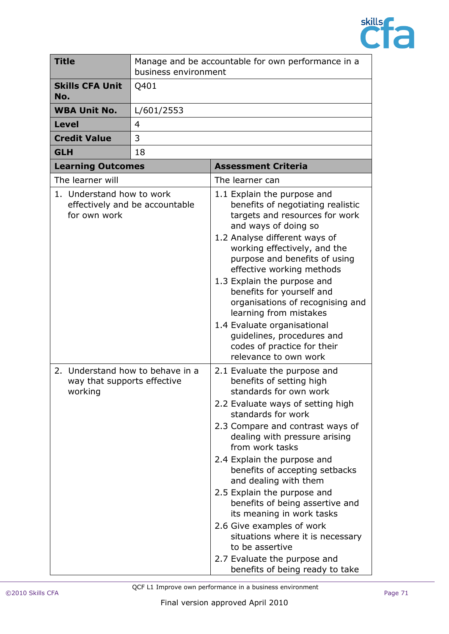

| <b>Title</b>                                                               | Manage and be accountable for own performance in a<br>business environment |                                                                                                                                                                                                                                                                                                                                                                                                                                                                                                                                                                                       |
|----------------------------------------------------------------------------|----------------------------------------------------------------------------|---------------------------------------------------------------------------------------------------------------------------------------------------------------------------------------------------------------------------------------------------------------------------------------------------------------------------------------------------------------------------------------------------------------------------------------------------------------------------------------------------------------------------------------------------------------------------------------|
| <b>Skills CFA Unit</b><br>No.                                              | Q401                                                                       |                                                                                                                                                                                                                                                                                                                                                                                                                                                                                                                                                                                       |
| <b>WBA Unit No.</b>                                                        | L/601/2553                                                                 |                                                                                                                                                                                                                                                                                                                                                                                                                                                                                                                                                                                       |
| <b>Level</b>                                                               | 4                                                                          |                                                                                                                                                                                                                                                                                                                                                                                                                                                                                                                                                                                       |
| <b>Credit Value</b>                                                        | 3                                                                          |                                                                                                                                                                                                                                                                                                                                                                                                                                                                                                                                                                                       |
| <b>GLH</b>                                                                 | 18                                                                         |                                                                                                                                                                                                                                                                                                                                                                                                                                                                                                                                                                                       |
| <b>Learning Outcomes</b>                                                   |                                                                            | <b>Assessment Criteria</b>                                                                                                                                                                                                                                                                                                                                                                                                                                                                                                                                                            |
| The learner will                                                           |                                                                            | The learner can                                                                                                                                                                                                                                                                                                                                                                                                                                                                                                                                                                       |
| 1. Understand how to work<br>for own work                                  | effectively and be accountable                                             | 1.1 Explain the purpose and<br>benefits of negotiating realistic<br>targets and resources for work<br>and ways of doing so<br>1.2 Analyse different ways of<br>working effectively, and the<br>purpose and benefits of using<br>effective working methods<br>1.3 Explain the purpose and<br>benefits for yourself and<br>organisations of recognising and<br>learning from mistakes<br>1.4 Evaluate organisational<br>guidelines, procedures and<br>codes of practice for their<br>relevance to own work                                                                              |
| 2. Understand how to behave in a<br>way that supports effective<br>working |                                                                            | 2.1 Evaluate the purpose and<br>benefits of setting high<br>standards for own work<br>2.2 Evaluate ways of setting high<br>standards for work<br>2.3 Compare and contrast ways of<br>dealing with pressure arising<br>from work tasks<br>2.4 Explain the purpose and<br>benefits of accepting setbacks<br>and dealing with them<br>2.5 Explain the purpose and<br>benefits of being assertive and<br>its meaning in work tasks<br>2.6 Give examples of work<br>situations where it is necessary<br>to be assertive<br>2.7 Evaluate the purpose and<br>benefits of being ready to take |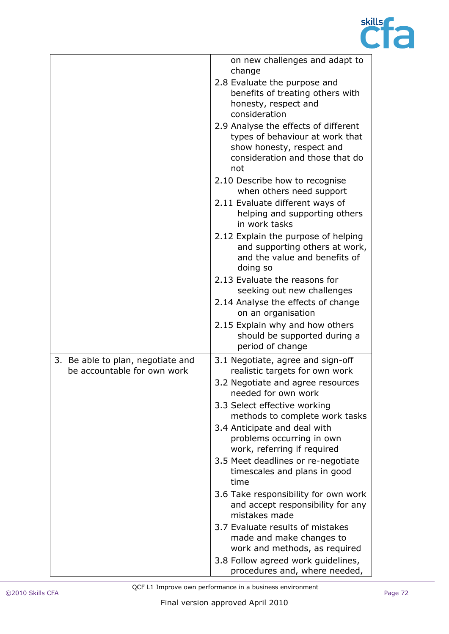

|                                                                  | on new challenges and adapt to<br>change                                                                                                       |
|------------------------------------------------------------------|------------------------------------------------------------------------------------------------------------------------------------------------|
|                                                                  | 2.8 Evaluate the purpose and<br>benefits of treating others with<br>honesty, respect and<br>consideration                                      |
|                                                                  | 2.9 Analyse the effects of different<br>types of behaviour at work that<br>show honesty, respect and<br>consideration and those that do<br>not |
|                                                                  | 2.10 Describe how to recognise<br>when others need support                                                                                     |
|                                                                  | 2.11 Evaluate different ways of<br>helping and supporting others<br>in work tasks                                                              |
|                                                                  | 2.12 Explain the purpose of helping<br>and supporting others at work,<br>and the value and benefits of<br>doing so                             |
|                                                                  | 2.13 Evaluate the reasons for<br>seeking out new challenges                                                                                    |
|                                                                  | 2.14 Analyse the effects of change<br>on an organisation                                                                                       |
|                                                                  | 2.15 Explain why and how others<br>should be supported during a<br>period of change                                                            |
| 3. Be able to plan, negotiate and<br>be accountable for own work | 3.1 Negotiate, agree and sign-off<br>realistic targets for own work                                                                            |
|                                                                  | 3.2 Negotiate and agree resources<br>needed for own work                                                                                       |
|                                                                  | 3.3 Select effective working<br>methods to complete work tasks                                                                                 |
|                                                                  | 3.4 Anticipate and deal with<br>problems occurring in own<br>work, referring if required                                                       |
|                                                                  | 3.5 Meet deadlines or re-negotiate<br>timescales and plans in good<br>time                                                                     |
|                                                                  | 3.6 Take responsibility for own work<br>and accept responsibility for any<br>mistakes made                                                     |
|                                                                  | 3.7 Evaluate results of mistakes<br>made and make changes to<br>work and methods, as required                                                  |
|                                                                  | 3.8 Follow agreed work guidelines,<br>procedures and, where needed,                                                                            |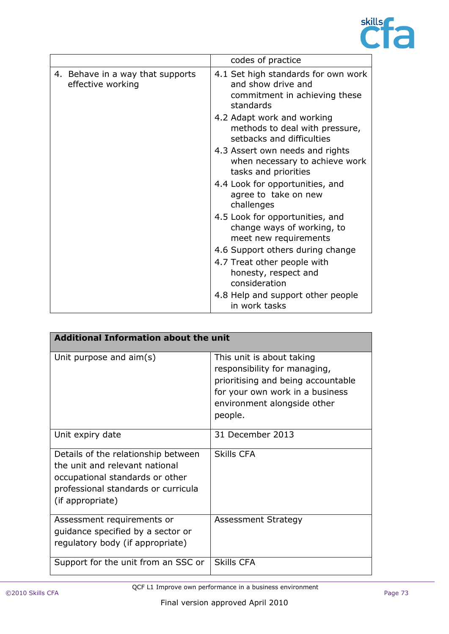

|                                                       | codes of practice                                                                                       |
|-------------------------------------------------------|---------------------------------------------------------------------------------------------------------|
| 4. Behave in a way that supports<br>effective working | 4.1 Set high standards for own work<br>and show drive and<br>commitment in achieving these<br>standards |
|                                                       | 4.2 Adapt work and working<br>methods to deal with pressure,<br>setbacks and difficulties               |
|                                                       | 4.3 Assert own needs and rights<br>when necessary to achieve work<br>tasks and priorities               |
|                                                       | 4.4 Look for opportunities, and<br>agree to take on new<br>challenges                                   |
|                                                       | 4.5 Look for opportunities, and<br>change ways of working, to<br>meet new requirements                  |
|                                                       | 4.6 Support others during change                                                                        |
|                                                       | 4.7 Treat other people with<br>honesty, respect and<br>consideration                                    |
|                                                       | 4.8 Help and support other people<br>in work tasks                                                      |

| <b>Additional Information about the unit</b>                                                                                                                        |                                                                                                                                                                              |  |
|---------------------------------------------------------------------------------------------------------------------------------------------------------------------|------------------------------------------------------------------------------------------------------------------------------------------------------------------------------|--|
| Unit purpose and $\text{aim}(s)$                                                                                                                                    | This unit is about taking<br>responsibility for managing,<br>prioritising and being accountable<br>for your own work in a business<br>environment alongside other<br>people. |  |
| Unit expiry date                                                                                                                                                    | 31 December 2013                                                                                                                                                             |  |
| Details of the relationship between<br>the unit and relevant national<br>occupational standards or other<br>professional standards or curricula<br>(if appropriate) | <b>Skills CFA</b>                                                                                                                                                            |  |
| Assessment requirements or<br>guidance specified by a sector or<br>regulatory body (if appropriate)                                                                 | <b>Assessment Strategy</b>                                                                                                                                                   |  |
| Support for the unit from an SSC or                                                                                                                                 | <b>Skills CFA</b>                                                                                                                                                            |  |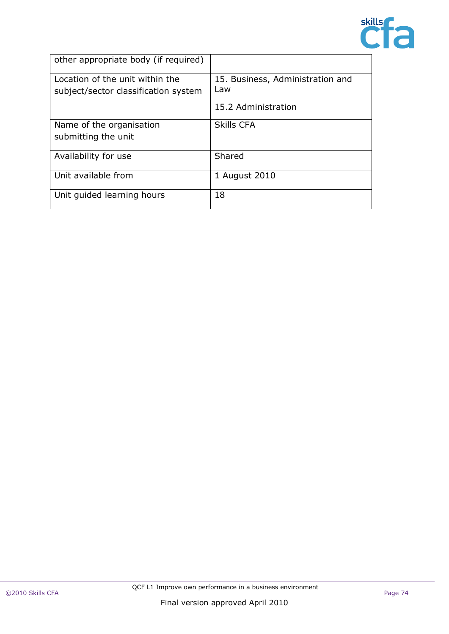

| other appropriate body (if required)                                    |                                         |
|-------------------------------------------------------------------------|-----------------------------------------|
| Location of the unit within the<br>subject/sector classification system | 15. Business, Administration and<br>Law |
|                                                                         | 15.2 Administration                     |
| Name of the organisation                                                | <b>Skills CFA</b>                       |
| submitting the unit                                                     |                                         |
| Availability for use                                                    | Shared                                  |
| Unit available from                                                     | 1 August 2010                           |
| Unit guided learning hours                                              | 18                                      |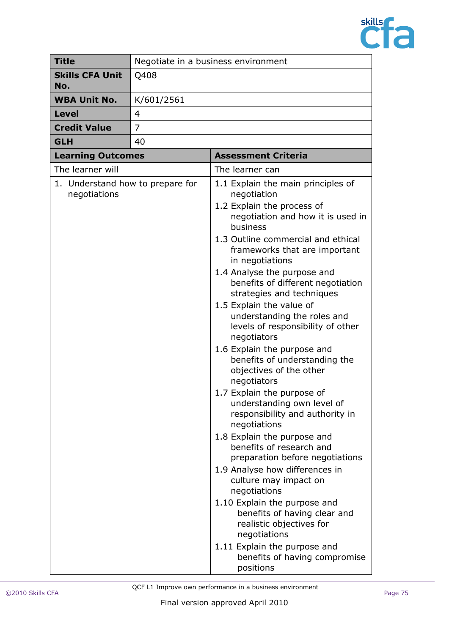

| <b>Title</b>                                     | Negotiate in a business environment |                                                                                                                                                                                                                                                                                                                                                                                                                                                                                                                                                                                                                                                                                                                                                                                                                                                                                                                                                                                                                           |  |
|--------------------------------------------------|-------------------------------------|---------------------------------------------------------------------------------------------------------------------------------------------------------------------------------------------------------------------------------------------------------------------------------------------------------------------------------------------------------------------------------------------------------------------------------------------------------------------------------------------------------------------------------------------------------------------------------------------------------------------------------------------------------------------------------------------------------------------------------------------------------------------------------------------------------------------------------------------------------------------------------------------------------------------------------------------------------------------------------------------------------------------------|--|
| <b>Skills CFA Unit</b><br>No.                    | Q408                                |                                                                                                                                                                                                                                                                                                                                                                                                                                                                                                                                                                                                                                                                                                                                                                                                                                                                                                                                                                                                                           |  |
| <b>WBA Unit No.</b>                              | K/601/2561                          |                                                                                                                                                                                                                                                                                                                                                                                                                                                                                                                                                                                                                                                                                                                                                                                                                                                                                                                                                                                                                           |  |
| Level                                            | 4                                   |                                                                                                                                                                                                                                                                                                                                                                                                                                                                                                                                                                                                                                                                                                                                                                                                                                                                                                                                                                                                                           |  |
| <b>Credit Value</b>                              | 7                                   |                                                                                                                                                                                                                                                                                                                                                                                                                                                                                                                                                                                                                                                                                                                                                                                                                                                                                                                                                                                                                           |  |
| <b>GLH</b>                                       | 40                                  |                                                                                                                                                                                                                                                                                                                                                                                                                                                                                                                                                                                                                                                                                                                                                                                                                                                                                                                                                                                                                           |  |
| <b>Learning Outcomes</b>                         |                                     | <b>Assessment Criteria</b>                                                                                                                                                                                                                                                                                                                                                                                                                                                                                                                                                                                                                                                                                                                                                                                                                                                                                                                                                                                                |  |
| The learner will                                 |                                     | The learner can                                                                                                                                                                                                                                                                                                                                                                                                                                                                                                                                                                                                                                                                                                                                                                                                                                                                                                                                                                                                           |  |
| 1. Understand how to prepare for<br>negotiations |                                     | 1.1 Explain the main principles of<br>negotiation<br>1.2 Explain the process of<br>negotiation and how it is used in<br>business<br>1.3 Outline commercial and ethical<br>frameworks that are important<br>in negotiations<br>1.4 Analyse the purpose and<br>benefits of different negotiation<br>strategies and techniques<br>1.5 Explain the value of<br>understanding the roles and<br>levels of responsibility of other<br>negotiators<br>1.6 Explain the purpose and<br>benefits of understanding the<br>objectives of the other<br>negotiators<br>1.7 Explain the purpose of<br>understanding own level of<br>responsibility and authority in<br>negotiations<br>1.8 Explain the purpose and<br>benefits of research and<br>preparation before negotiations<br>1.9 Analyse how differences in<br>culture may impact on<br>negotiations<br>1.10 Explain the purpose and<br>benefits of having clear and<br>realistic objectives for<br>negotiations<br>1.11 Explain the purpose and<br>benefits of having compromise |  |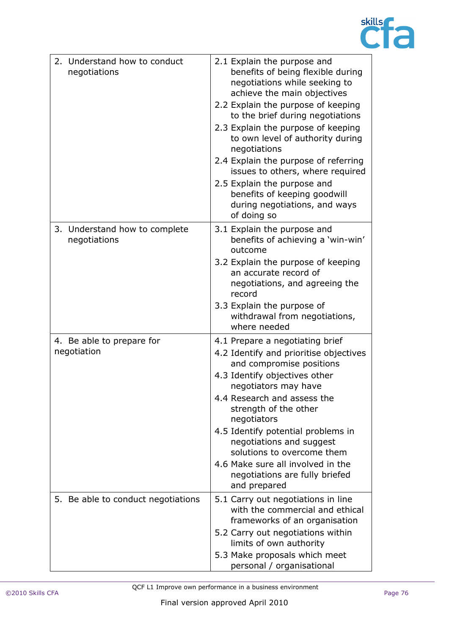

| 2. Understand how to conduct<br>negotiations     | 2.1 Explain the purpose and<br>benefits of being flexible during<br>negotiations while seeking to<br>achieve the main objectives<br>2.2 Explain the purpose of keeping<br>to the brief during negotiations<br>2.3 Explain the purpose of keeping<br>to own level of authority during<br>negotiations<br>2.4 Explain the purpose of referring<br>issues to others, where required<br>2.5 Explain the purpose and<br>benefits of keeping goodwill<br>during negotiations, and ways<br>of doing so |
|--------------------------------------------------|-------------------------------------------------------------------------------------------------------------------------------------------------------------------------------------------------------------------------------------------------------------------------------------------------------------------------------------------------------------------------------------------------------------------------------------------------------------------------------------------------|
| 3.<br>Understand how to complete<br>negotiations | 3.1 Explain the purpose and<br>benefits of achieving a 'win-win'<br>outcome<br>3.2 Explain the purpose of keeping<br>an accurate record of<br>negotiations, and agreeing the<br>record<br>3.3 Explain the purpose of<br>withdrawal from negotiations,<br>where needed                                                                                                                                                                                                                           |
| 4. Be able to prepare for<br>negotiation         | 4.1 Prepare a negotiating brief<br>4.2 Identify and prioritise objectives<br>and compromise positions<br>4.3 Identify objectives other<br>negotiators may have<br>4.4 Research and assess the<br>strength of the other<br>negotiators<br>4.5 Identify potential problems in<br>negotiations and suggest<br>solutions to overcome them<br>4.6 Make sure all involved in the<br>negotiations are fully briefed<br>and prepared                                                                    |
| 5. Be able to conduct negotiations               | 5.1 Carry out negotiations in line<br>with the commercial and ethical<br>frameworks of an organisation<br>5.2 Carry out negotiations within<br>limits of own authority<br>5.3 Make proposals which meet<br>personal / organisational                                                                                                                                                                                                                                                            |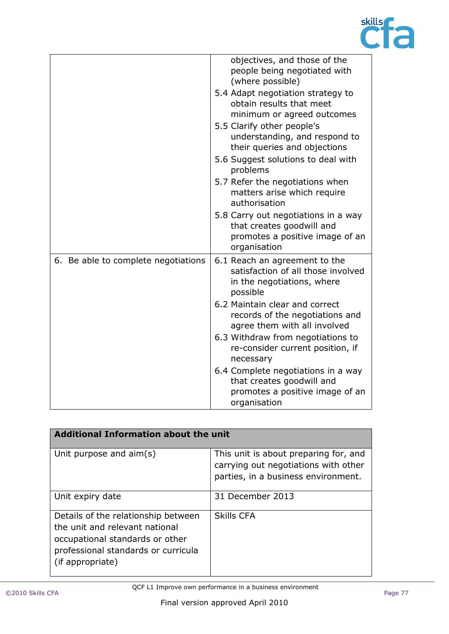

|                                     | objectives, and those of the<br>people being negotiated with<br>(where possible)<br>5.4 Adapt negotiation strategy to<br>obtain results that meet<br>minimum or agreed outcomes<br>5.5 Clarify other people's<br>understanding, and respond to<br>their queries and objections<br>5.6 Suggest solutions to deal with<br>problems<br>5.7 Refer the negotiations when<br>matters arise which require<br>authorisation<br>5.8 Carry out negotiations in a way |
|-------------------------------------|------------------------------------------------------------------------------------------------------------------------------------------------------------------------------------------------------------------------------------------------------------------------------------------------------------------------------------------------------------------------------------------------------------------------------------------------------------|
|                                     | that creates goodwill and<br>promotes a positive image of an<br>organisation                                                                                                                                                                                                                                                                                                                                                                               |
| 6. Be able to complete negotiations | 6.1 Reach an agreement to the<br>satisfaction of all those involved<br>in the negotiations, where<br>possible                                                                                                                                                                                                                                                                                                                                              |
|                                     | 6.2 Maintain clear and correct<br>records of the negotiations and<br>agree them with all involved                                                                                                                                                                                                                                                                                                                                                          |
|                                     | 6.3 Withdraw from negotiations to<br>re-consider current position, if<br>necessary                                                                                                                                                                                                                                                                                                                                                                         |
|                                     | 6.4 Complete negotiations in a way<br>that creates goodwill and<br>promotes a positive image of an<br>organisation                                                                                                                                                                                                                                                                                                                                         |

| <b>Additional Information about the unit</b>                                                                                                                        |                                                                                                                      |  |
|---------------------------------------------------------------------------------------------------------------------------------------------------------------------|----------------------------------------------------------------------------------------------------------------------|--|
| Unit purpose and $aim(s)$                                                                                                                                           | This unit is about preparing for, and<br>carrying out negotiations with other<br>parties, in a business environment. |  |
| Unit expiry date                                                                                                                                                    | 31 December 2013                                                                                                     |  |
| Details of the relationship between<br>the unit and relevant national<br>occupational standards or other<br>professional standards or curricula<br>(if appropriate) | <b>Skills CFA</b>                                                                                                    |  |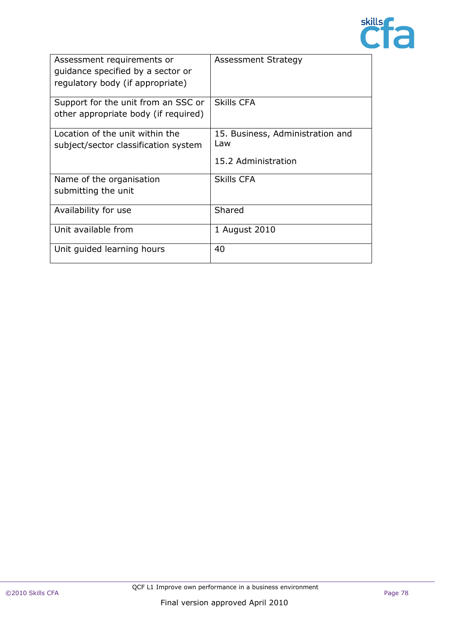

| Assessment requirements or<br>quidance specified by a sector or<br>regulatory body (if appropriate) | <b>Assessment Strategy</b>                                     |
|-----------------------------------------------------------------------------------------------------|----------------------------------------------------------------|
| Support for the unit from an SSC or<br>other appropriate body (if required)                         | <b>Skills CFA</b>                                              |
| Location of the unit within the<br>subject/sector classification system                             | 15. Business, Administration and<br>Law<br>15.2 Administration |
| Name of the organisation<br>submitting the unit                                                     | <b>Skills CFA</b>                                              |
| Availability for use                                                                                | Shared                                                         |
| Unit available from                                                                                 | 1 August 2010                                                  |
| Unit guided learning hours                                                                          | 40                                                             |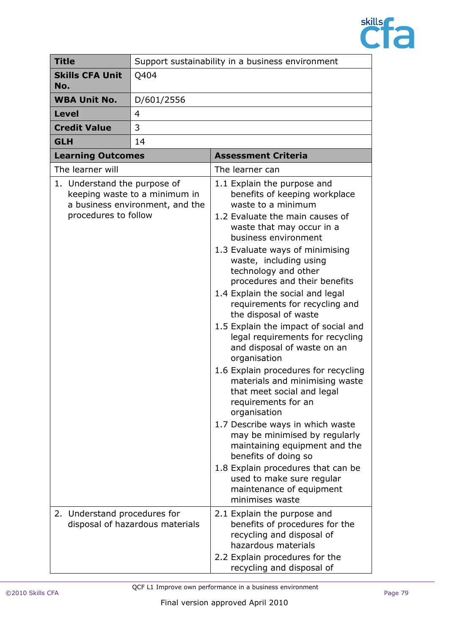

|     | <b>Title</b>                                         | Support sustainability in a business environment                 |                                                                                                                                                                                                                                                                                                                                                                                                                                                                                                                                                                                                                                                                                                                                                                                                                                                                                                                           |
|-----|------------------------------------------------------|------------------------------------------------------------------|---------------------------------------------------------------------------------------------------------------------------------------------------------------------------------------------------------------------------------------------------------------------------------------------------------------------------------------------------------------------------------------------------------------------------------------------------------------------------------------------------------------------------------------------------------------------------------------------------------------------------------------------------------------------------------------------------------------------------------------------------------------------------------------------------------------------------------------------------------------------------------------------------------------------------|
| No. | <b>Skills CFA Unit</b>                               | Q404                                                             |                                                                                                                                                                                                                                                                                                                                                                                                                                                                                                                                                                                                                                                                                                                                                                                                                                                                                                                           |
|     | <b>WBA Unit No.</b>                                  | D/601/2556                                                       |                                                                                                                                                                                                                                                                                                                                                                                                                                                                                                                                                                                                                                                                                                                                                                                                                                                                                                                           |
|     | <b>Level</b>                                         | 4                                                                |                                                                                                                                                                                                                                                                                                                                                                                                                                                                                                                                                                                                                                                                                                                                                                                                                                                                                                                           |
|     | <b>Credit Value</b>                                  | 3                                                                |                                                                                                                                                                                                                                                                                                                                                                                                                                                                                                                                                                                                                                                                                                                                                                                                                                                                                                                           |
|     | <b>GLH</b>                                           | 14                                                               |                                                                                                                                                                                                                                                                                                                                                                                                                                                                                                                                                                                                                                                                                                                                                                                                                                                                                                                           |
|     | <b>Learning Outcomes</b>                             |                                                                  | <b>Assessment Criteria</b>                                                                                                                                                                                                                                                                                                                                                                                                                                                                                                                                                                                                                                                                                                                                                                                                                                                                                                |
|     | The learner will                                     |                                                                  | The learner can                                                                                                                                                                                                                                                                                                                                                                                                                                                                                                                                                                                                                                                                                                                                                                                                                                                                                                           |
|     | 1. Understand the purpose of<br>procedures to follow | keeping waste to a minimum in<br>a business environment, and the | 1.1 Explain the purpose and<br>benefits of keeping workplace<br>waste to a minimum<br>1.2 Evaluate the main causes of<br>waste that may occur in a<br>business environment<br>1.3 Evaluate ways of minimising<br>waste, including using<br>technology and other<br>procedures and their benefits<br>1.4 Explain the social and legal<br>requirements for recycling and<br>the disposal of waste<br>1.5 Explain the impact of social and<br>legal requirements for recycling<br>and disposal of waste on an<br>organisation<br>1.6 Explain procedures for recycling<br>materials and minimising waste<br>that meet social and legal<br>requirements for an<br>organisation<br>1.7 Describe ways in which waste<br>may be minimised by regularly<br>maintaining equipment and the<br>benefits of doing so<br>1.8 Explain procedures that can be<br>used to make sure regular<br>maintenance of equipment<br>minimises waste |
|     | 2. Understand procedures for                         | disposal of hazardous materials                                  | 2.1 Explain the purpose and<br>benefits of procedures for the<br>recycling and disposal of<br>hazardous materials<br>2.2 Explain procedures for the<br>recycling and disposal of                                                                                                                                                                                                                                                                                                                                                                                                                                                                                                                                                                                                                                                                                                                                          |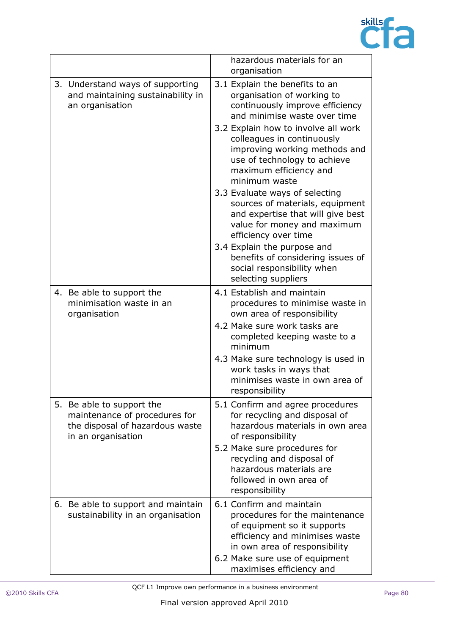

|                                                                                                                     | hazardous materials for an<br>organisation                                                                                                                                    |
|---------------------------------------------------------------------------------------------------------------------|-------------------------------------------------------------------------------------------------------------------------------------------------------------------------------|
| 3. Understand ways of supporting<br>and maintaining sustainability in<br>an organisation                            | 3.1 Explain the benefits to an<br>organisation of working to<br>continuously improve efficiency<br>and minimise waste over time                                               |
|                                                                                                                     | 3.2 Explain how to involve all work<br>colleagues in continuously<br>improving working methods and<br>use of technology to achieve<br>maximum efficiency and<br>minimum waste |
|                                                                                                                     | 3.3 Evaluate ways of selecting<br>sources of materials, equipment<br>and expertise that will give best<br>value for money and maximum<br>efficiency over time                 |
|                                                                                                                     | 3.4 Explain the purpose and<br>benefits of considering issues of<br>social responsibility when<br>selecting suppliers                                                         |
| 4. Be able to support the<br>minimisation waste in an<br>organisation                                               | 4.1 Establish and maintain<br>procedures to minimise waste in<br>own area of responsibility                                                                                   |
|                                                                                                                     | 4.2 Make sure work tasks are<br>completed keeping waste to a<br>minimum                                                                                                       |
|                                                                                                                     | 4.3 Make sure technology is used in<br>work tasks in ways that<br>minimises waste in own area of<br>responsibility                                                            |
| 5. Be able to support the<br>maintenance of procedures for<br>the disposal of hazardous waste<br>in an organisation | 5.1 Confirm and agree procedures<br>for recycling and disposal of<br>hazardous materials in own area<br>of responsibility                                                     |
|                                                                                                                     | 5.2 Make sure procedures for<br>recycling and disposal of<br>hazardous materials are<br>followed in own area of<br>responsibility                                             |
| 6. Be able to support and maintain<br>sustainability in an organisation                                             | 6.1 Confirm and maintain<br>procedures for the maintenance<br>of equipment so it supports<br>efficiency and minimises waste<br>in own area of responsibility                  |
|                                                                                                                     | 6.2 Make sure use of equipment<br>maximises efficiency and                                                                                                                    |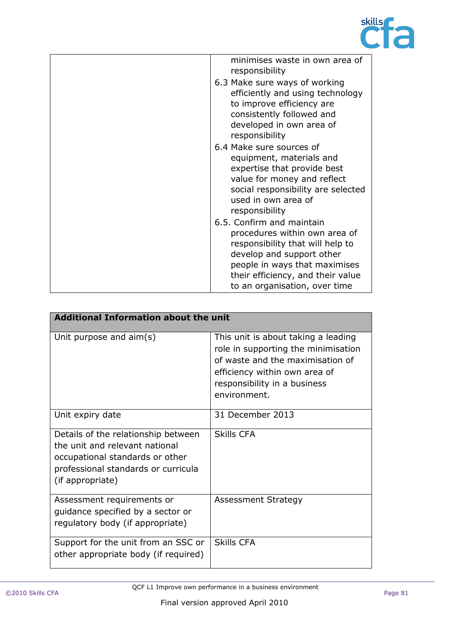

| minimises waste in own area of<br>responsibility                                                                                                                                                                                   |
|------------------------------------------------------------------------------------------------------------------------------------------------------------------------------------------------------------------------------------|
| 6.3 Make sure ways of working<br>efficiently and using technology<br>to improve efficiency are<br>consistently followed and<br>developed in own area of<br>responsibility                                                          |
| 6.4 Make sure sources of<br>equipment, materials and<br>expertise that provide best<br>value for money and reflect<br>social responsibility are selected<br>used in own area of<br>responsibility                                  |
| 6.5. Confirm and maintain<br>procedures within own area of<br>responsibility that will help to<br>develop and support other<br>people in ways that maximises<br>their efficiency, and their value<br>to an organisation, over time |

| <b>Additional Information about the unit</b>                                                                                                                        |                                                                                                                                                                                                 |
|---------------------------------------------------------------------------------------------------------------------------------------------------------------------|-------------------------------------------------------------------------------------------------------------------------------------------------------------------------------------------------|
| Unit purpose and aim(s)                                                                                                                                             | This unit is about taking a leading<br>role in supporting the minimisation<br>of waste and the maximisation of<br>efficiency within own area of<br>responsibility in a business<br>environment. |
| Unit expiry date                                                                                                                                                    | 31 December 2013                                                                                                                                                                                |
| Details of the relationship between<br>the unit and relevant national<br>occupational standards or other<br>professional standards or curricula<br>(if appropriate) | <b>Skills CFA</b>                                                                                                                                                                               |
| Assessment requirements or<br>guidance specified by a sector or<br>regulatory body (if appropriate)                                                                 | <b>Assessment Strategy</b>                                                                                                                                                                      |
| Support for the unit from an SSC or<br>other appropriate body (if required)                                                                                         | <b>Skills CFA</b>                                                                                                                                                                               |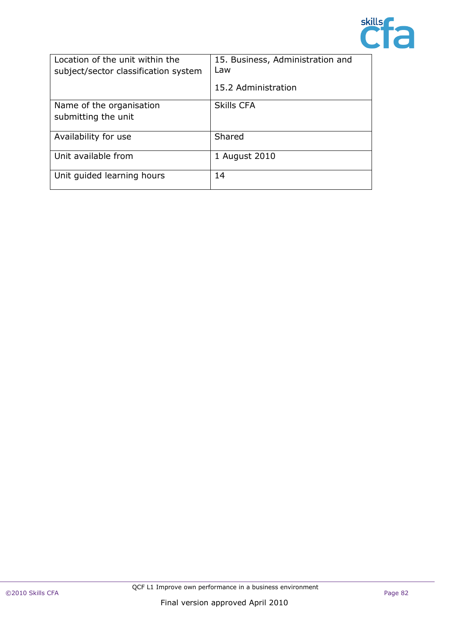

| Location of the unit within the<br>subject/sector classification system | 15. Business, Administration and<br>Law |
|-------------------------------------------------------------------------|-----------------------------------------|
|                                                                         | 15.2 Administration                     |
| Name of the organisation<br>submitting the unit                         | <b>Skills CFA</b>                       |
| Availability for use                                                    | Shared                                  |
| Unit available from                                                     | 1 August 2010                           |
| Unit guided learning hours                                              | 14                                      |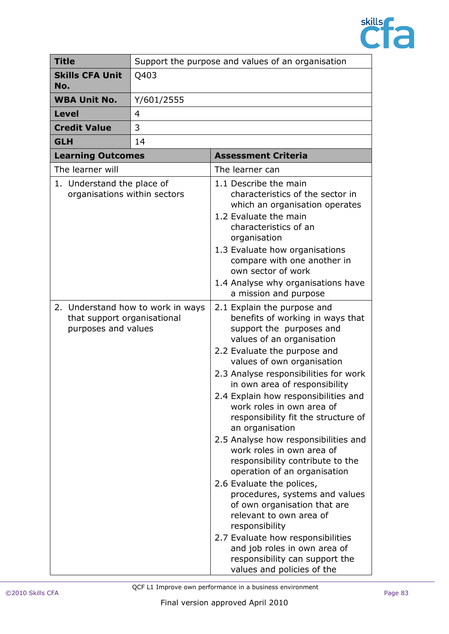

| <b>Title</b>                                               |                                   | Support the purpose and values of an organisation                                                                                                                                                                                                                                                                                                                                                                                                                                                                                                                                                                                                                                                                                                                                                                         |
|------------------------------------------------------------|-----------------------------------|---------------------------------------------------------------------------------------------------------------------------------------------------------------------------------------------------------------------------------------------------------------------------------------------------------------------------------------------------------------------------------------------------------------------------------------------------------------------------------------------------------------------------------------------------------------------------------------------------------------------------------------------------------------------------------------------------------------------------------------------------------------------------------------------------------------------------|
| <b>Skills CFA Unit</b><br>No.                              | Q403                              |                                                                                                                                                                                                                                                                                                                                                                                                                                                                                                                                                                                                                                                                                                                                                                                                                           |
| <b>WBA Unit No.</b>                                        | Y/601/2555                        |                                                                                                                                                                                                                                                                                                                                                                                                                                                                                                                                                                                                                                                                                                                                                                                                                           |
| <b>Level</b>                                               | 4                                 |                                                                                                                                                                                                                                                                                                                                                                                                                                                                                                                                                                                                                                                                                                                                                                                                                           |
| <b>Credit Value</b>                                        | 3                                 |                                                                                                                                                                                                                                                                                                                                                                                                                                                                                                                                                                                                                                                                                                                                                                                                                           |
| <b>GLH</b>                                                 | 14                                |                                                                                                                                                                                                                                                                                                                                                                                                                                                                                                                                                                                                                                                                                                                                                                                                                           |
| <b>Learning Outcomes</b>                                   |                                   | <b>Assessment Criteria</b>                                                                                                                                                                                                                                                                                                                                                                                                                                                                                                                                                                                                                                                                                                                                                                                                |
| The learner will                                           |                                   | The learner can                                                                                                                                                                                                                                                                                                                                                                                                                                                                                                                                                                                                                                                                                                                                                                                                           |
| 1. Understand the place of<br>organisations within sectors |                                   | 1.1 Describe the main<br>characteristics of the sector in<br>which an organisation operates<br>1.2 Evaluate the main<br>characteristics of an<br>organisation<br>1.3 Evaluate how organisations<br>compare with one another in<br>own sector of work<br>1.4 Analyse why organisations have<br>a mission and purpose                                                                                                                                                                                                                                                                                                                                                                                                                                                                                                       |
| that support organisational<br>purposes and values         | 2. Understand how to work in ways | 2.1 Explain the purpose and<br>benefits of working in ways that<br>support the purposes and<br>values of an organisation<br>2.2 Evaluate the purpose and<br>values of own organisation<br>2.3 Analyse responsibilities for work<br>in own area of responsibility<br>2.4 Explain how responsibilities and<br>work roles in own area of<br>responsibility fit the structure of<br>an organisation<br>2.5 Analyse how responsibilities and<br>work roles in own area of<br>responsibility contribute to the<br>operation of an organisation<br>2.6 Evaluate the polices,<br>procedures, systems and values<br>of own organisation that are<br>relevant to own area of<br>responsibility<br>2.7 Evaluate how responsibilities<br>and job roles in own area of<br>responsibility can support the<br>values and policies of the |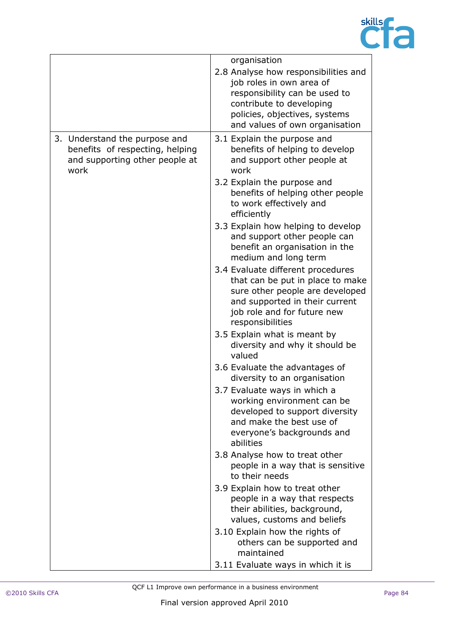

|                                                                   | organisation                                                        |
|-------------------------------------------------------------------|---------------------------------------------------------------------|
|                                                                   | 2.8 Analyse how responsibilities and                                |
|                                                                   | job roles in own area of                                            |
|                                                                   | responsibility can be used to                                       |
|                                                                   | contribute to developing                                            |
|                                                                   | policies, objectives, systems                                       |
|                                                                   | and values of own organisation                                      |
| 3. Understand the purpose and                                     | 3.1 Explain the purpose and                                         |
| benefits of respecting, helping<br>and supporting other people at | benefits of helping to develop<br>and support other people at       |
| work                                                              | work                                                                |
|                                                                   | 3.2 Explain the purpose and                                         |
|                                                                   | benefits of helping other people                                    |
|                                                                   | to work effectively and                                             |
|                                                                   | efficiently                                                         |
|                                                                   | 3.3 Explain how helping to develop                                  |
|                                                                   | and support other people can                                        |
|                                                                   | benefit an organisation in the                                      |
|                                                                   | medium and long term                                                |
|                                                                   | 3.4 Evaluate different procedures                                   |
|                                                                   | that can be put in place to make<br>sure other people are developed |
|                                                                   | and supported in their current                                      |
|                                                                   | job role and for future new                                         |
|                                                                   | responsibilities                                                    |
|                                                                   | 3.5 Explain what is meant by                                        |
|                                                                   | diversity and why it should be                                      |
|                                                                   | valued                                                              |
|                                                                   | 3.6 Evaluate the advantages of                                      |
|                                                                   | diversity to an organisation                                        |
|                                                                   | 3.7 Evaluate ways in which a                                        |
|                                                                   | working environment can be                                          |
|                                                                   | developed to support diversity<br>and make the best use of          |
|                                                                   | everyone's backgrounds and                                          |
|                                                                   | abilities                                                           |
|                                                                   | 3.8 Analyse how to treat other                                      |
|                                                                   | people in a way that is sensitive                                   |
|                                                                   | to their needs                                                      |
|                                                                   | 3.9 Explain how to treat other                                      |
|                                                                   | people in a way that respects                                       |
|                                                                   | their abilities, background,                                        |
|                                                                   | values, customs and beliefs                                         |
|                                                                   | 3.10 Explain how the rights of                                      |
|                                                                   | others can be supported and<br>maintained                           |
|                                                                   | 3.11 Evaluate ways in which it is                                   |
|                                                                   |                                                                     |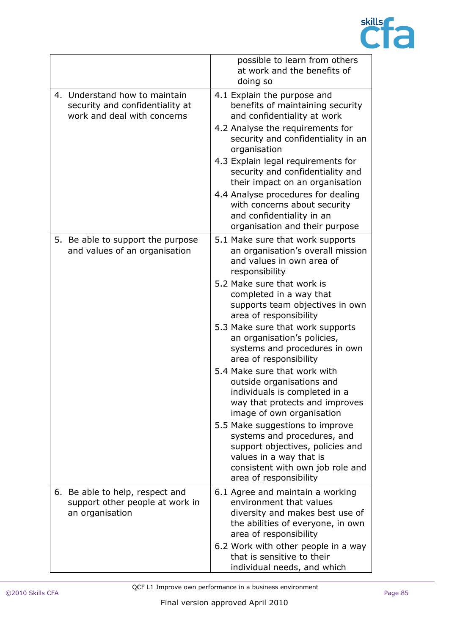

|                                                                                                 | possible to learn from others<br>at work and the benefits of<br>doing so                                                                                                                    |
|-------------------------------------------------------------------------------------------------|---------------------------------------------------------------------------------------------------------------------------------------------------------------------------------------------|
| 4. Understand how to maintain<br>security and confidentiality at<br>work and deal with concerns | 4.1 Explain the purpose and<br>benefits of maintaining security<br>and confidentiality at work                                                                                              |
|                                                                                                 | 4.2 Analyse the requirements for<br>security and confidentiality in an<br>organisation                                                                                                      |
|                                                                                                 | 4.3 Explain legal requirements for<br>security and confidentiality and<br>their impact on an organisation                                                                                   |
|                                                                                                 | 4.4 Analyse procedures for dealing<br>with concerns about security<br>and confidentiality in an<br>organisation and their purpose                                                           |
| 5. Be able to support the purpose<br>and values of an organisation                              | 5.1 Make sure that work supports<br>an organisation's overall mission<br>and values in own area of<br>responsibility                                                                        |
|                                                                                                 | 5.2 Make sure that work is<br>completed in a way that<br>supports team objectives in own<br>area of responsibility                                                                          |
|                                                                                                 | 5.3 Make sure that work supports<br>an organisation's policies,<br>systems and procedures in own<br>area of responsibility                                                                  |
|                                                                                                 | 5.4 Make sure that work with<br>outside organisations and<br>individuals is completed in a<br>way that protects and improves<br>image of own organisation                                   |
|                                                                                                 | 5.5 Make suggestions to improve<br>systems and procedures, and<br>support objectives, policies and<br>values in a way that is<br>consistent with own job role and<br>area of responsibility |
| 6. Be able to help, respect and<br>support other people at work in<br>an organisation           | 6.1 Agree and maintain a working<br>environment that values<br>diversity and makes best use of<br>the abilities of everyone, in own<br>area of responsibility                               |
|                                                                                                 | 6.2 Work with other people in a way<br>that is sensitive to their<br>individual needs, and which                                                                                            |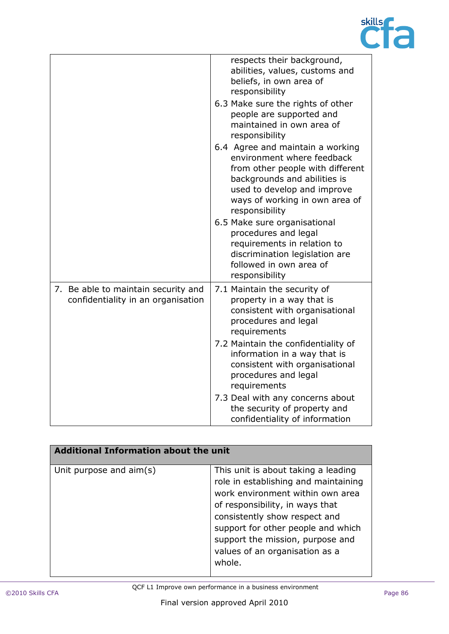

|                                                                           | respects their background,<br>abilities, values, customs and<br>beliefs, in own area of<br>responsibility<br>6.3 Make sure the rights of other<br>people are supported and<br>maintained in own area of<br>responsibility |
|---------------------------------------------------------------------------|---------------------------------------------------------------------------------------------------------------------------------------------------------------------------------------------------------------------------|
|                                                                           | 6.4 Agree and maintain a working<br>environment where feedback<br>from other people with different<br>backgrounds and abilities is<br>used to develop and improve<br>ways of working in own area of<br>responsibility     |
|                                                                           | 6.5 Make sure organisational<br>procedures and legal<br>requirements in relation to<br>discrimination legislation are<br>followed in own area of<br>responsibility                                                        |
| 7. Be able to maintain security and<br>confidentiality in an organisation | 7.1 Maintain the security of<br>property in a way that is<br>consistent with organisational<br>procedures and legal<br>requirements                                                                                       |
|                                                                           | 7.2 Maintain the confidentiality of<br>information in a way that is<br>consistent with organisational<br>procedures and legal<br>requirements                                                                             |
|                                                                           | 7.3 Deal with any concerns about<br>the security of property and<br>confidentiality of information                                                                                                                        |

| <b>Additional Information about the unit</b> |                                                                                                                                                                                                                                                                                                           |
|----------------------------------------------|-----------------------------------------------------------------------------------------------------------------------------------------------------------------------------------------------------------------------------------------------------------------------------------------------------------|
| Unit purpose and aim(s)                      | This unit is about taking a leading<br>role in establishing and maintaining<br>work environment within own area<br>of responsibility, in ways that<br>consistently show respect and<br>support for other people and which<br>support the mission, purpose and<br>values of an organisation as a<br>whole. |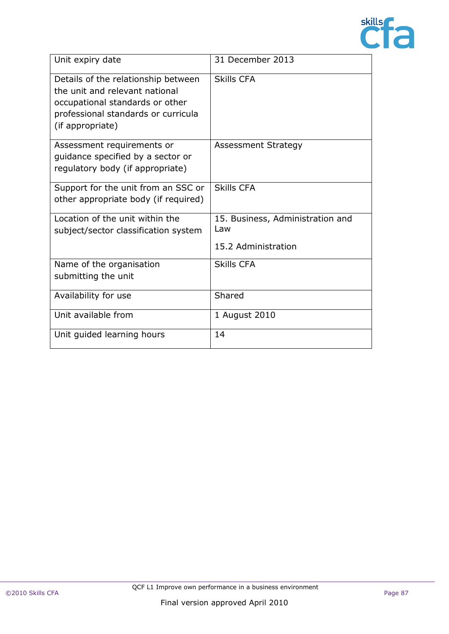

| Unit expiry date                                                                                                                                                    | 31 December 2013                                               |
|---------------------------------------------------------------------------------------------------------------------------------------------------------------------|----------------------------------------------------------------|
| Details of the relationship between<br>the unit and relevant national<br>occupational standards or other<br>professional standards or curricula<br>(if appropriate) | <b>Skills CFA</b>                                              |
| Assessment requirements or<br>guidance specified by a sector or<br>regulatory body (if appropriate)                                                                 | Assessment Strategy                                            |
| Support for the unit from an SSC or<br>other appropriate body (if required)                                                                                         | <b>Skills CFA</b>                                              |
| Location of the unit within the<br>subject/sector classification system                                                                                             | 15. Business, Administration and<br>Law<br>15.2 Administration |
| Name of the organisation<br>submitting the unit                                                                                                                     | <b>Skills CFA</b>                                              |
| Availability for use                                                                                                                                                | Shared                                                         |
| Unit available from                                                                                                                                                 | 1 August 2010                                                  |
| Unit guided learning hours                                                                                                                                          | 14                                                             |